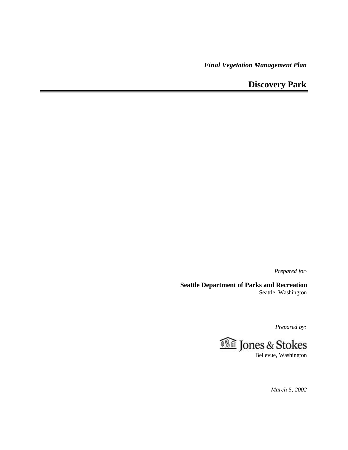*Final Vegetation Management Plan*

**Discovery Park**

*Prepared for:*

**Seattle Department of Parks and Recreation** Seattle, Washington

*Prepared by:*



*March 5, 2002*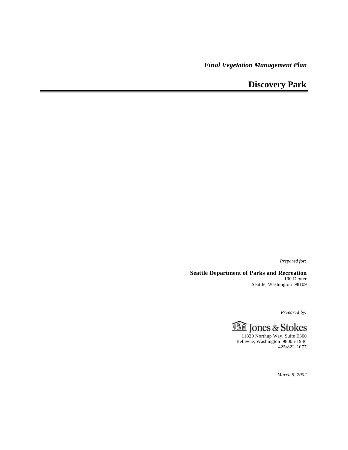*Final Vegetation Management Plan*

**Discovery Park**

*Prepared for:*

**Seattle Department of Parks and Recreation** 100 Dexter Seattle, Washington 98109

*Prepared by:*



425/822-1077

*March 5, 2002*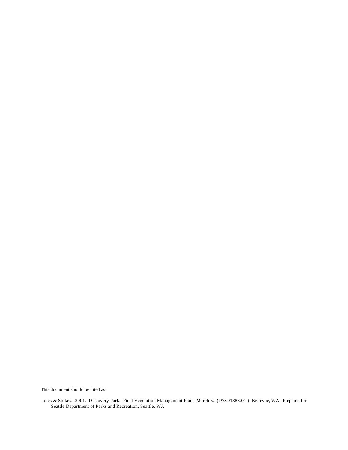This document should be cited as:

Jones & Stokes. 2001. Discovery Park. Final Vegetation Management Plan. March 5. (J&S01383.01.) Bellevue, WA. Prepared for Seattle Department of Parks and Recreation, Seattle, WA.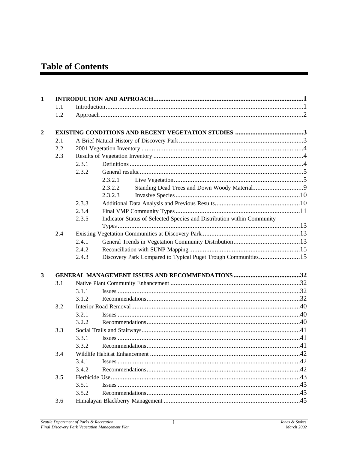# **Table of Contents**

| 1              |     |       |         |                                                                        |  |
|----------------|-----|-------|---------|------------------------------------------------------------------------|--|
|                | 1.1 |       |         |                                                                        |  |
|                | 1.2 |       |         |                                                                        |  |
| $\overline{2}$ |     |       |         |                                                                        |  |
|                | 2.1 |       |         |                                                                        |  |
|                | 2.2 |       |         |                                                                        |  |
|                | 2.3 |       |         |                                                                        |  |
|                |     | 2.3.1 |         |                                                                        |  |
|                |     | 2.3.2 |         |                                                                        |  |
|                |     |       | 2.3.2.1 |                                                                        |  |
|                |     |       | 2.3.2.2 |                                                                        |  |
|                |     |       | 2.3.2.3 |                                                                        |  |
|                |     | 2.3.3 |         |                                                                        |  |
|                |     | 2.3.4 |         |                                                                        |  |
|                |     | 2.3.5 |         | Indicator Status of Selected Species and Distribution within Community |  |
|                |     |       |         |                                                                        |  |
|                | 2.4 |       |         |                                                                        |  |
|                |     | 2.4.1 |         |                                                                        |  |
|                |     | 2.4.2 |         |                                                                        |  |
|                |     | 2.4.3 |         | Discovery Park Compared to Typical Puget Trough Communities15          |  |
|                |     |       |         |                                                                        |  |
| 3              |     |       |         |                                                                        |  |
|                | 3.1 |       |         |                                                                        |  |
|                |     | 3.1.1 |         |                                                                        |  |
|                |     | 3.1.2 |         |                                                                        |  |
|                | 3.2 |       |         |                                                                        |  |
|                |     | 3.2.1 |         |                                                                        |  |
|                |     | 3.2.2 |         |                                                                        |  |
|                | 3.3 |       |         |                                                                        |  |
|                |     | 3.3.1 |         |                                                                        |  |
|                |     | 3.3.2 |         |                                                                        |  |
|                | 3.4 |       |         |                                                                        |  |
|                |     | 3.4.1 |         |                                                                        |  |
|                |     | 3.4.2 |         |                                                                        |  |
|                | 3.5 |       |         |                                                                        |  |
|                |     | 3.5.1 |         |                                                                        |  |
|                |     | 3.5.2 |         |                                                                        |  |
|                | 3.6 |       |         |                                                                        |  |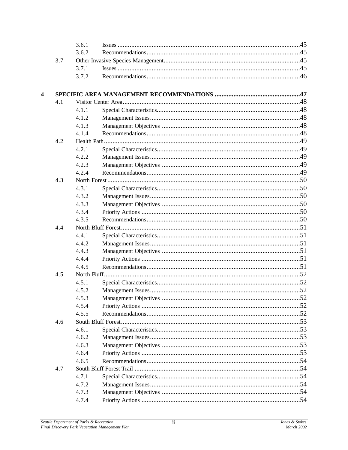|                  |     | 3.6.1          |  |
|------------------|-----|----------------|--|
|                  |     | 3.6.2          |  |
|                  | 3.7 |                |  |
|                  |     | 3.7.1          |  |
|                  |     | 3.7.2          |  |
|                  |     |                |  |
| $\boldsymbol{4}$ | 4.1 |                |  |
|                  |     | 4.1.1          |  |
|                  |     | 4.1.2          |  |
|                  |     | 4.1.3          |  |
|                  |     | 4.1.4          |  |
|                  | 4.2 |                |  |
|                  |     | 4.2.1          |  |
|                  |     | 4.2.2          |  |
|                  |     |                |  |
|                  |     | 4.2.3<br>4.2.4 |  |
|                  |     |                |  |
|                  | 4.3 |                |  |
|                  |     | 4.3.1          |  |
|                  |     | 4.3.2          |  |
|                  |     | 4.3.3          |  |
|                  |     | 4.3.4          |  |
|                  |     | 4.3.5          |  |
|                  | 4.4 |                |  |
|                  |     | 4.4.1          |  |
|                  |     | 4.4.2          |  |
|                  |     | 4.4.3          |  |
|                  |     | 4.4.4          |  |
|                  |     | 4.4.5          |  |
|                  | 4.5 |                |  |
|                  |     | 4.5.1          |  |
|                  |     | 4.5.2          |  |
|                  |     | 4.5.3          |  |
|                  |     | 4.5.4          |  |
|                  |     | 4.5.5          |  |
|                  | 4.6 |                |  |
|                  |     | 4.6.1          |  |
|                  |     | 4.6.2          |  |
|                  |     | 4.6.3          |  |
|                  |     | 4.6.4          |  |
|                  |     | 4.6.5          |  |
|                  | 4.7 |                |  |
|                  |     | 4.7.1          |  |
|                  |     | 4.7.2          |  |
|                  |     | 4.7.3          |  |
|                  |     | 4.7.4          |  |
|                  |     |                |  |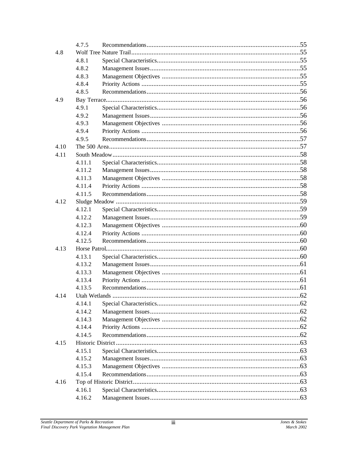|      | 4.7.5  |               |     |
|------|--------|---------------|-----|
| 4.8  |        |               |     |
|      | 4.8.1  |               |     |
|      | 4.8.2  |               |     |
|      | 4.8.3  |               |     |
|      | 4.8.4  |               |     |
|      | 4.8.5  |               |     |
| 4.9  |        |               |     |
|      | 4.9.1  |               |     |
|      | 4.9.2  |               |     |
|      | 4.9.3  |               |     |
|      | 4.9.4  |               |     |
|      | 4.9.5  |               |     |
| 4.10 |        |               |     |
| 4.11 |        |               |     |
|      | 4.11.1 |               |     |
|      | 4.11.2 |               |     |
|      | 4.11.3 |               |     |
|      | 4.11.4 |               |     |
|      | 4.11.5 |               |     |
| 4.12 |        |               |     |
|      | 4.12.1 |               |     |
|      | 4.12.2 |               |     |
|      | 4.12.3 |               |     |
|      | 4.12.4 |               |     |
|      | 4.12.5 |               |     |
| 4.13 |        |               |     |
|      | 4.13.1 |               |     |
|      | 4.13.2 |               |     |
|      | 4.13.3 |               |     |
|      | 4.13.4 |               |     |
|      | 4.13.5 |               |     |
| 4.14 |        | Utah Wetlands | .62 |
|      | 4.14.1 |               |     |
|      | 4.14.2 |               |     |
|      | 4.14.3 |               |     |
|      | 4.14.4 |               |     |
|      | 4.14.5 |               |     |
| 4.15 |        |               |     |
|      | 4.15.1 |               |     |
|      | 4.15.2 |               |     |
|      | 4.15.3 |               |     |
|      | 4.15.4 |               |     |
| 4.16 |        |               |     |
|      | 4.16.1 |               |     |
|      | 4.16.2 |               |     |
|      |        |               |     |

Jones & Stokes<br>March 2002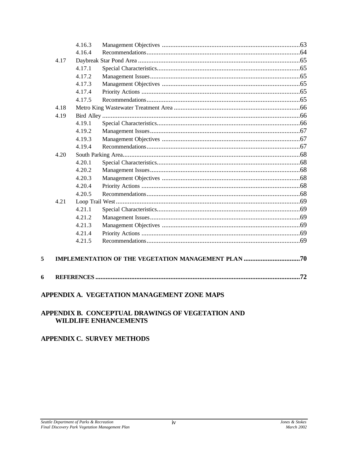|      | 4.16.3 |  |  |  |  |
|------|--------|--|--|--|--|
|      | 4.16.4 |  |  |  |  |
| 4.17 |        |  |  |  |  |
|      | 4.17.1 |  |  |  |  |
|      | 4.17.2 |  |  |  |  |
|      | 4.17.3 |  |  |  |  |
|      | 4.17.4 |  |  |  |  |
|      | 4.17.5 |  |  |  |  |
| 4.18 |        |  |  |  |  |
| 4.19 |        |  |  |  |  |
|      | 4.19.1 |  |  |  |  |
|      | 4.19.2 |  |  |  |  |
|      | 4.19.3 |  |  |  |  |
|      | 4.19.4 |  |  |  |  |
| 4.20 |        |  |  |  |  |
|      | 4.20.1 |  |  |  |  |
|      | 4.20.2 |  |  |  |  |
|      | 4.20.3 |  |  |  |  |
|      | 4.20.4 |  |  |  |  |
|      | 4.20.5 |  |  |  |  |
| 4.21 |        |  |  |  |  |
|      | 4.21.1 |  |  |  |  |
|      | 4.21.2 |  |  |  |  |
|      | 4.21.3 |  |  |  |  |
|      | 4.21.4 |  |  |  |  |
|      | 4.21.5 |  |  |  |  |
|      |        |  |  |  |  |
|      |        |  |  |  |  |
|      |        |  |  |  |  |
| .72  |        |  |  |  |  |
|      |        |  |  |  |  |

### APPENDIX A. VEGETATION MANAGEMENT ZONE MAPS

### APPENDIX B. CONCEPTUAL DRAWINGS OF VEGETATION AND **WILDLIFE ENHANCEMENTS**

## **APPENDIX C. SURVEY METHODS**

5

 $\boldsymbol{6}$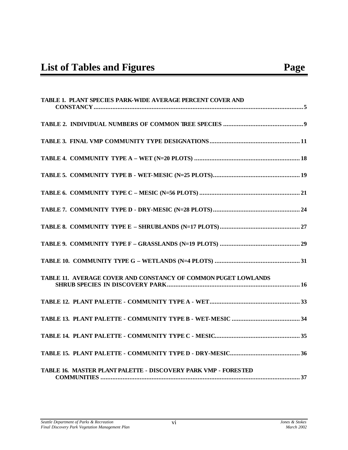| <b>TABLE 1. PLANT SPECIES PARK-WIDE AVERAGE PERCENT COVER AND</b> |
|-------------------------------------------------------------------|
|                                                                   |
|                                                                   |
|                                                                   |
|                                                                   |
|                                                                   |
|                                                                   |
|                                                                   |
|                                                                   |
|                                                                   |
| TABLE 11. AVERAGE COVER AND CONSTANCY OF COMMON PUGET LOWLANDS    |
|                                                                   |
|                                                                   |
|                                                                   |
|                                                                   |
| TABLE 16. MASTER PLANT PALETTE - DISCOVERY PARK VMP - FORESTED    |

vi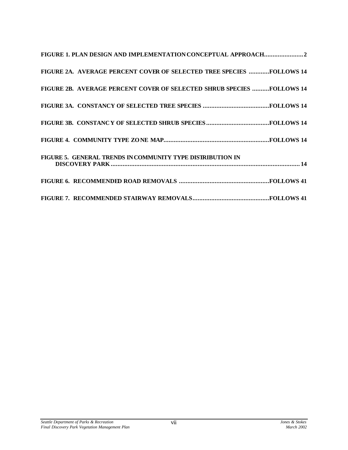| FIGURE 2A. AVERAGE PERCENT COVER OF SELECTED TREE SPECIES FOLLOWS 14  |
|-----------------------------------------------------------------------|
| FIGURE 2B. AVERAGE PERCENT COVER OF SELECTED SHRUB SPECIES FOLLOWS 14 |
|                                                                       |
|                                                                       |
|                                                                       |
| FIGURE 5. GENERAL TRENDS IN COMMUNITY TYPE DISTRIBUTION IN            |
|                                                                       |
|                                                                       |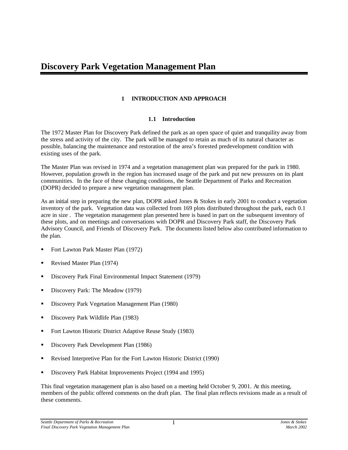### **1 INTRODUCTION AND APPROACH**

### **1.1 Introduction**

<span id="page-10-0"></span>The 1972 Master Plan for Discovery Park defined the park as an open space of quiet and tranquility away from the stress and activity of the city. The park will be managed to retain as much of its natural character as possible, balancing the maintenance and restoration of the area's forested predevelopment condition with existing uses of the park.

The Master Plan was revised in 1974 and a vegetation management plan was prepared for the park in 1980. However, population growth in the region has increased usage of the park and put new pressures on its plant communities. In the face of these changing conditions, the Seattle Department of Parks and Recreation (DOPR) decided to prepare a new vegetation management plan.

As an initial step in preparing the new plan, DOPR asked Jones & Stokes in early 2001 to conduct a vegetation inventory of the park. Vegetation data was collected from 169 plots distributed throughout the park, each 0.1 acre in size . The vegetation management plan presented here is based in part on the subsequent inventory of these plots, and on meetings and conversations with DOPR and Discovery Park staff, the Discovery Park Advisory Council, and Friends of Discovery Park. The documents listed below also contributed information to the plan.

- ß Fort Lawton Park Master Plan (1972)
- ß Revised Master Plan (1974)
- ß Discovery Park Final Environmental Impact Statement (1979)
- ß Discovery Park: The Meadow (1979)
- ß Discovery Park Vegetation Management Plan (1980)
- **BED** Discovery Park Wildlife Plan (1983)
- Fort Lawton Historic District Adaptive Reuse Study (1983)
- ß Discovery Park Development Plan (1986)
- ß Revised Interpretive Plan for the Fort Lawton Historic District (1990)
- ß Discovery Park Habitat Improvements Project (1994 and 1995)

This final vegetation management plan is also based on a meeting held October 9, 2001. At this meeting, members of the public offered comments on the draft plan. The final plan reflects revisions made as a result of these comments.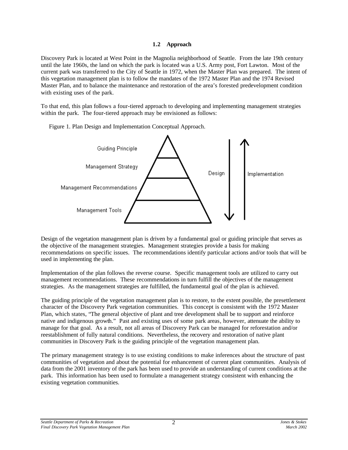#### **1.2 Approach**

Discovery Park is located at West Point in the Magnolia neighborhood of Seattle. From the late 19th century until the late 1960s, the land on which the park is located was a U.S. Army post, Fort Lawton. Most of the current park was transferred to the City of Seattle in 1972, when the Master Plan was prepared. The intent of this vegetation management plan is to follow the mandates of the 1972 Master Plan and the 1974 Revised Master Plan, and to balance the maintenance and restoration of the area's forested predevelopment condition with existing uses of the park.

To that end, this plan follows a four-tiered approach to developing and implementing management strategies within the park. The four-tiered approach may be envisioned as follows:

Figure 1. Plan Design and Implementation Conceptual Approach.



Design of the vegetation management plan is driven by a fundamental goal or guiding principle that serves as the objective of the management strategies. Management strategies provide a basis for making recommendations on specific issues. The recommendations identify particular actions and/or tools that will be used in implementing the plan.

Implementation of the plan follows the reverse course. Specific management tools are utilized to carry out management recommendations. These recommendations in turn fulfill the objectives of the management strategies. As the management strategies are fulfilled, the fundamental goal of the plan is achieved.

The guiding principle of the vegetation management plan is to restore, to the extent possible, the presettlement character of the Discovery Park vegetation communities. This concept is consistent with the 1972 Master Plan, which states, "The general objective of plant and tree development shall be to support and reinforce native and indigenous growth." Past and existing uses of some park areas, however, attenuate the ability to manage for that goal. As a result, not all areas of Discovery Park can be managed for reforestation and/or reestablishment of fully natural conditions. Nevertheless, the recovery and restoration of native plant communities in Discovery Park is the guiding principle of the vegetation management plan.

The primary management strategy is to use existing conditions to make inferences about the structure of past communities of vegetation and about the potential for enhancement of current plant communities. Analysis of data from the 2001 inventory of the park has been used to provide an understanding of current conditions at the park. This information has been used to formulate a management strategy consistent with enhancing the existing vegetation communities.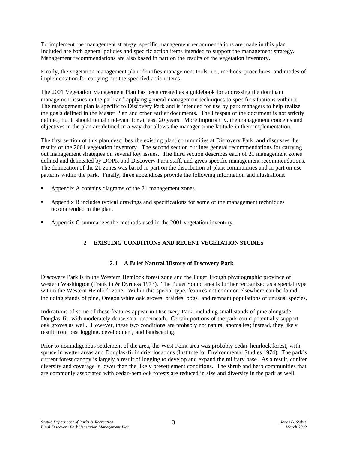<span id="page-12-0"></span>To implement the management strategy, specific management recommendations are made in this plan. Included are both general policies and specific action items intended to support the management strategy. Management recommendations are also based in part on the results of the vegetation inventory.

Finally, the vegetation management plan identifies management tools, i.e., methods, procedures, and modes of implementation for carrying out the specified action items.

The 2001 Vegetation Management Plan has been created as a guidebook for addressing the dominant management issues in the park and applying general management techniques to specific situations within it. The management plan is specific to Discovery Park and is intended for use by park managers to help realize the goals defined in the Master Plan and other earlier documents. The lifespan of the document is not strictly defined, but it should remain relevant for at least 20 years. More importantly, the management concepts and objectives in the plan are defined in a way that allows the manager some latitude in their implementation.

The first section of this plan describes the existing plant communities at Discovery Park, and discusses the results of the 2001 vegetation inventory. The second section outlines general recommendations for carrying out management strategies on several key issues. The third section describes each of 21 management zones defined and delineated by DOPR and Discovery Park staff, and gives specific management recommendations. The delineation of the 21 zones was based in part on the distribution of plant communities and in part on use patterns within the park. Finally, three appendices provide the following information and illustrations.

- ß Appendix A contains diagrams of the 21 management zones.
- ß Appendix B includes typical drawings and specifications for some of the management techniques recommended in the plan.
- ß Appendix C summarizes the methods used in the 2001 vegetation inventory.

### **2 EXISTING CONDITIONS AND RECENT VEGETATION STUDIES**

### **2.1 A Brief Natural History of Discovery Park**

Discovery Park is in the Western Hemlock forest zone and the Puget Trough physiographic province of western Washington (Franklin & Dyrness 1973). The Puget Sound area is further recognized as a special type within the Western Hemlock zone. Within this special type, features not common elsewhere can be found, including stands of pine, Oregon white oak groves, prairies, bogs, and remnant populations of unusual species.

Indications of some of these features appear in Discovery Park, including small stands of pine alongside Douglas-fir, with moderately dense salal underneath. Certain portions of the park could potentially support oak groves as well. However, these two conditions are probably not natural anomalies; instead, they likely result from past logging, development, and landscaping.

Prior to nonindigenous settlement of the area, the West Point area was probably cedar-hemlock forest, with spruce in wetter areas and Douglas-fir in drier locations (Institute for Environmental Studies 1974). The park's current forest canopy is largely a result of logging to develop and expand the military base. As a result, conifer diversity and coverage is lower than the likely presettlement conditions. The shrub and herb communities that are commonly associated with cedar-hemlock forests are reduced in size and diversity in the park as well.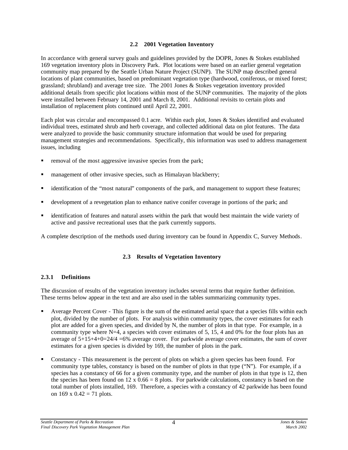### **2.2 2001 Vegetation Inventory**

In accordance with general survey goals and guidelines provided by the DOPR, Jones & Stokes established 169 vegetation inventory plots in Discovery Park. Plot locations were based on an earlier general vegetation community map prepared by the Seattle Urban Nature Project (SUNP). The SUNP map described general locations of plant communities, based on predominant vegetation type (hardwood, coniferous, or mixed forest; grassland; shrubland) and average tree size. The 2001 Jones & Stokes vegetation inventory provided additional details from specific plot locations within most of the SUNP communities. The majority of the plots were installed between February 14, 2001 and March 8, 2001. Additional revisits to certain plots and installation of replacement plots continued until April 22, 2001.

Each plot was circular and encompassed 0.1 acre. Within each plot, Jones & Stokes identified and evaluated individual trees, estimated shrub and herb coverage, and collected additional data on plot features. The data were analyzed to provide the basic community structure information that would be used for preparing management strategies and recommendations. Specifically, this information was used to address management issues, including

- removal of the most aggressive invasive species from the park;
- management of other invasive species, such as Himalayan blackberry;
- ß identification of the "most natural" components of the park, and management to support these features;
- ß development of a revegetation plan to enhance native conifer coverage in portions of the park; and
- ß identification of features and natural assets within the park that would best maintain the wide variety of active and passive recreational uses that the park currently supports.

A complete description of the methods used during inventory can be found in Appendix C, Survey Methods.

### **2.3 Results of Vegetation Inventory**

### **2.3.1 Definitions**

The discussion of results of the vegetation inventory includes several terms that require further definition. These terms below appear in the text and are also used in the tables summarizing community types.

- ß Average Percent Cover This figure is the sum of the estimated aerial space that a species fills within each plot, divided by the number of plots. For analysis within community types, the cover estimates for each plot are added for a given species, and divided by N, the number of plots in that type. For example, in a community type where  $N=4$ , a species with cover estimates of 5, 15, 4 and 0% for the four plots has an average of  $5+15+4+0=24/4=6\%$  average cover. For parkwide average cover estimates, the sum of cover estimates for a given species is divided by 169, the number of plots in the park.
- ß Constancy This measurement is the percent of plots on which a given species has been found. For community type tables, constancy is based on the number of plots in that type ("N"). For example, if a species has a constancy of 66 for a given community type, and the number of plots in that type is 12, then the species has been found on  $12 \times 0.66 = 8$  plots. For parkwide calculations, constancy is based on the total number of plots installed, 169. Therefore, a species with a constancy of 42 parkwide has been found on  $169 \times 0.42 = 71$  plots.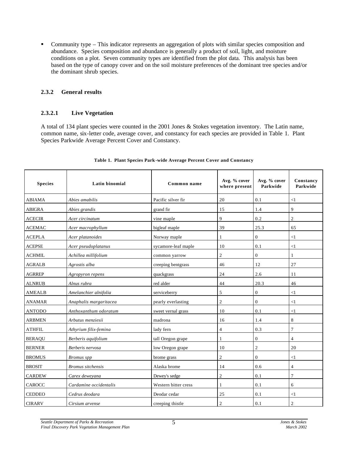• Community type – This indicator represents an aggregation of plots with similar species composition and abundance. Species composition and abundance is generally a product of soil, light, and moisture conditions on a plot. Seven community types are identified from the plot data. This analysis has been based on the type of canopy cover and on the soil moisture preferences of the dominant tree species and/or the dominant shrub species.

### **2.3.2 General results**

### **2.3.2.1 Live Vegetation**

A total of 134 plant species were counted in the 2001 Jones & Stokes vegetation inventory. The Latin name, common name, six-letter code, average cover, and constancy for each species are provided in Table 1. Plant Species Parkwide Average Percent Cover and Constancy.

| <b>Species</b> | <b>Latin binomial</b>    | Common name          | Avg. % cover<br>where present | Avg. % cover<br>Parkwide | Constancy<br>Parkwide |
|----------------|--------------------------|----------------------|-------------------------------|--------------------------|-----------------------|
| <b>ABIAMA</b>  | Abies amabilis           | Pacific silver fir   | 20                            | 0.1                      | $\leq$ 1              |
| <b>ABIGRA</b>  | Abies grandis            | grand fir            | 15                            | 1.4                      | 9                     |
| <b>ACECIR</b>  | Acer circinatum          | vine maple           | 9                             | 0.2                      | $\overline{2}$        |
| <b>ACEMAC</b>  | Acer macrophyllum        | bigleaf maple        | 39                            | 25.3                     | 65                    |
| <b>ACEPLA</b>  | Acer platanoides         | Norway maple         | 1                             | $\overline{0}$           | $\leq$ 1              |
| <b>ACEPSE</b>  | Acer pseudoplatanus      | sycamore-leaf maple  | 10                            | 0.1                      | <1                    |
| <b>ACHMIL</b>  | Achillea millifolium     | common yarrow        | $\overline{c}$                | $\boldsymbol{0}$         | 1                     |
| <b>AGRALB</b>  | Agrostis alba            | creeping bentgrass   | 46                            | 12                       | 27                    |
| <b>AGRREP</b>  | Agropyron repens         | quackgrass           | 24                            | 2.6                      | 11                    |
| <b>ALNRUB</b>  | Alnus rubra              | red alder            | 44                            | 20.3                     | 46                    |
| <b>AMEALB</b>  | Amelanchier alnifolia    | serviceberry         | 5                             | $\overline{0}$           | $\leq$ 1              |
| <b>ANAMAR</b>  | Anaphalis margaritacea   | pearly everlasting   | $\overline{c}$                | $\overline{0}$           | $\leq$ 1              |
| <b>ANTODO</b>  | Anthoxanthum odoratum    | sweet vernal grass   | 10                            | 0.1                      | $\leq$ 1              |
| <b>ARBMEN</b>  | Arbutus menziesii        | madrona              | 16                            | 1.4                      | 8                     |
| <b>ATHFIL</b>  | Athyrium filix-femina    | lady fern            | $\overline{4}$                | 0.3                      | $\overline{7}$        |
| <b>BERAQU</b>  | Berberis aquifolium      | tall Oregon grape    | 1                             | $\Omega$                 | $\overline{4}$        |
| <b>BERNER</b>  | Berberis nervosa         | low Oregon grape     | 10                            | $\overline{c}$           | 20                    |
| <b>BROMUS</b>  | <b>Bromus</b> spp        | brome grass          | $\overline{c}$                | $\Omega$                 | $<$ 1                 |
| <b>BROSIT</b>  | <b>Bromus</b> sitchensis | Alaska brome         | 14                            | 0.6                      | $\overline{4}$        |
| <b>CARDEW</b>  | Carex deweyana           | Dewey's sedge        | $\overline{2}$                | 0.1                      | $\overline{7}$        |
| <b>CAROCC</b>  | Cardamine occidentalis   | Western bitter cress | 1                             | 0.1                      | 6                     |
| <b>CEDDEO</b>  | Cedrus deodara           | Deodar cedar         | 25                            | 0.1                      | $\leq$ 1              |
| <b>CIRARV</b>  | Cirsium arvense          | creeping thistle     | $\overline{c}$                | 0.1                      | $\overline{c}$        |

#### **Table 1. Plant Species Park-wide Average Percent Cover and Constancy**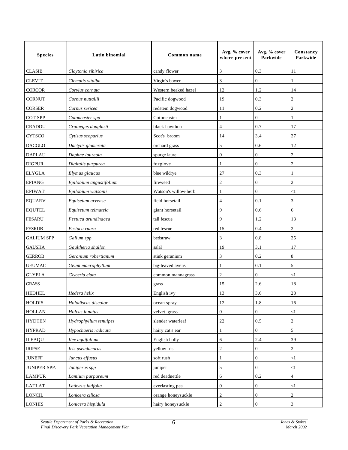| <b>Species</b>    | Latin binomial          | Common name          | Avg. % cover<br>where present | Avg. % cover<br>Parkwide | Constancy<br>Parkwide |
|-------------------|-------------------------|----------------------|-------------------------------|--------------------------|-----------------------|
| <b>CLASIB</b>     | Claytonia sibirica      | candy flower         | 3                             | 0.3                      | 11                    |
| <b>CLEVIT</b>     | Clematis vitalba        | Virgin's bower       | 3                             | $\boldsymbol{0}$         | 1                     |
| <b>CORCOR</b>     | Corylus cornuta         | Western beaked hazel | 12                            | 1.2                      | 14                    |
| <b>CORNUT</b>     | Cornus nuttallii        | Pacific dogwood      | 19                            | 0.3                      | $\overline{c}$        |
| <b>CORSER</b>     | Cornus sericea          | redstem dogwood      | 11                            | 0.2                      | $\overline{c}$        |
| COT SPP           | Cotoneaster spp         | Cotoneaster          | 1                             | $\overline{0}$           | 1                     |
| <b>CRADOU</b>     | Crataegus douglasii     | black hawthorn       | 4                             | 0.7                      | 17                    |
| <b>CYTSCO</b>     | Cytisus scoparius       | Scot's broom         | 14                            | 3.4                      | $27\,$                |
| <b>DACGLO</b>     | Dactylis glomerata      | orchard grass        | 5                             | 0.6                      | 12                    |
| <b>DAPLAU</b>     | Daphne laureola         | spurge laurel        | $\boldsymbol{0}$              | $\boldsymbol{0}$         | $\overline{c}$        |
| <b>DIGPUR</b>     | Digitalis purpurea      | foxglove             | 1                             | $\boldsymbol{0}$         | $\mathfrak{2}$        |
| <b>ELYGLA</b>     | Elymus glaucus          | blue wildrye         | 27                            | 0.3                      | 1                     |
| <b>EPIANG</b>     | Epilobium angustifolium | fireweed             | $\overline{c}$                | $\boldsymbol{0}$         | $\overline{2}$        |
| <b>EPIWAT</b>     | Epilobium watsonii      | Watson's willow-herb | 1                             | $\boldsymbol{0}$         | $<$ l                 |
| <b>EQUARV</b>     | Equisetum arvense       | field horsetail      | 4                             | 0.1                      | 3                     |
| <b>EQUTEL</b>     | Equisetum telmateia     | giant horsetail      | 9                             | 0.6                      | 6                     |
| <b>FESARU</b>     | Festuca arundinacea     | tall fescue          | 9                             | 1.2                      | 13                    |
| <b>FESRUB</b>     | Festuca rubra           | red fescue           | 15                            | 0.4                      | $\overline{c}$        |
| <b>GALIUM SPP</b> | Galium spp              | bedstraw             | 3                             | 0.8                      | 25                    |
| <b>GAUSHA</b>     | Gaultheria shallon      | salal                | 19                            | 3.1                      | 17                    |
| <b>GERROB</b>     | Geranium robertianum    | stink geranium       | 3                             | 0.2                      | 8                     |
| <b>GEUMAC</b>     | Geum macrophyllum       | big-leaved avens     | 1                             | 0.1                      | 5                     |
| <b>GLYELA</b>     | Glyceria elata          | common mannagrass    | $\overline{c}$                | $\overline{0}$           | $<$ l                 |
| <b>GRASS</b>      |                         | grass                | 15                            | 2.6                      | 18                    |
| <b>HEDHEL</b>     | Hedera helix            | English ivy          | 13                            | 3.6                      | 28                    |
| <b>HOLDIS</b>     | Holodiscus discolor     | ocean spray          | 12                            | 1.8                      | 16                    |
| <b>HOLLAN</b>     | Holcus lanatus          | velvet grass         | $\mathbf{0}$                  | $\boldsymbol{0}$         | $<$ l                 |
| <b>HYDTEN</b>     | Hydrophyllum tenuipes   | slender waterleaf    | $2\sqrt{2}$                   | 0.5                      | $\sqrt{2}$            |
| <b>HYPRAD</b>     | Hypochaeris radicata    | hairy cat's ear      | 1                             | $\boldsymbol{0}$         | $\sqrt{5}$            |
| <b>ILEAQU</b>     | Ilex aquifolium         | English holly        | 6                             | 2.4                      | 39                    |
| <b>IRIPSE</b>     | Iris pseudacorus        | yellow iris          | $\overline{c}$                | $\mathbf{0}$             | $\overline{c}$        |
| <b>JUNEFF</b>     | Juncus effusus          | soft rush            | 1                             | $\boldsymbol{0}$         | $<$ 1                 |
| JUNIPER SPP.      | Juniperus spp           | juniper              | 5                             | $\boldsymbol{0}$         | $<$ l                 |
| <b>LAMPUR</b>     | Lamium purpureum        | red deadnettle       | 6                             | 0.2                      | $\overline{4}$        |
| <b>LATLAT</b>     | Lathyrus latifolia      | everlasting pea      | $\mathbf{0}$                  | $\mathbf{0}$             | $\leq$ 1              |
| <b>LONCIL</b>     | Lonicera ciliosa        | orange honeysuckle   | $\overline{c}$                | $\boldsymbol{0}$         | $\overline{c}$        |
| <b>LONHIS</b>     | Lonicera hispidula      | hairy honeysuckle    | $\overline{c}$                | $\boldsymbol{0}$         | 3                     |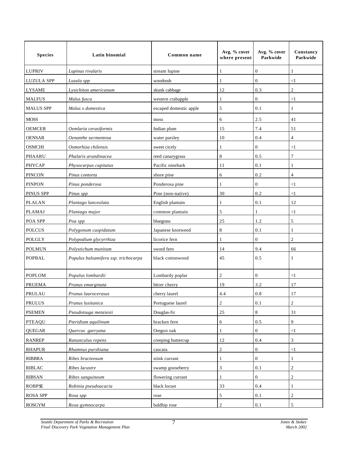| <b>Species</b>    | Latin binomial                       | Common name            | Avg. % cover<br>where present | Avg. % cover<br>Parkwide | Constancy<br>Parkwide       |
|-------------------|--------------------------------------|------------------------|-------------------------------|--------------------------|-----------------------------|
| LUPRIV            | Lupinus rivularis                    | stream lupine          | 1                             | $\boldsymbol{0}$         |                             |
| <b>LUZULA SPP</b> | Luzula spp                           | woodrush               | 1                             | $\mathbf{0}$             | $\triangleleft$             |
| <b>LYSAME</b>     | Lysichiton americanum                | skunk cabbage          | 12                            | 0.3                      | $\overline{2}$              |
| <b>MALFUS</b>     | Malus fusca                          | western crabapple      | 1                             | $\boldsymbol{0}$         | $\leq$                      |
| <b>MALUS SPP</b>  | Malus x domestica                    | escaped domestic apple | 5                             | 0.1                      | 1                           |
| <b>MOSS</b>       |                                      | moss                   | 6                             | 2.5                      | 41                          |
| <b>OEMCER</b>     | Oemlaria cerasiformis                | Indian plum            | 15                            | 7.4                      | 51                          |
| <b>OENSAR</b>     | Oenanthe sa rmentosa                 | water parsley          | 10                            | 0.4                      | 4                           |
| <b>OSMCHI</b>     | Osmorhiza chilensis                  | sweet cicely           | 1                             | $\boldsymbol{0}$         | $\triangleleft$             |
| PHAARU            | Phalaris arundinacea                 | reed canarygrass       | 8                             | 0.5                      | 7                           |
| <b>PHYCAP</b>     | Physocarpus capitatus                | Pacific ninebark       | 11                            | 0.1                      | 1                           |
| <b>PINCON</b>     | Pinus contorta                       | shore pine             | 6                             | 0.2                      | $\overline{4}$              |
| <b>PINPON</b>     | Pinus ponderosa                      | Ponderosa pine         | 1                             | $\boldsymbol{0}$         | $\leq$                      |
| PINUS SPP         | Pinus spp                            | Pine (non-native)      | 30                            | 0.2                      | $\leq$                      |
| <b>PLALAN</b>     | Plantago lanceolata                  | English plantain       | 1                             | 0.1                      | 12                          |
| <b>PLAMAJ</b>     | Plantago major                       | common plantain        | 5                             | 1                        | $\leq$                      |
| POA SPP           | Poa spp                              | bluegrass              | 25                            | 1.2                      | 5                           |
| <b>POLCUS</b>     | Polygonum cuspidatum                 | Japanese knotweed      | 8                             | 0.1                      | 1                           |
| POLGLY            | Polypodium glycyrrhiza               | licorice fern          | 1                             | $\overline{0}$           | $\overline{2}$              |
| <b>POLMUN</b>     | Polystichum munitum                  | sword fern             | 14                            | 9.4                      | 66                          |
| <b>POPBAL</b>     | Populus balsamifera ssp. trichocarpa | black cottonwood       | 45                            | 0.5                      | 1                           |
| <b>POPLOM</b>     | Populus lombardii                    | Lombardy poplar        | 2                             | $\boldsymbol{0}$         | $\leq$                      |
| <b>PRUEMA</b>     | Prunus emarginata                    | bitter cherry          | 19                            | 3.2                      | 17                          |
| PRULAU            | Prunus laurocerasus                  | cherry laurel          | 4.4                           | 0.8                      | 17                          |
| PRULUS            | Prunus lusitanica                    | Portuguese laurel      | 2                             | 0.1                      | $\sqrt{2}$                  |
| <b>PSEMEN</b>     | Pseudotsuga menziesii                | Douglas-fir            | $25\,$                        | 8                        | 31                          |
| <b>PTEAQU</b>     | Pteridium aquilinum                  | bracken fern           | 6                             | 0.5                      | 9                           |
| <b>QUEGAR</b>     | Quercus garryana                     | Oregon oak             | 1                             | $\boldsymbol{0}$         | <1                          |
| <b>RANREP</b>     | Ranunculus repens                    | creeping buttercup     | $12\,$                        | 0.4                      | $\ensuremath{\mathfrak{Z}}$ |
| <b>RHAPUR</b>     | Rhamnus purshiana                    | cascara                | $\overline{c}$                | $\boldsymbol{0}$         | $<\!\!1$                    |
| <b>RIBBRA</b>     | Ribes bracteosum                     | stink currant          | $\mathbf{1}$                  | $\mathbf{0}$             | 1                           |
| <b>RIBLAC</b>     | Ribes lacustre                       | swamp gooseberry       | 3                             | 0.1                      | $\sqrt{2}$                  |
| <b>RIBSAN</b>     | Ribes sanguineum                     | flowering currant      | 1                             | $\overline{0}$           | $\overline{2}$              |
| <b>ROBPSE</b>     | Robinia pseudoacacia                 | black locust           | 33                            | 0.4                      | 1                           |
| <b>ROSA SPP</b>   | Rosa spp                             | rose                   | 5                             | 0.1                      | $\overline{c}$              |
| <b>ROSGYM</b>     | Rosa gymnocarpa                      | baldhip rose           | $\overline{c}$                | $0.1\,$                  | 5                           |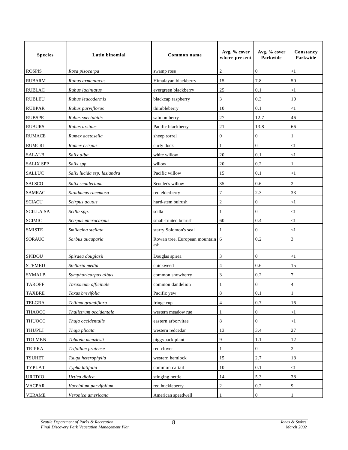| <b>Species</b>    | Latin binomial              | Common name                            | Avg. % cover<br>where present | Avg. % cover<br>Parkwide | Constancy<br>Parkwide |
|-------------------|-----------------------------|----------------------------------------|-------------------------------|--------------------------|-----------------------|
| <b>ROSPIS</b>     | Rosa pisocarpa              | swamp rose                             | 2                             | $\boldsymbol{0}$         | $<$ 1                 |
| <b>RUBARM</b>     | Rubus armeniacus            | Himalayan blackberry                   | 15                            | 7.8                      | 50                    |
| <b>RUBLAC</b>     | Rubus laciniatus            | evergreen blackberry                   | 25                            | 0.1                      | <1                    |
| <b>RUBLEU</b>     | Rubus leucodermis           | blackcap raspberry                     | 3                             | 0.3                      | 10                    |
| <b>RUBPAR</b>     | Rubus parviflorus           | thimbleberry                           | 10                            | 0.1                      | $<$ 1                 |
| <b>RUBSPE</b>     | Rubus spectabilis           | salmon berry                           | 27                            | 12.7                     | 46                    |
| <b>RUBURS</b>     | Rubus ursinus               | Pacific blackberry                     | 21                            | 13.8                     | 66                    |
| <b>RUMACE</b>     | Rumex acetosella            | sheep sorrel                           | 0                             | $\boldsymbol{0}$         | 1                     |
| <b>RUMCRI</b>     | Rumex crispus               | curly dock                             | 1                             | $\mathbf{0}$             | $<$ 1                 |
| <b>SALALB</b>     | Salix alba                  | white willow                           | 20                            | 0.1                      | $<$ 1                 |
| <b>SALIX SPP</b>  | Salix spp                   | willow                                 | 20                            | 0.2                      | 1                     |
| <b>SALLUC</b>     | Salix lucida ssp. lasiandra | Pacific willow                         | 15                            | 0.1                      | $<$ 1                 |
| SALSCO            | Salix scouleriana           | Scouler's willow                       | 35                            | 0.6                      | $\overline{c}$        |
| <b>SAMRAC</b>     | Sambucus racemosa           | red elderberry                         | 7                             | 2.3                      | 33                    |
| <b>SCIACU</b>     | Scirpus acutus              | hard-stem bulrush                      | 2                             | $\overline{0}$           | <1                    |
| <b>SCILLA SP.</b> | Scilla spp.                 | scilla                                 |                               | $\mathbf{0}$             | $\leq$                |
| <b>SCIMIC</b>     | Scirpus microcarpus         | small-fruited bulrush                  | 60                            | 0.4                      | $<$ 1                 |
| <b>SMISTE</b>     | Smilacina stellata          | starry Solomon's seal                  | 1                             | $\overline{0}$           | $<$ 1                 |
| <b>SORAUC</b>     | Sorbus aucuparia            | Rowan tree, European mountain 6<br>ash |                               | 0.2                      | 3                     |
| <b>SPIDOU</b>     | Spiraea douglasii           | Douglas spirea                         | 3                             | $\mathbf{0}$             | $<$ 1                 |
| <b>STEMED</b>     | Stellaria media             | chickweed                              | 4                             | 0.6                      | 15                    |
| <b>SYMALB</b>     | Symphoricarpos albus        | common snowberry                       | 3                             | 0.2                      | 7                     |
| <b>TAROFF</b>     | Taraxicum officinale        | common dandelion                       |                               | $\boldsymbol{0}$         | 4                     |
| <b>TAXBRE</b>     | Taxus brevifolia            | Pacific yew                            | 8                             | 0.1                      | -1                    |
| <b>TELGRA</b>     | Tellima grandiflora         | fringe cup                             | 4                             | 0.7                      | 16                    |
| <b>THAOCC</b>     | Thalictrum occidentale      | western meadow rue                     | 1                             | $\boldsymbol{0}$         | $<1\,$                |
| <b>THUOCC</b>     | Thuja occidentalis          | eastern arborvitae                     | 8                             | $\mathbf{0}$             | $<$ 1                 |
| THUPLI            | Thuja plicata               | western redcedar                       | 13                            | 3.4                      | 27                    |
| <b>TOLMEN</b>     | Tolmeia menziesii           | piggyback plant                        | 9                             | 1.1                      | 12                    |
| <b>TRIPRA</b>     | Trifoilum pratense          | red clover                             | 1                             | $\boldsymbol{0}$         | $\sqrt{2}$            |
| <b>TSUHET</b>     | Tsuga heterophylla          | western hemlock                        | 15                            | 2.7                      | 18                    |
| TYPLAT            | Typha latifolia             | common cattail                         | 10                            | 0.1                      | <1                    |
| <b>URTDIO</b>     | Urtica dioica               | stinging nettle                        | 14                            | 5.3                      | 38                    |
| <b>VACPAR</b>     | Vaccinium parvifolium       | red huckleberry                        | 2                             | 0.2                      | 9                     |
| <b>VERAME</b>     | Veronica americana          | American speedwell                     |                               | $\mathbf{0}$             |                       |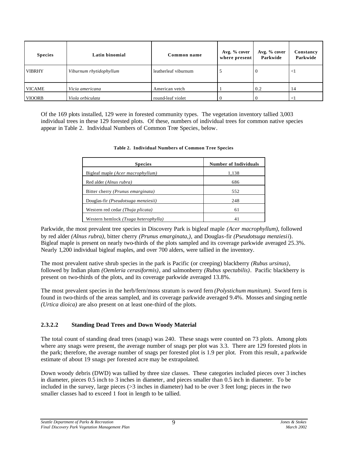| <b>Species</b> | Latin binomial          | Common name          | Avg. % cover<br>where present | Avg. % cover<br>Parkwide | Constancy<br>Parkwide |
|----------------|-------------------------|----------------------|-------------------------------|--------------------------|-----------------------|
| <b>VIBRHY</b>  | Viburnum rhytidophyllum | leatherleaf viburnum |                               |                          | $\leq$                |
| <b>VICAME</b>  | Vicia americana         | American vetch       |                               | 0.2                      | 14                    |
| <b>VIOORB</b>  | Viola orbiculata        | round-leaf violet    |                               |                          |                       |

Of the 169 plots installed, 129 were in forested community types. The vegetation inventory tallied 3,003 individual trees in these 129 forested plots. Of these, numbers of individual trees for common native species appear in Table 2. Individual Numbers of Common Tree Species, below.

| <b>Species</b>                               | <b>Number of Individuals</b> |
|----------------------------------------------|------------------------------|
| Bigleaf maple ( <i>Acer macrophyllum</i> )   | 1,138                        |
| Red alder (Alnus rubra)                      | 686                          |
| Bitter cherry (Prunus emarginata)            | 552                          |
| Douglas-fir ( <i>Pseudotsuga menziesii</i> ) | 248                          |
| Western red cedar <i>(Thuja plicata)</i>     | 61                           |
| Western hemlock (Tsuga heterophylla)         | 41                           |

#### **Table 2. Individual Numbers of Common Tree Species**

Parkwide, the most prevalent tree species in Discovery Park is bigleaf maple *(Acer macrophyllum)*, followed by red alder *(Alnus rubra)*, bitter cherry *(Prunus emarginata,),* and Douglas-fir *(Pseudotsuga menziesii*). Bigleaf maple is present on nearly two-thirds of the plots sampled and its coverage parkwide averaged 25.3%. Nearly 1,200 individual bigleaf maples, and over 700 alders, were tallied in the inventory.

The most prevalent native shrub species in the park is Pacific (or creeping) blackberry *(Rubus ursinus)*, followed by Indian plum *(Oemleria cerasiformis),* and salmonberry *(Rubus spectabilis)*. Pacific blackberry is present on two-thirds of the plots, and its coverage parkwide averaged 13.8%.

The most prevalent species in the herb/fern/moss stratum is sword fern *(Polystichum munitum)*. Sword fern is found in two-thirds of the areas sampled, and its coverage parkwide averaged 9.4%. Mosses and singing nettle *(Urtica dioica)* are also present on at least one-third of the plots.

### **2.3.2.2 Standing Dead Trees and Down Woody Material**

The total count of standing dead trees (snags) was 240. These snags were counted on 73 plots. Among plots where any snags were present, the average number of snags per plot was 3.3. There are 129 forested plots in the park; therefore, the average number of snags per forested plot is 1.9 per plot. From this result, a parkwide estimate of about 19 snags per forested acre may be extrapolated.

Down woody debris (DWD) was tallied by three size classes. These categories included pieces over 3 inches in diameter, pieces 0.5 inch to 3 inches in diameter, and pieces smaller than 0.5 inch in diameter. To be included in the survey, large pieces (>3 inches in diameter) had to be over 3 feet long; pieces in the two smaller classes had to exceed 1 foot in length to be tallied.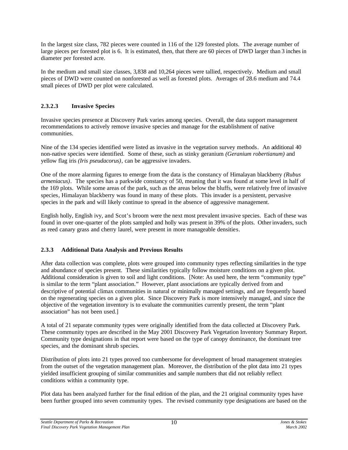In the largest size class, 782 pieces were counted in 116 of the 129 forested plots. The average number of large pieces per forested plot is 6. It is estimated, then, that there are 60 pieces of DWD larger than 3 inches in diameter per forested acre.

In the medium and small size classes, 3,838 and 10,264 pieces were tallied, respectively. Medium and small pieces of DWD were counted on nonforested as well as forested plots. Averages of 28.6 medium and 74.4 small pieces of DWD per plot were calculated.

### **2.3.2.3 Invasive Species**

Invasive species presence at Discovery Park varies among species. Overall, the data support management recommendations to actively remove invasive species and manage for the establishment of native communities.

Nine of the 134 species identified were listed as invasive in the vegetation survey methods. An additional 40 non-native species were identified. Some of these, such as stinky geranium *(Geranium robertianum)* and yellow flag iris *(Iris pseudacorus)*, can be aggressive invaders.

One of the more alarming figures to emerge from the data is the constancy of Himalayan blackberry *(Rubus armeniacus)*. The species has a parkwide constancy of 50, meaning that it was found at some level in half of the 169 plots. While some areas of the park, such as the areas below the bluffs, were relatively free of invasive species, Himalayan blackberry was found in many of these plots. This invader is a persistent, pervasive species in the park and will likely continue to spread in the absence of aggressive management.

English holly, English ivy, and Scot's broom were the next most prevalent invasive species. Each of these was found in over one-quarter of the plots sampled and holly was present in 39% of the plots. Other invaders, such as reed canary grass and cherry laurel, were present in more manageable densities.

### **2.3.3 Additional Data Analysis and Previous Results**

After data collection was complete, plots were grouped into community types reflecting similarities in the type and abundance of species present. These similarities typically follow moisture conditions on a given plot. Additional consideration is given to soil and light conditions. [Note: As used here, the term "community type" is similar to the term "plant association." However, plant associations are typically derived from and descriptive of potential climax communities in natural or minimally managed settings, and are frequently based on the regenerating species on a given plot. Since Discovery Park is more intensively managed, and since the objective of the vegetation inventory is to evaluate the communities currently present, the term "plant association" has not been used.]

A total of 21 separate community types were originally identified from the data collected at Discovery Park. These community types are described in the May 2001 Discovery Park Vegetation Inventory Summary Report. Community type designations in that report were based on the type of canopy dominance, the dominant tree species, and the dominant shrub species.

Distribution of plots into 21 types proved too cumbersome for development of broad management strategies from the outset of the vegetation management plan. Moreover, the distribution of the plot data into 21 types yielded insufficient grouping of similar communities and sample numbers that did not reliably reflect conditions within a community type.

Plot data has been analyzed further for the final edition of the plan, and the 21 original community types have been further grouped into seven community types. The revised community type designations are based on the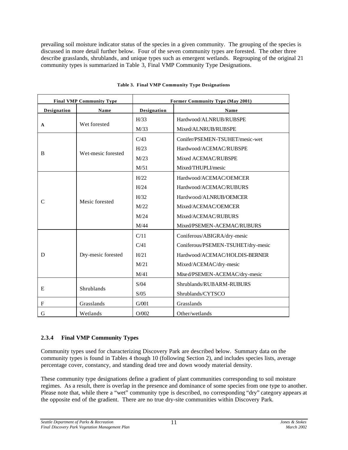prevailing soil moisture indicator status of the species in a given community. The grouping of the species is discussed in more detail further below. Four of the seven community types are forested. The other three describe grasslands, shrublands, and unique types such as emergent wetlands. Regrouping of the original 21 community types is summarized in Table 3, Final VMP Community Type Designations.

|                           | <b>Final VMP Community Type</b> | Former Community Type (May 2001) |                                    |  |
|---------------------------|---------------------------------|----------------------------------|------------------------------------|--|
| Designation               | Name                            | Designation                      | Name                               |  |
|                           |                                 | H/33                             | Hardwood/ALNRUB/RUBSPE             |  |
| $\mathbf{A}$              | Wet forested                    | M/33                             | Mixed/ALNRUB/RUBSPE                |  |
|                           |                                 | C/43                             | Conifer/PSEMEN-TSUHET/mesic-wet    |  |
|                           |                                 | H/23                             | Hardwood/ACEMAC/RUBSPE             |  |
| B                         | Wet-mesic forested              | M/23                             | Mixed ACEMAC/RUBSPE                |  |
|                           |                                 | M/51                             | Mixed/THUPLI/mesic                 |  |
|                           |                                 | H/22                             | Hardwood/ACEMAC/OEMCER             |  |
|                           | Mesic forested                  | H/24                             | Hardwood/ACEMAC/RUBURS             |  |
|                           |                                 | H/32                             | Hardwood/ALNRUB/OEMCER             |  |
| $\mathsf{C}$              |                                 | M/22                             | Mixed/ACEMAC/OEMCER                |  |
|                           |                                 | M/24                             | Mixed/ACEMAC/RUBURS                |  |
|                           |                                 | M/44                             | Mixed/PSEMEN-ACEMAC/RUBURS         |  |
|                           |                                 | C/11                             | Coniferous/ABIGRA/dry-mesic        |  |
|                           |                                 | C/41                             | Coniferous/PSEMEN-TSUHET/dry-mesic |  |
| D                         | Dry-mesic forested              | H/21                             | Hardwood/ACEMAC/HOLDIS-BERNER      |  |
|                           |                                 | M/21                             | Mixed/ACEMAC/dry-mesic             |  |
|                           |                                 | M/41                             | Mixed/PSEMEN-ACEMAC/dry-mesic      |  |
|                           |                                 | S/04                             | Shrublands/RUBARM-RUBURS           |  |
| E                         | Shrublands                      | S/05                             | Shrublands/CYTSCO                  |  |
| $\boldsymbol{\mathrm{F}}$ | Grasslands                      | G/001                            | Grasslands                         |  |
| G                         | Wetlands                        | O/002                            | Other/wetlands                     |  |

| Table 3. Final VMP Community Type Designations |  |  |  |  |  |  |
|------------------------------------------------|--|--|--|--|--|--|
|------------------------------------------------|--|--|--|--|--|--|

### **2.3.4 Final VMP Community Types**

Community types used for characterizing Discovery Park are described below. Summary data on the community types is found in Tables 4 though 10 (following Section 2), and includes species lists, average percentage cover, constancy, and standing dead tree and down woody material density.

These community type designations define a gradient of plant communities corresponding to soil moisture regimes. As a result, there is overlap in the presence and dominance of some species from one type to another. Please note that, while there a "wet" community type is described, no corresponding "dry" category appears at the opposite end of the gradient. There are no true dry-site communities within Discovery Park.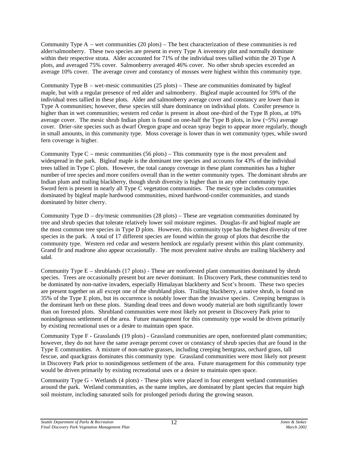Community Type A – wet communities (20 plots) – The best characterization of these communities is red alder/salmonberry. These two species are present in every Type A inventory plot and normally dominate within their respective strata. Alder accounted for 71% of the individual trees tallied within the 20 Type A plots, and averaged 75% cover. Salmonberry averaged 46% cover. No other shrub species exceeded an average 10% cover. The average cover and constancy of mosses were highest within this community type.

Community Type  $B -$  wet-mesic communities (25 plots) – These are communities dominated by bigleaf maple, but with a regular presence of red alder and salmonberry. Bigleaf maple accounted for 59% of the individual trees tallied in these plots. Alder and salmonberry average cover and constancy are lower than in Type A communities; however, these species still share dominance on individual plots. Conifer presence is higher than in wet communities; western red cedar is present in about one-third of the Type B plots, at 10% average cover. The mesic shrub Indian plum is found on one-half the Type B plots, in low  $(-5\%)$  average cover. Drier-site species such as dwarf Oregon grape and ocean spray begin to appear more regularly, though in small amounts, in this community type. Moss coverage is lower than in wet community types, while sword fern coverage is higher.

Community Type  $C$  – mesic communities (56 plots) – This community type is the most prevalent and widespread in the park. Bigleaf maple is the dominant tree species and accounts for 43% of the individual trees tallied in Type C plots. However, the total canopy coverage in these plant communities has a higher number of tree species and more conifers overall than in the wetter community types. The dominant shrubs are Indian plum and trailing blackberry, though shrub diversity is higher than in any other community type. Sword fern is present in nearly all Type C vegetation communities. The mesic type includes communities dominated by bigleaf maple hardwood communities, mixed hardwood-conifer communities, and stands dominated by bitter cherry.

Community Type  $D - dry/m$ esic communities (28 plots) – These are vegetation communities dominated by tree and shrub species that tolerate relatively lower soil moisture regimes. Douglas-fir and bigleaf maple are the most common tree species in Type D plots. However, this community type has the highest diversity of tree species in the park. A total of 17 different species are found within the group of plots that describe the community type. Western red cedar and western hemlock are regularly present within this plant community. Grand fir and madrone also appear occasionally. The most prevalent native shrubs are trailing blackberry and salal.

Community Type E – shrublands (17 plots) - These are nonforested plant communities dominated by shrub species. Trees are occasionally present but are never dominant. In Discovery Park, these communities tend to be dominated by non-native invaders, especially Himalayan blackberry and Scot's broom. These two species are present together on all except one of the shrubland plots. Trailing blackberry, a native shrub, is found on 35% of the Type E plots, but its occurrence is notably lower than the invasive species. Creeping bentgrass is the dominant herb on these plots. Standing dead trees and down woody material are both significantly lower than on forested plots. Shrubland communities were most likely not present in Discovery Park prior to nonindigenous settlement of the area. Future management for this community type would be driven primarily by existing recreational uses or a desire to maintain open space.

Community Type F - Grasslands (19 plots) - Grassland communities are open, nonforested plant communities; however, they do not have the same average percent cover or constancy of shrub species that are found in the Type E communities. A mixture of non-native grasses, including creeping bentgrass, orchard grass, tall fescue, and quackgrass dominates this community type. Grassland communities were most likely not present in Discovery Park prior to nonindigenous settlement of the area. Future management for this community type would be driven primarily by existing recreational uses or a desire to maintain open space.

Community Type G - Wetlands (4 plots) - These plots were placed in four emergent wetland communities around the park. Wetland communities, as the name implies, are dominated by plant species that require high soil moisture, including saturated soils for prolonged periods during the growing season.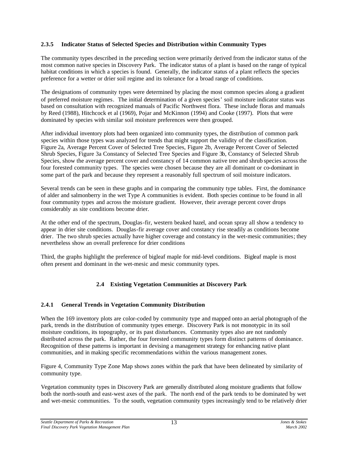### **2.3.5 Indicator Status of Selected Species and Distribution within Community Types**

The community types described in the preceding section were primarily derived from the indicator status of the most common native species in Discovery Park. The indicator status of a plant is based on the range of typical habitat conditions in which a species is found. Generally, the indicator status of a plant reflects the species preference for a wetter or drier soil regime and its tolerance for a broad range of conditions.

The designations of community types were determined by placing the most common species along a gradient of preferred moisture regimes. The initial determination of a given species' soil moisture indicator status was based on consultation with recognized manuals of Pacific Northwest flora. These include floras and manuals by Reed (1988), Hitchcock et al (1969), Pojar and McKinnon (1994) and Cooke (1997). Plots that were dominated by species with similar soil moisture preferences were then grouped.

After individual inventory plots had been organized into community types, the distribution of common park species within those types was analyzed for trends that might support the validity of the classification. Figure 2a, Average Percent Cover of Selected Tree Species, Figure 2b, Average Percent Cover of Selected Shrub Species, Figure 3a Constancy of Selected Tree Species and Figure 3b, Constancy of Selected Shrub Species, show the average percent cover and constancy of 14 common native tree and shrub species across the four forested community types. The species were chosen because they are all dominant or co-dominant in some part of the park and because they represent a reasonably full spectrum of soil moisture indicators.

Several trends can be seen in these graphs and in comparing the community type tables. First, the dominance of alder and salmonberry in the wet Type A communities is evident. Both species continue to be found in all four community types and across the moisture gradient. However, their average percent cover drops considerably as site conditions become drier.

At the other end of the spectrum, Douglas-fir, western beaked hazel, and ocean spray all show a tendency to appear in drier site conditions. Douglas-fir average cover and constancy rise steadily as conditions become drier. The two shrub species actually have higher coverage and constancy in the wet-mesic communities; they nevertheless show an overall preference for drier conditions

Third, the graphs highlight the preference of bigleaf maple for mid-level conditions. Bigleaf maple is most often present and dominant in the wet-mesic and mesic community types.

### **2.4 Existing Vegetation Communities at Discovery Park**

### **2.4.1 General Trends in Vegetation Community Distribution**

When the 169 inventory plots are color-coded by community type and mapped onto an aerial photograph of the park, trends in the distribution of community types emerge. Discovery Park is not monotypic in its soil moisture conditions, its topography, or its past disturbances. Community types also are not randomly distributed across the park. Rather, the four forested community types form distinct patterns of dominance. Recognition of these patterns is important in devising a management strategy for enhancing native plant communities, and in making specific recommendations within the various management zones.

Figure 4, Community Type Zone Map shows zones within the park that have been delineated by similarity of community type.

Vegetation community types in Discovery Park are generally distributed along moisture gradients that follow both the north-south and east-west axes of the park. The north end of the park tends to be dominated by wet and wet-mesic communities. To the south, vegetation community types increasingly tend to be relatively drier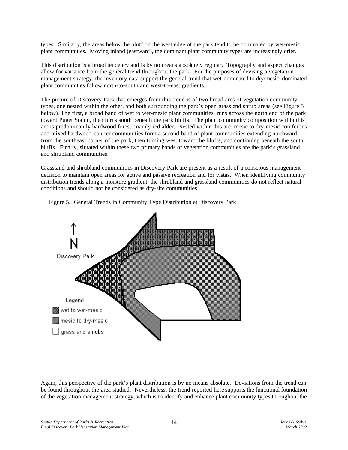types. Similarly, the areas below the bluff on the west edge of the park tend to be dominated by wet-mesic plant communities. Moving inland (eastward), the dominant plant community types are increasingly drier.

This distribution is a broad tendency and is by no means absolutely regular. Topography and aspect changes allow for variance from the general trend throughout the park. For the purposes of devising a vegetation management strategy, the inventory data support the general trend that wet-dominated to dry/mesic -dominated plant communities follow north-to-south and west-to-east gradients.

The picture of Discovery Park that emerges from this trend is of two broad arcs of vegetation community types, one nested within the other, and both surrounding the park's open grass and shrub areas (see Figure 5 below). The first, a broad band of wet to wet-mesic plant communities, runs across the north end of the park toward Puget Sound, then turns south beneath the park bluffs. The plant community composition within this arc is predominantly hardwood forest, mainly red alder. Nested within this arc, mesic to dry-mesic coniferous and mixed hardwood-conifer communities form a second band of plant communities extending northward from the southeast corner of the park, then turning west toward the bluffs, and continuing beneath the south bluffs. Finally, situated within these two primary bands of vegetation communities are the park's grassland and shrubland communities.

Grassland and shrubland communities in Discovery Park are present as a result of a conscious management decision to maintain open areas for active and passive recreation and for vistas. When identifying community distribution trends along a moisture gradient, the shrubland and grassland communities do not reflect natural conditions and should not be considered as dry-site communities.



Figure 5. General Trends in Community Type Distribution at Discovery Park

Again, this perspective of the park's plant distribution is by no means absolute. Deviations from the trend can be found throughout the area studied. Nevertheless, the trend reported here supports the functional foundation of the vegetation management strategy, which is to identify and enhance plant community types throughout the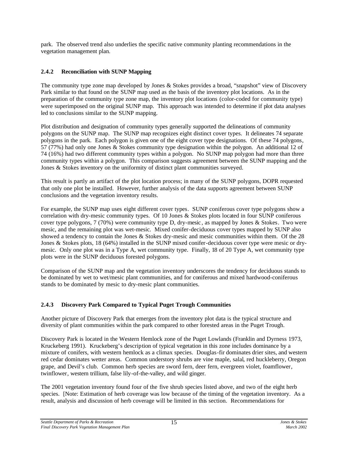park. The observed trend also underlies the specific native community planting recommendations in the vegetation management plan.

### **2.4.2 Reconciliation with SUNP Mapping**

The community type zone map developed by Jones & Stokes provides a broad, "snapshot" view of Discovery Park similar to that found on the SUNP map used as the basis of the inventory plot locations. As in the preparation of the community type zone map, the inventory plot locations (color-coded for community type) were superimposed on the original SUNP map. This approach was intended to determine if plot data analyses led to conclusions similar to the SUNP mapping.

Plot distribution and designation of community types generally supported the delineations of community polygons on the SUNP map. The SUNP map recognizes eight distinct cover types. It delineates 74 separate polygons in the park. Each polygon is given one of the eight cover type designations. Of these 74 polygons, 57 (77%) had only one Jones & Stokes community type designation within the polygon. An additional 12 of 74 (16%) had two different community types within a polygon. No SUNP map polygon had more than three community types within a polygon. This comparison suggests agreement between the SUNP mapping and the Jones & Stokes inventory on the uniformity of distinct plant communities surveyed.

This result is partly an artifact of the plot location process; in many of the SUNP polygons, DOPR requested that only one plot be installed. However, further analysis of the data supports agreement between SUNP conclusions and the vegetation inventory results.

For example, the SUNP map uses eight different cover types. SUNP coniferous cover type polygons show a correlation with dry-mesic community types. Of 10 Jones & Stokes plots located in four SUNP coniferous cover type polygons, 7 (70%) were community type D, dry-mesic , as mapped by Jones & Stokes. Two were mesic, and the remaining plot was wet-mesic. Mixed conifer-deciduous cover types mapped by SUNP also showed a tendency to contain the Jones & Stokes dry-mesic and mesic communities within them. Of the 28 Jones & Stokes plots, 18 (64%) installed in the SUNP mixed conifer-deciduous cover type were mesic or drymesic. Only one plot was in a Type A, wet community type. Finally, 18 of 20 Type A, wet community type plots were in the SUNP deciduous forested polygons.

Comparison of the SUNP map and the vegetation inventory underscores the tendency for deciduous stands to be dominated by wet to wet/mesic plant communities, and for coniferous and mixed hardwood-coniferous stands to be dominated by mesic to dry-mesic plant communities.

### **2.4.3 Discovery Park Compared to Typical Puget Trough Communities**

Another picture of Discovery Park that emerges from the inventory plot data is the typical structure and diversity of plant communities within the park compared to other forested areas in the Puget Trough.

Discovery Park is located in the Western Hemlock zone of the Puget Lowlands (Franklin and Dyrness 1973, Kruckeberg 1991). Kruckeberg's description of typical vegetation in this zone includes dominance by a mixture of conifers, with western hemlock as a climax species. Douglas-fir dominates drier sites, and western red cedar dominates wetter areas. Common understory shrubs are vine maple, salal, red huckleberry, Oregon grape, and Devil's club. Common herb species are sword fern, deer fern, evergreen violet, foamflower, twinflower, western trillium, false lily-of-the-valley, and wild ginger.

The 2001 vegetation inventory found four of the five shrub species listed above, and two of the eight herb species. [Note: Estimation of herb coverage was low because of the timing of the vegetation inventory. As a result, analysis and discussion of herb coverage will be limited in this section. Recommendations for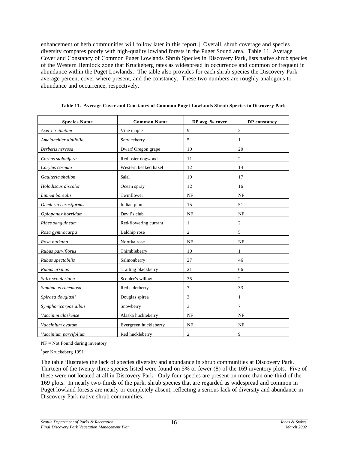enhancement of herb communities will follow later in this report.] Overall, shrub coverage and species diversity compares poorly with high-quality lowland forests in the Puget Sound area. Table 11, Average Cover and Constancy of Common Puget Lowlands Shrub Species in Discovery Park, lists native shrub species of the Western Hemlock zone that Kruckeberg rates as widespread in occurrence and common or frequent in abundance within the Puget Lowlands. The table also provides for each shrub species the Discovery Park average percent cover where present, and the constancy. These two numbers are roughly analogous to abundance and occurrence, respectively.

| <b>Species Name</b>   | <b>Common Name</b>    | DP avg. % cover | DP constancy   |  |
|-----------------------|-----------------------|-----------------|----------------|--|
| Acer circinatum       | Vine maple            | 9               | $\mathbf{2}$   |  |
| Amelanchier alnifolia | Serviceberry          | 5               | 1              |  |
| Berberis nervosa      | Dwarf Oregon grape    | 10              | 20             |  |
| Cornus stolonifera    | Red-osier dogwood     | 11              | $\overline{c}$ |  |
| Corylus cornuta       | Western beaked hazel  | 12              | 14             |  |
| Gaulteria shallon     | Salal                 | 19              | 17             |  |
| Holodiscus discolor   | Ocean spray           | 12              | 16             |  |
| Linnea borealis       | Twinflower            | <b>NF</b>       | <b>NF</b>      |  |
| Oemleria cerasiformis | Indian plum           | 15              | 51             |  |
| Oplopanax horridum    | Devil's club          | NF              | <b>NF</b>      |  |
| Ribes sanguineum      | Red-flowering currant | 1               | $\overline{2}$ |  |
| Rosa gymnocarpa       | Baldhip rose          | $\overline{c}$  | 5              |  |
| Rosa nutkana          | Nootka rose           | NF              | <b>NF</b>      |  |
| Rubus parviflorus     | Thimbleberry          | 10              | 1              |  |
| Rubus spectabilis     | Salmonberry           | 27              | 46             |  |
| Rubus ursinus         | Trailing blackberry   | 21              | 66             |  |
| Salix scouleriana     | Scouler's willow      | 35              | $\overline{c}$ |  |
| Sambucus racemosa     | Red elderberry        | 7               | 33             |  |
| Spiraea douglasii     | Douglas spirea        | 3               | 1              |  |
| Symphoricarpos albus  | Snowberry             | 3               | $\overline{7}$ |  |
| Vaccinim alaskense    | Alaska huckleberry    | NF              | <b>NF</b>      |  |
| Vaccinium ovatum      | Evergreen huckleberry | <b>NF</b>       | <b>NF</b>      |  |
| Vaccinium parvifolium | Red huckleberry       | $\overline{c}$  | 9              |  |

**Table 11. Average Cover and Constancy of Common Puget Lowlands Shrub Species in Discovery Park**

NF = Not Found during inventory

1 per Kruckeberg 1991

The table illustrates the lack of species diversity and abundance in shrub communities at Discovery Park. Thirteen of the twenty-three species listed were found on 5% or fewer (8) of the 169 inventory plots. Five of these were not located at all in Discovery Park. Only four species are present on more than one-third of the 169 plots. In nearly two-thirds of the park, shrub species that are regarded as widespread and common in Puget lowland forests are nearly or completely absent, reflecting a serious lack of diversity and abundance in Discovery Park native shrub communities.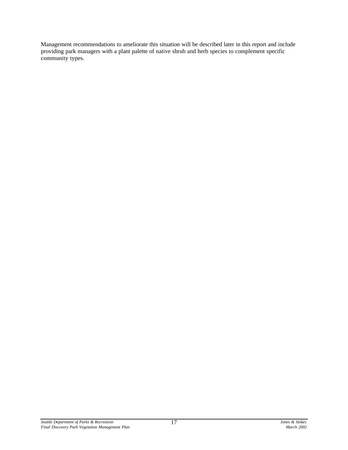Management recommendations to ameliorate this situation will be described later in this report and include providing park managers with a plant palette of native shrub and herb species to complement specific community types.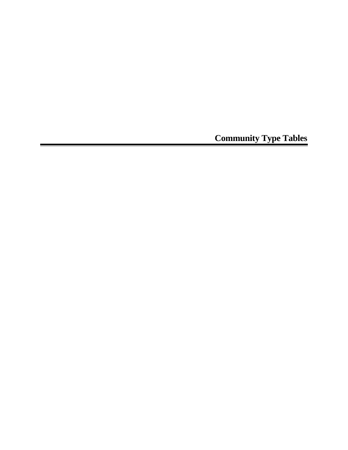**Community Type Tables**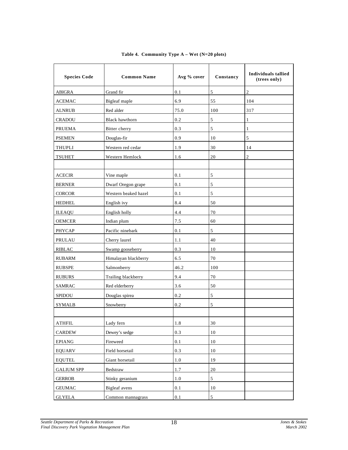| <b>Species Code</b> | <b>Common Name</b>    | Avg % cover | Constancy  | Individuals tallied<br>(trees only) |
|---------------------|-----------------------|-------------|------------|-------------------------------------|
| <b>ABIGRA</b>       | Grand fir             | 0.1         | 5          | $\overline{c}$                      |
| ACEMAC              | Bigleaf maple         | 6.9         | 55         | 104                                 |
| <b>ALNRUB</b>       | Red alder             | 75.0        | 100        | 317                                 |
| <b>CRADOU</b>       | <b>Black hawthorn</b> | 0.2         | 5          | $\mathbf{1}$                        |
| <b>PRUEMA</b>       | Bitter cherry         | 0.3         | 5          | 1                                   |
| <b>PSEMEN</b>       | Douglas-fir           | 0.9         | 10         | 5                                   |
| THUPLI              | Western red cedar     | 1.9         | 30         | 14                                  |
| TSUHET              | Western Hemlock       | 1.6         | 20         | 2                                   |
|                     |                       |             |            |                                     |
| <b>ACECIR</b>       | Vine maple            | 0.1         | 5          |                                     |
| <b>BERNER</b>       | Dwarf Oregon grape    | 0.1         | 5          |                                     |
| <b>CORCOR</b>       | Western beaked hazel  | 0.1         | 5          |                                     |
| <b>HEDHEL</b>       | English ivy           | 8.4         | 50         |                                     |
| <b>ILEAQU</b>       | English holly         | 4.4         | 70         |                                     |
| <b>OEMCER</b>       | Indian plum           | 7.5         | 60         |                                     |
| <b>PHYCAP</b>       | Pacific ninebark      | 0.1         | 5          |                                     |
| <b>PRULAU</b>       | Cherry laurel         | 1.1         | 40         |                                     |
| <b>RIBLAC</b>       | Swamp gooseberry      | 0.3         | 10         |                                     |
| <b>RUBARM</b>       | Himalayan blackberry  | 6.5         | 70         |                                     |
| <b>RUBSPE</b>       | Salmonberry           | 46.2        | 100        |                                     |
| <b>RUBURS</b>       | Trailing blackberry   | 9.4         | 70         |                                     |
| <b>SAMRAC</b>       | Red elderberry        | 3.6         | 50         |                                     |
| <b>SPIDOU</b>       | Douglas spirea        | 0.2         | 5          |                                     |
| <b>SYMALB</b>       | Snowberry             | 0.2         | 5          |                                     |
|                     |                       |             |            |                                     |
| <b>ATHFIL</b>       | Lady fern             | $1.8\,$     | 30         |                                     |
| CARDEW              | Dewey's sedge         | 0.3         | 10         |                                     |
| EPIANG              | Fireweed              | 0.1         | 10         |                                     |
| <b>EQUARV</b>       | Field horsetail       | 0.3         | $10\,$     |                                     |
| <b>EQUTEL</b>       | Giant horsetail       | $1.0\,$     | 19         |                                     |
| <b>GALIUM SPP</b>   | Bedstraw              | $1.7\,$     | $20\,$     |                                     |
| <b>GERROB</b>       | Stinky geranium       | $1.0\,$     | $\sqrt{5}$ |                                     |
| <b>GEUMAC</b>       | <b>Bigleaf</b> avens  | $0.1\,$     | 10         |                                     |
| <b>GLYELA</b>       | Common mannagrass     | $0.1\,$     | 5          |                                     |

### **Table 4. Community Type A – Wet (N=20 plots)**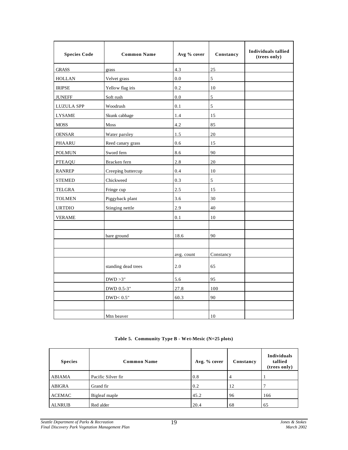| <b>Species Code</b> | <b>Common Name</b>   | Avg % cover | Constancy | Individuals tallied<br>(trees only) |
|---------------------|----------------------|-------------|-----------|-------------------------------------|
| <b>GRASS</b>        | grass                | 4.3         | 25        |                                     |
| <b>HOLLAN</b>       | Velvet grass         | 0.0         | 5         |                                     |
| <b>IRIPSE</b>       | Yellow flag iris     | 0.2         | 10        |                                     |
| <b>JUNEFF</b>       | Soft rush            | 0.0         | 5         |                                     |
| <b>LUZULA SPP</b>   | Woodrush             | 0.1         | 5         |                                     |
| <b>LYSAME</b>       | Skunk cabbage        | 1.4         | 15        |                                     |
| <b>MOSS</b>         | <b>Moss</b>          | 4.2         | 85        |                                     |
| <b>OENSAR</b>       | Water parsley        | 1.5         | 20        |                                     |
| PHAARU              | Reed canary grass    | 0.6         | 15        |                                     |
| <b>POLMUN</b>       | Sword fern           | 8.6         | 90        |                                     |
| <b>PTEAQU</b>       | Bracken fern         | $2.8\,$     | 20        |                                     |
| <b>RANREP</b>       | Creeping buttercup   | 0.4         | 10        |                                     |
| <b>STEMED</b>       | Chickweed            | 0.3         | 5         |                                     |
| <b>TELGRA</b>       | Fringe cup           | 2.5         | 15        |                                     |
| <b>TOLMEN</b>       | Piggyback plant      | 3.6         | 30        |                                     |
| <b>URTDIO</b>       | Stinging nettle      | 2.9         | 40        |                                     |
| VERAME              |                      | 0.1         | 10        |                                     |
|                     |                      |             |           |                                     |
|                     | bare ground          | 18.6        | 90        |                                     |
|                     |                      |             |           |                                     |
|                     |                      | avg. count  | Constancy |                                     |
|                     | standing dead trees  | $2.0\,$     | 65        |                                     |
|                     | DWD > 3"             | 5.6         | 95        |                                     |
|                     | DWD 0.5-3"           | 27.8        | 100       |                                     |
|                     | $\rm{DWD}\rm{<}0.5"$ | 60.3        | 90        |                                     |
|                     |                      |             |           |                                     |
|                     | Mtn beaver           |             | 10        |                                     |

### **Table 5. Community Type B - Wet-Mesic (N=25 plots)**

| <b>Species</b> | <b>Common Name</b> | Avg. % cover | Constancy | Individuals<br>tallied<br>(trees only) |
|----------------|--------------------|--------------|-----------|----------------------------------------|
| <b>ABIAMA</b>  | Pacific Silver fir | 0.8          | 4         |                                        |
| <b>ABIGRA</b>  | Grand fir          | 0.2          | 12        |                                        |
| <b>ACEMAC</b>  | Bigleaf maple      | 45.2         | 96        | 166                                    |
| <b>ALNRUB</b>  | Red alder          | 20.4         | 68        | 65                                     |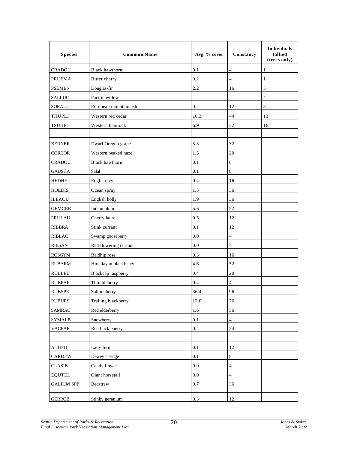| <b>Species</b>    | <b>Common Name</b>    | Avg. % cover | Constancy      | Individuals<br>tallied<br>(trees only) |
|-------------------|-----------------------|--------------|----------------|----------------------------------------|
| <b>CRADOU</b>     | <b>Black hawthorn</b> | 0.1          | $\overline{4}$ | 1                                      |
| <b>PRUEMA</b>     | Bitter cherry         | 0.2          | 4              | 1                                      |
| <b>PSEMEN</b>     | Douglas-fir           | 2.2          | 16             | 5                                      |
| <b>SALLUC</b>     | Pacific willow        |              |                | 4                                      |
| SORAUC            | European mountain ash | $0.4\,$      | 12             | 3                                      |
| <b>THUPLI</b>     | Western red cedar     | 10.3         | 44             | 13                                     |
| <b>TSUHET</b>     | Western hemlock       | 6.9          | 32             | 16                                     |
|                   |                       |              |                |                                        |
| <b>BERNER</b>     | Dwarf Oregon grape    | 5.3          | 32             |                                        |
| <b>CORCOR</b>     | Western beaked hazel  | 1.5          | 20             |                                        |
| <b>CRADOU</b>     | Black hawthorn        | 0.1          | 8              |                                        |
| <b>GAUSHA</b>     | Salal                 | 0.1          | $\,8\,$        |                                        |
| <b>HEDHEL</b>     | English ivy           | 0.4          | 16             |                                        |
| <b>HOLDIS</b>     | Ocean spray           | 1.5          | 36             |                                        |
| <b>ILEAQU</b>     | English holly         | 1.9          | 36             |                                        |
| <b>OEMCER</b>     | Indian plum           | 5.6          | 52             |                                        |
| <b>PRULAU</b>     | Cherry laurel         | 0.5          | 12             |                                        |
| <b>RIBBRA</b>     | Stink currant         | 0.1          | 12             |                                        |
| <b>RIBLAC</b>     | Swamp gooseberry      | $0.0\,$      | $\overline{4}$ |                                        |
| <b>RIBSAN</b>     | Red-flowering currant | 0.0          | $\overline{4}$ |                                        |
| <b>ROSGYM</b>     | <b>Baldhip</b> rose   | 0.3          | 16             |                                        |
| <b>RUBARM</b>     | Himalayan blackberry  | 4.6          | 52             |                                        |
| <b>RUBLEU</b>     | Blackcap raspberry    | 0.4          | 20             |                                        |
| <b>RUBPAR</b>     | Thimbleberry          | 0.4          | 4              |                                        |
| <b>RUBSPE</b>     | Salmonberry           | 36.4         | 96             |                                        |
| <b>RUBURS</b>     | Trailing blackberry   | 12.0         | $76\,$         |                                        |
| <b>SAMRAC</b>     | Red elderberry        | 1.6          | 56             |                                        |
| <b>SYMALB</b>     | Snowberry             | 0.1          | 4              |                                        |
| <b>VACPAR</b>     | Red huckleberry       | 0.4          | 24             |                                        |
|                   |                       |              |                |                                        |
| <b>ATHFIL</b>     | Lady fern             | $0.1\,$      | 12             |                                        |
| CARDEW            | Dewey's sedge         | 0.1          | $\,8\,$        |                                        |
| <b>CLASIB</b>     | Candy flower          | $0.0\,$      | $\overline{4}$ |                                        |
| <b>EQUTEL</b>     | Giant horsetail       | 0.0          | 4              |                                        |
| <b>GALIUM SPP</b> | Bedstraw              | 0.7          | 36             |                                        |
| <b>GERROB</b>     | Stinky geranium       | 0.3          | 12             |                                        |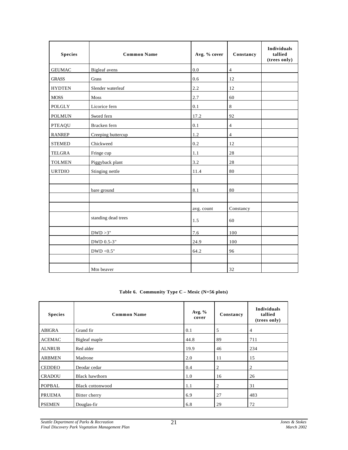| <b>Species</b> | <b>Common Name</b>   | Avg. % cover | Constancy      | <b>Individuals</b><br>tallied<br>(trees only) |
|----------------|----------------------|--------------|----------------|-----------------------------------------------|
| <b>GEUMAC</b>  | <b>Bigleaf</b> avens | 0.0          | $\overline{4}$ |                                               |
| <b>GRASS</b>   | Grass                | 0.6          | 12             |                                               |
| <b>HYDTEN</b>  | Slender waterleaf    | 2.2          | 12             |                                               |
| <b>MOSS</b>    | ${\bf Moss}$         | 2.7          | 60             |                                               |
| POLGLY         | Licorice fern        | 0.1          | 8              |                                               |
| <b>POLMUN</b>  | Sword fern           | 17.2         | 92             |                                               |
| <b>PTEAQU</b>  | Bracken fern         | 0.1          | $\overline{4}$ |                                               |
| <b>RANREP</b>  | Creeping buttercup   | 1.2          | $\overline{4}$ |                                               |
| <b>STEMED</b>  | Chickweed            | 0.2          | 12             |                                               |
| <b>TELGRA</b>  | Fringe cup           | 1.1          | 28             |                                               |
| <b>TOLMEN</b>  | Piggyback plant      | 3.2          | 28             |                                               |
| <b>URTDIO</b>  | Stinging nettle      | 11.4         | 80             |                                               |
|                |                      |              |                |                                               |
|                | bare ground          | 8.1          | 80             |                                               |
|                |                      |              |                |                                               |
|                |                      | avg. count   | Constancy      |                                               |
|                | standing dead trees  | 1.5          | 60             |                                               |
|                | DWD > 3"             | 7.6          | 100            |                                               |
|                | DWD 0.5-3"           | 24.9         | 100            |                                               |
|                | DWD < $0.5"$         | 64.2         | 96             |                                               |
|                |                      |              |                |                                               |
|                | Mtn beaver           |              | 32             |                                               |

**Table 6. Community Type C – Mesic (N=56 plots)**

| <b>Species</b> | <b>Common Name</b>      | Avg. $%$<br>cover | Constancy      | <b>Individuals</b><br>tallied<br>(trees only) |
|----------------|-------------------------|-------------------|----------------|-----------------------------------------------|
| ABIGRA         | Grand fir               | 0.1               | 5              | 4                                             |
| <b>ACEMAC</b>  | Bigleaf maple           | 44.8              | 89             | 711                                           |
| <b>ALNRUB</b>  | Red alder               | 19.9              | 46             | 234                                           |
| <b>ARBMEN</b>  | Madrone                 | 2.0               | 11             | 15                                            |
| <b>CEDDEO</b>  | Deodar cedar            | 0.4               | $\overline{2}$ | 2                                             |
| <b>CRADOU</b>  | Black hawthorn          | 1.0               | 16             | 26                                            |
| POPBAL         | <b>Black cottonwood</b> | 1.1               | $\overline{2}$ | 31                                            |
| <b>PRUEMA</b>  | Bitter cherry           | 6.9               | 27             | 483                                           |
| <b>PSEMEN</b>  | Douglas-fir             | 6.8               | 29             | 72                                            |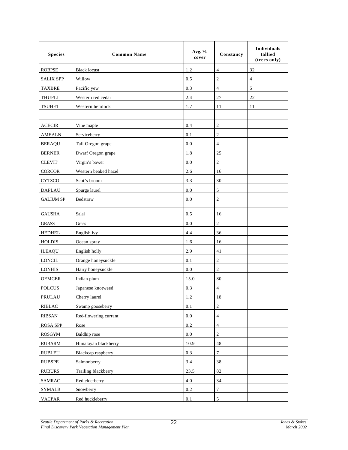| <b>Species</b>   | <b>Common Name</b>    | Avg. $%$<br>cover | Constancy               | Individuals<br>tallied<br>(trees only) |
|------------------|-----------------------|-------------------|-------------------------|----------------------------------------|
| <b>ROBPSE</b>    | <b>Black locust</b>   | 1.2               | $\overline{4}$          | 32                                     |
| <b>SALIX SPP</b> | Willow                | 0.5               | $\overline{c}$          | $\overline{4}$                         |
| <b>TAXBRE</b>    | Pacific yew           | 0.3               | $\overline{4}$          | 5                                      |
| <b>THUPLI</b>    | Western red cedar     | 2.4               | 27                      | 22                                     |
| <b>TSUHET</b>    | Western hemlock       | 1.7               | 11                      | 11                                     |
|                  |                       |                   |                         |                                        |
| <b>ACECIR</b>    | Vine maple            | 0.4               | $\overline{2}$          |                                        |
| <b>AMEALN</b>    | Serviceberry          | 0.1               | $\overline{c}$          |                                        |
| <b>BERAQU</b>    | Tall Oregon grape     | 0.0               | $\overline{4}$          |                                        |
| <b>BERNER</b>    | Dwarf Oregon grape    | 1.8               | 25                      |                                        |
| <b>CLEVIT</b>    | Virgin's bower        | 0.0               | $\overline{2}$          |                                        |
| <b>CORCOR</b>    | Western beaked hazel  | 2.6               | 16                      |                                        |
| <b>CYTSCO</b>    | Scot's broom          | 3.3               | 30                      |                                        |
| <b>DAPLAU</b>    | Spurge laurel         | 0.0               | 5                       |                                        |
| <b>GALIUM SP</b> | Bedstraw              | 0.0               | $\overline{c}$          |                                        |
| <b>GAUSHA</b>    | Salal                 | 0.5               | 16                      |                                        |
| <b>GRASS</b>     | Grass                 | 0.0               | $\overline{c}$          |                                        |
| <b>HEDHEL</b>    | English ivy           | 4.4               | 36                      |                                        |
| <b>HOLDIS</b>    | Ocean spray           | 1.6               | 16                      |                                        |
| <b>ILEAQU</b>    | English holly         | 2.9               | 41                      |                                        |
| <b>LONCIL</b>    | Orange honeysuckle    | 0.1               | $\overline{c}$          |                                        |
| <b>LONHIS</b>    | Hairy honeysuckle     | 0.0               | $\overline{c}$          |                                        |
| <b>OEMCER</b>    | Indian plum           | 15.0              | 80                      |                                        |
| <b>POLCUS</b>    | Japanese knotweed     | 0.3               | 4                       |                                        |
| PRULAU           | Cherry laurel         | 1.2               | 18                      |                                        |
| <b>RIBLAC</b>    | Swamp gooseberry      | 0.1               | $\overline{c}$          |                                        |
| <b>RIBSAN</b>    | Red-flowering currant | $0.0\,$           | $\overline{\mathbf{4}}$ |                                        |
| <b>ROSA SPP</b>  | Rose                  | $0.2\,$           | $\overline{4}$          |                                        |
| <b>ROSGYM</b>    | Baldhip rose          | $0.0\,$           | $\mathfrak{2}$          |                                        |
| <b>RUBARM</b>    | Himalayan blackberry  | 10.9              | $48\,$                  |                                        |
| <b>RUBLEU</b>    | Blackcap raspberry    | 0.3               | $\tau$                  |                                        |
| <b>RUBSPE</b>    | Salmonberry           | 3.4               | 38                      |                                        |
| <b>RUBURS</b>    | Trailing blackberry   | 23.5              | 82                      |                                        |
| <b>SAMRAC</b>    | Red elderberry        | $4.0\,$           | 34                      |                                        |
| <b>SYMALB</b>    | Snowberry             | 0.2               | $\tau$                  |                                        |
| <b>VACPAR</b>    | Red huckleberry       | 0.1               | 5                       |                                        |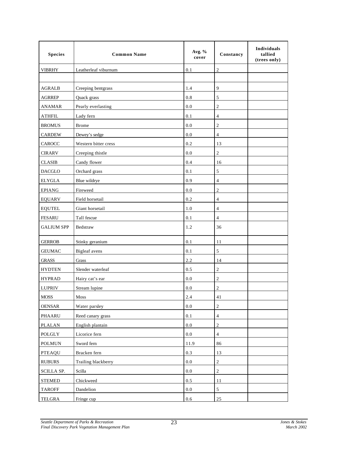| <b>Species</b>    | <b>Common Name</b>   | Avg. %<br>cover | Constancy      | Individuals<br>tallied<br>(trees only) |
|-------------------|----------------------|-----------------|----------------|----------------------------------------|
| <b>VIBRHY</b>     | Leatherleaf viburnum | 0.1             | $\overline{2}$ |                                        |
|                   |                      |                 |                |                                        |
| <b>AGRALB</b>     | Creeping bentgrass   | 1.4             | $\overline{9}$ |                                        |
| <b>AGRREP</b>     | Quack grass          | $0.8\,$         | $\sqrt{5}$     |                                        |
| <b>ANAMAR</b>     | Pearly everlasting   | 0.0             | $\sqrt{2}$     |                                        |
| <b>ATHFIL</b>     | Lady fern            | 0.1             | $\overline{4}$ |                                        |
| <b>BROMUS</b>     | <b>Brome</b>         | 0.0             | $\sqrt{2}$     |                                        |
| <b>CARDEW</b>     | Dewey's sedge        | 0.0             | $\overline{4}$ |                                        |
| <b>CAROCC</b>     | Western bitter cress | 0.2             | 13             |                                        |
| <b>CIRARV</b>     | Creeping thistle     | 0.0             | $\sqrt{2}$     |                                        |
| <b>CLASIB</b>     | Candy flower         | 0.4             | 16             |                                        |
| <b>DACGLO</b>     | Orchard grass        | 0.1             | $\sqrt{5}$     |                                        |
| <b>ELYGLA</b>     | Blue wildrye         | 0.9             | $\overline{4}$ |                                        |
| <b>EPIANG</b>     | Fireweed             | 0.0             | $\sqrt{2}$     |                                        |
| <b>EQUARV</b>     | Field horsetail      | 0.2             | $\overline{4}$ |                                        |
| <b>EQUTEL</b>     | Giant horsetail      | 1.0             | $\overline{4}$ |                                        |
| <b>FESARU</b>     | Tall fescue          | 0.1             | $\overline{4}$ |                                        |
| <b>GALIUM SPP</b> | Bedstraw             | 1.2             | 36             |                                        |
| <b>GERROB</b>     | Stinky geranium      | 0.1             | 11             |                                        |
| <b>GEUMAC</b>     | Bigleaf avens        | 0.1             | $\sqrt{5}$     |                                        |
| <b>GRASS</b>      | Grass                | 2.2             | 14             |                                        |
| <b>HYDTEN</b>     | Slender waterleaf    | 0.5             | $\overline{2}$ |                                        |
| <b>HYPRAD</b>     | Hairy cat's ear      | 0.0             | $\overline{2}$ |                                        |
| <b>LUPRIV</b>     | Stream lupine        | 0.0             | $\sqrt{2}$     |                                        |
| MOSS              | Moss                 | 2.4             | 41             |                                        |
| <b>OENSAR</b>     | Water parsley        | $0.0\,$         | $\sqrt{2}$     |                                        |
| PHAARU            | Reed canary grass    | $0.1\,$         | $\sqrt{4}$     |                                        |
| <b>PLALAN</b>     | English plantain     | $0.0\,$         | $\sqrt{2}$     |                                        |
| POLGLY            | Licorice fern        | $0.0\,$         | $\sqrt{4}$     |                                        |
| <b>POLMUN</b>     | Sword fern           | 11.9            | 86             |                                        |
| <b>PTEAQU</b>     | Bracken fern         | 0.3             | 13             |                                        |
| <b>RUBURS</b>     | Trailing blackberry  | $0.0\,$         | $\sqrt{2}$     |                                        |
| SCILLA SP.        | Scilla               | $0.0\,$         | $\sqrt{2}$     |                                        |
| <b>STEMED</b>     | Chickweed            | $0.5\,$         | 11             |                                        |
| <b>TAROFF</b>     | Dandelion            | $0.0\,$         | $\sqrt{5}$     |                                        |
| <b>TELGRA</b>     | Fringe cup           | 0.6             | 25             |                                        |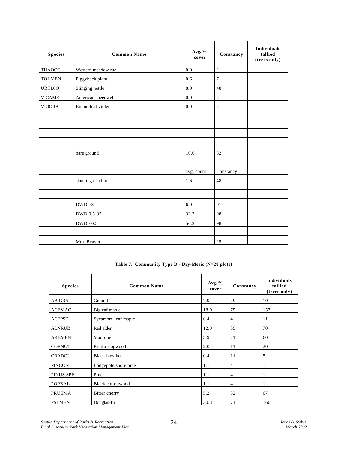| <b>Species</b> | <b>Common Name</b>  | Avg. %<br>cover | Constancy      | <b>Individuals</b><br>tallied<br>(trees only) |
|----------------|---------------------|-----------------|----------------|-----------------------------------------------|
| THAOCC         | Western meadow rue  | 0.0             | $\overline{2}$ |                                               |
| <b>TOLMEN</b>  | Piggyback plant     | 0.6             | 7              |                                               |
| <b>URTDIO</b>  | Stinging nettle     | 8.0             | 48             |                                               |
| <b>VICAME</b>  | American speedwell  | $0.0\,$         | $\overline{c}$ |                                               |
| <b>VIOORB</b>  | Round-leaf violet   | $0.0\,$         | $\mathfrak{2}$ |                                               |
|                |                     |                 |                |                                               |
|                |                     |                 |                |                                               |
|                |                     |                 |                |                                               |
|                |                     |                 |                |                                               |
|                | bare ground         | 10.6            | 82             |                                               |
|                |                     |                 |                |                                               |
|                |                     | avg. count      | Constancy      |                                               |
|                | standing dead trees | 1.6             | 48             |                                               |
|                |                     |                 |                |                                               |
|                | DWD > 3"            | 6.0             | 91             |                                               |
|                | DWD 0.5-3"          | 32.7            | 98             |                                               |
|                | $\rm{DWD}$ <0.5"    | 56.2            | 98             |                                               |
|                |                     |                 |                |                                               |
|                | Mtn. Beaver         |                 | 25             |                                               |

#### **Table 7. Community Type D - Dry-Mesic (N=28 plots)**

| <b>Species</b> | <b>Common Name</b>      | Avg. %<br>cover | Constancy      | <b>Individuals</b><br>tallied<br>(trees only) |
|----------------|-------------------------|-----------------|----------------|-----------------------------------------------|
| <b>ABIGRA</b>  | Grand fir               | 7.9             | 29             | 10                                            |
| <b>ACEMAC</b>  | Bigleaf maple           | 18.0            | 75             | 157                                           |
| <b>ACEPSE</b>  | Sycamore-leaf maple     | 0.4             | 4              | 11                                            |
| <b>ALNRUB</b>  | Red alder               | 12.9            | 39             | 70                                            |
| <b>ARBMEN</b>  | Madrone                 | 3.9             | 21             | 60                                            |
| <b>CORNUT</b>  | Pacific dogwood         | 2.0             | 11             | 20                                            |
| <b>CRADOU</b>  | <b>Black hawthorn</b>   | 0.4             | 11             | 5                                             |
| <b>PINCON</b>  | Lodgepole/shore pine    | 1.1             | $\overline{4}$ | 1                                             |
| PINUS SPP      | Pine                    | 1.1             | $\overline{4}$ | 1                                             |
| <b>POPBAL</b>  | <b>Black cottonwood</b> | 1.1             | $\overline{4}$ | 1                                             |
| <b>PRUEMA</b>  | Bitter cherry           | 5.2             | 32             | 67                                            |
| <b>PSEMEN</b>  | Douglas-fir             | 30.3            | 71             | 166                                           |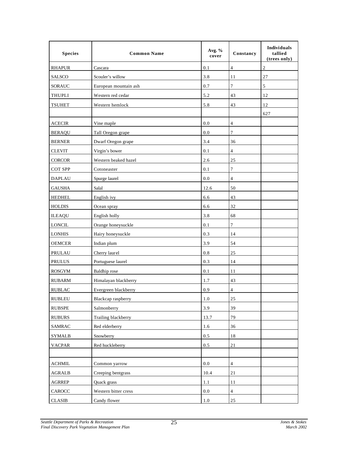| <b>Species</b>         | <b>Common Name</b>    | Avg. %<br>cover | Constancy        | <b>Individuals</b><br>tallied<br>(trees only) |
|------------------------|-----------------------|-----------------|------------------|-----------------------------------------------|
| <b>RHAPUR</b>          | Cascara               | 0.1             | $\overline{4}$   | 2                                             |
| <b>SALSCO</b>          | Scouler's willow      | 3.8             | 11               | 27                                            |
| <b>SORAUC</b>          | European mountain ash | 0.7             | $\overline{7}$   | 5                                             |
| <b>THUPLI</b>          | Western red cedar     | 5.2             | 43               | 12                                            |
| <b>TSUHET</b>          | Western hemlock       | 5.8             | 43               | 12                                            |
|                        |                       |                 |                  | 627                                           |
| <b>ACECIR</b>          | Vine maple            | 0.0             | $\overline{4}$   |                                               |
| <b>BERAQU</b>          | Tall Oregon grape     | 0.0             | $\tau$           |                                               |
| <b>BERNER</b>          | Dwarf Oregon grape    | 3.4             | 36               |                                               |
| <b>CLEVIT</b>          | Virgin's bower        | 0.1             | $\overline{4}$   |                                               |
| <b>CORCOR</b>          | Western beaked hazel  | 2.6             | 25               |                                               |
| COT SPP                | Cotoneaster           | 0.1             | $\boldsymbol{7}$ |                                               |
| <b>DAPLAU</b>          | Spurge laurel         | 0.0             | $\overline{4}$   |                                               |
| <b>GAUSHA</b>          | Salal                 | 12.6            | 50               |                                               |
| <b>HEDHEL</b>          | English ivy           | 6.6             | 43               |                                               |
| <b>HOLDIS</b>          | Ocean spray           | 6.6             | 32               |                                               |
| <b>ILEAQU</b>          | English holly         | 3.8             | 68               |                                               |
| <b>LONCIL</b>          | Orange honeysuckle    | 0.1             | $\boldsymbol{7}$ |                                               |
| <b>LONHIS</b>          | Hairy honeysuckle     | 0.3             | 14               |                                               |
| <b>OEMCER</b>          | Indian plum           | 3.9             | 54               |                                               |
| <b>PRULAU</b>          | Cherry laurel         | 0.8             | 25               |                                               |
| <b>PRULUS</b>          | Portuguese laurel     | 0.3             | 14               |                                               |
| <b>ROSGYM</b>          | <b>Baldhip</b> rose   | 0.1             | 11               |                                               |
| <b>RUBARM</b>          | Himalayan blackberry  | 1.7             | 43               |                                               |
| <b>RUBLAC</b>          | Evergreen blackberry  | 0.9             | $\overline{4}$   |                                               |
| <b>RUBLEU</b>          | Blackcap raspberry    | $1.0\,$         | 25               |                                               |
| <b>RUBSPE</b>          | Salmonberry           | 3.9             | 39               |                                               |
| <b>RUBURS</b>          | Trailing blackberry   | 13.7            | 79               |                                               |
| <b>SAMRAC</b>          | Red elderberry        | 1.6             | 36               |                                               |
| <b>SYMALB</b>          | Snowberry             | $0.5\,$         | 18               |                                               |
| <b>VACPAR</b>          | Red huckleberry       | 0.5             | 21               |                                               |
|                        |                       |                 |                  |                                               |
| $\Lambda \text{CHMIL}$ | Common yarrow         | $0.0\,$         | $\overline{4}$   |                                               |
| <b>AGRALB</b>          | Creeping bentgrass    | 10.4            | $21\,$           |                                               |
| <b>AGRREP</b>          | Quack grass           | 1.1             | 11               |                                               |
| $\mbox{CAROCC}$        | Western bitter cress  | 0.0             | $\overline{4}$   |                                               |
| $\rm CLASSIB$          | Candy flower          | $1.0\,$         | 25               |                                               |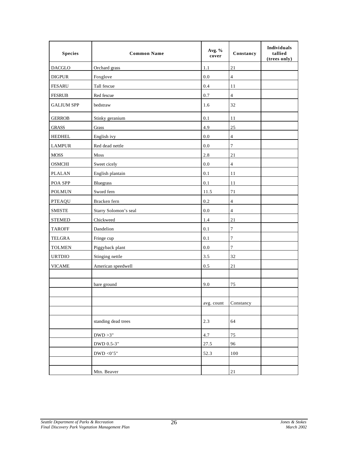| <b>Species</b>    | <b>Common Name</b>    | Avg. %<br>cover | Constancy        | <b>Individuals</b><br>tallied<br>(trees only) |
|-------------------|-----------------------|-----------------|------------------|-----------------------------------------------|
| <b>DACGLO</b>     | Orchard grass         | 1.1             | 21               |                                               |
| <b>DIGPUR</b>     | Foxglove              | 0.0             | $\overline{4}$   |                                               |
| <b>FESARU</b>     | Tall fescue           | 0.4             | 11               |                                               |
| <b>FESRUB</b>     | Red fescue            | 0.7             | $\sqrt{4}$       |                                               |
| <b>GALIUM SPP</b> | bedstraw              | 1.6             | 32               |                                               |
| <b>GERROB</b>     | Stinky geranium       | 0.1             | 11               |                                               |
| <b>GRASS</b>      | Grass                 | 4.9             | 25               |                                               |
| <b>HEDHEL</b>     | English ivy           | 0.0             | $\sqrt{4}$       |                                               |
| <b>LAMPUR</b>     | Red dead nettle       | 0.0             | $\tau$           |                                               |
| ${\rm MOSS}$      | Moss                  | 2.8             | 21               |                                               |
| <b>OSMCHI</b>     | Sweet cicely          | $0.0\,$         | $\overline{4}$   |                                               |
| <b>PLALAN</b>     | English plantain      | 0.1             | 11               |                                               |
| POA SPP           | Bluegrass             | 0.1             | 11               |                                               |
| <b>POLMUN</b>     | Sword fern            | 11.5            | 71               |                                               |
| <b>PTEAQU</b>     | Bracken fern          | 0.2             | $\overline{4}$   |                                               |
| <b>SMISTE</b>     | Starry Solomon's seal | 0.0             | $\overline{4}$   |                                               |
| <b>STEMED</b>     | Chickweed             | 1.4             | 21               |                                               |
| <b>TAROFF</b>     | Dandelion             | 0.1             | $\boldsymbol{7}$ |                                               |
| TELGRA            | Fringe cup            | 0.1             | $\boldsymbol{7}$ |                                               |
| <b>TOLMEN</b>     | Piggyback plant       | $0.0\,$         | $\tau$           |                                               |
| <b>URTDIO</b>     | Stinging nettle       | 3.5             | 32               |                                               |
| <b>VICAME</b>     | American speedwell    | 0.5             | 21               |                                               |
|                   |                       |                 |                  |                                               |
|                   | bare ground           | 9.0             | 75               |                                               |
|                   |                       |                 |                  |                                               |
|                   |                       | avg. count      | Constancy        |                                               |
|                   |                       |                 |                  |                                               |
|                   | standing dead trees   | 2.3             | 64               |                                               |
|                   | DWD > 3"              | 4.7             | 75               |                                               |
|                   | DWD 0.5-3"            | 27.5            | 96               |                                               |
|                   | DWD <0'5"             | 52.3            | 100              |                                               |
|                   |                       |                 |                  |                                               |
|                   | Mtn. Beaver           |                 | $21\,$           |                                               |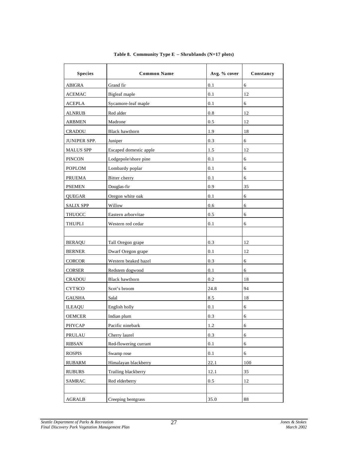| <b>Species</b>      | <b>Common Name</b>     | Avg. % cover | Constancy  |
|---------------------|------------------------|--------------|------------|
| <b>ABIGRA</b>       | Grand fir              | 0.1          | 6          |
| <b>ACEMAC</b>       | Bigleaf maple          | 0.1          | 12         |
| <b>ACEPLA</b>       | Sycamore-leaf maple    | 0.1          | 6          |
| <b>ALNRUB</b>       | Red alder              | 0.8          | 12         |
| <b>ARBMEN</b>       | Madrone                | 0.5          | 12         |
| <b>CRADOU</b>       | <b>Black hawthorn</b>  | 1.9          | 18         |
| <b>JUNIPER SPP.</b> | Juniper                | 0.3          | 6          |
| <b>MALUS SPP</b>    | Escaped domestic apple | 1.5          | 12         |
| <b>PINCON</b>       | Lodgepole/shore pine   | 0.1          | 6          |
| <b>POPLOM</b>       | Lombardy poplar        | 0.1          | 6          |
| <b>PRUEMA</b>       | Bitter cherry          | 0.1          | 6          |
| <b>PSEMEN</b>       | Douglas-fir            | 0.9          | 35         |
| <b>QUEGAR</b>       | Oregon white oak       | 0.1          | 6          |
| <b>SALIX SPP</b>    | Willow                 | 0.6          | 6          |
| THUOCC              | Eastern arborvitae     | 0.5          | 6          |
| <b>THUPLI</b>       | Western red cedar      | 0.1          | 6          |
|                     |                        |              |            |
| <b>BERAQU</b>       | Tall Oregon grape      | 0.3          | 12         |
| <b>BERNER</b>       | Dwarf Oregon grape     | 0.1          | 12         |
| <b>CORCOR</b>       | Western beaked hazel   | 0.3          | 6          |
| <b>CORSER</b>       | Redstem dogwood        | 0.1          | 6          |
| <b>CRADOU</b>       | <b>Black hawthorn</b>  | 0.2          | 18         |
| <b>CYTSCO</b>       | Scot's broom           | 24.8         | 94         |
| <b>GAUSHA</b>       | Salal                  | 8.5          | 18         |
| <b>ILEAQU</b>       | English holly          | 0.1          | 6          |
| <b>OEMCER</b>       | Indian plum            | 0.3          | 6          |
| PHYCAP              | Pacific ninebark       | 1.2          | 6          |
| PRULAU              | Cherry laurel          | 0.3          | $\sqrt{6}$ |
| <b>RIBSAN</b>       | Red-flowering currant  | 0.1          | 6          |
| <b>ROSPIS</b>       | Swamp rose             | 0.1          | 6          |
| <b>RUBARM</b>       | Himalayan blackberry   | 22.1         | 100        |
| <b>RUBURS</b>       | Trailing blackberry    | 12.1         | 35         |
| <b>SAMRAC</b>       | Red elderberry         | 0.5          | 12         |
|                     |                        |              |            |
| <b>AGRALB</b>       | Creeping bentgrass     | 35.0         | $\bf 88$   |

#### **Table 8. Community Type E – Shrublands (N=17 plots)**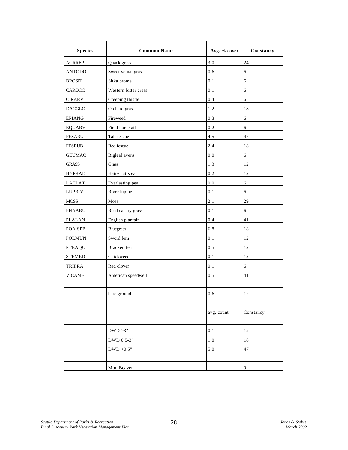| <b>Species</b> | <b>Common Name</b>   | Avg. % cover | Constancy        |
|----------------|----------------------|--------------|------------------|
| <b>AGRREP</b>  | Quack grass          | 3.0          | 24               |
| <b>ANTODO</b>  | Sweet vernal grass   | 0.6          | 6                |
| <b>BROSIT</b>  | Sitka brome          | 0.1          | 6                |
| CAROCC         | Western bitter cress | 0.1          | 6                |
| <b>CIRARV</b>  | Creeping thistle     | 0.4          | 6                |
| <b>DACGLO</b>  | Orchard grass        | 1.2          | 18               |
| <b>EPIANG</b>  | Fireweed             | 0.3          | 6                |
| <b>EQUARV</b>  | Field horsetail      | 0.2          | 6                |
| <b>FESARU</b>  | Tall fescue          | 4.5          | 47               |
| <b>FESRUB</b>  | Red fescue           | 2.4          | 18               |
| <b>GEUMAC</b>  | Bigleaf avens        | 0.0          | $\sqrt{6}$       |
| <b>GRASS</b>   | Grass                | 1.3          | 12               |
| <b>HYPRAD</b>  | Hairy cat's ear      | 0.2          | 12               |
| <b>LATLAT</b>  | Everlasting pea      | 0.0          | $\sqrt{6}$       |
| <b>LUPRIV</b>  | River lupine         | 0.1          | 6                |
| <b>MOSS</b>    | <b>Moss</b>          | 2.1          | 29               |
| <b>PHAARU</b>  | Reed canary grass    | 0.1          | 6                |
| <b>PLALAN</b>  | English plantain     | 0.4          | 41               |
| POA SPP        | <b>Bluegrass</b>     | 6.8          | 18               |
| <b>POLMUN</b>  | Sword fern           | 0.1          | 12               |
| <b>PTEAQU</b>  | Bracken fern         | 0.5          | 12               |
| <b>STEMED</b>  | Chickweed            | 0.1          | 12               |
| <b>TRIPRA</b>  | Red clover           | 0.1          | 6                |
| <b>VICAME</b>  | American speedwell   | 0.5          | 41               |
|                |                      |              |                  |
|                | bare ground          | 0.6          | 12               |
|                |                      |              |                  |
|                |                      | avg. count   | Constancy        |
|                |                      |              |                  |
|                | DWD > 3"             | 0.1          | 12               |
|                | DWD 0.5-3"           | 1.0          | 18               |
|                | DWD < $0.5"$         | 5.0          | 47               |
|                |                      |              |                  |
|                | Mtn. Beaver          |              | $\boldsymbol{0}$ |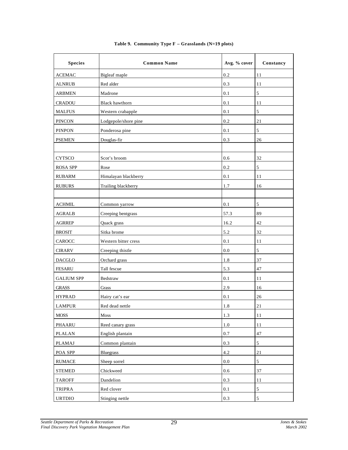| <b>Species</b>    | <b>Common Name</b>    | Avg. % cover | Constancy      |
|-------------------|-----------------------|--------------|----------------|
| <b>ACEMAC</b>     | Bigleaf maple         | 0.2          | 11             |
| <b>ALNRUB</b>     | Red alder             | 0.3          | 11             |
| <b>ARBMEN</b>     | Madrone               | 0.1          | 5              |
| <b>CRADOU</b>     | <b>Black hawthorn</b> | 0.1          | 11             |
| <b>MALFUS</b>     | Western crabapple     | 0.1          | 5              |
| <b>PINCON</b>     | Lodgepole/shore pine  | 0.2          | 21             |
| <b>PINPON</b>     | Ponderosa pine        | 0.1          | 5              |
| <b>PSEMEN</b>     | Douglas-fir           | 0.3          | 26             |
|                   |                       |              |                |
| <b>CYTSCO</b>     | Scot's broom          | 0.6          | 32             |
| <b>ROSA SPP</b>   | Rose                  | 0.2          | 5              |
| <b>RUBARM</b>     | Himalayan blackberry  | 0.1          | 11             |
| <b>RUBURS</b>     | Trailing blackberry   | 1.7          | 16             |
|                   |                       |              |                |
| <b>ACHMIL</b>     | Common yarrow         | 0.1          | 5              |
| <b>AGRALB</b>     | Creeping bentgrass    | 57.3         | 89             |
| <b>AGRREP</b>     | Quack grass           | 16.2         | 42             |
| <b>BROSIT</b>     | Sitka brome           | 5.2          | 32             |
| CAROCC            | Western bitter cress  | 0.1          | 11             |
| <b>CIRARV</b>     | Creeping thistle      | 0.0          | 5              |
| <b>DACGLO</b>     | Orchard grass         | 1.8          | 37             |
| <b>FESARU</b>     | Tall fescue           | 5.3          | 47             |
| <b>GALIUM SPP</b> | Bedstraw              | 0.1          | 11             |
| <b>GRASS</b>      | Grass                 | 2.9          | 16             |
| <b>HYPRAD</b>     | Hairy cat's ear       | 0.1          | 26             |
| <b>LAMPUR</b>     | Red dead nettle       | 1.8          | 21             |
| <b>MOSS</b>       | Moss                  | 1.3          | 11             |
| PHAARU            | Reed canary grass     | $1.0\,$      | 11             |
| <b>PLALAN</b>     | English plantain      | $0.7\,$      | 47             |
| PLAMAJ            | Common plantain       | 0.3          | $\sqrt{5}$     |
| POA SPP           | <b>Bluegrass</b>      | 4.2          | 21             |
| <b>RUMACE</b>     | Sheep sorrel          | $0.0\,$      | $\sqrt{5}$     |
| <b>STEMED</b>     | Chickweed             | 0.6          | 37             |
| <b>TAROFF</b>     | Dandelion             | $0.3\,$      | $1\,1$         |
| TRIPRA            | Red clover            | $0.1\,$      | $\sqrt{5}$     |
| <b>URTDIO</b>     | Stinging nettle       | 0.3          | $\mathfrak{S}$ |

#### **Table 9. Community Type F – Grasslands (N=19 plots)**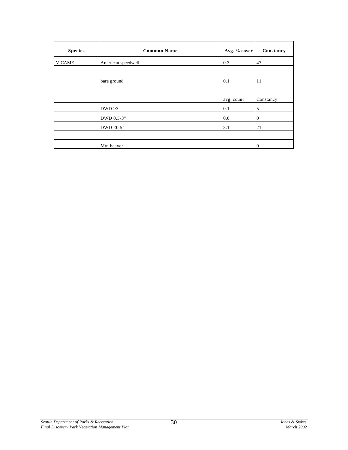| <b>Species</b> | <b>Common Name</b> | Avg. % cover | Constancy    |
|----------------|--------------------|--------------|--------------|
| <b>VICAME</b>  | American speedwell | 0.3          | 47           |
|                |                    |              |              |
|                | bare ground        | 0.1          | 11           |
|                |                    |              |              |
|                |                    | avg. count   | Constancy    |
|                | DWD > 3"           | 0.1          | 5            |
|                | DWD 0.5-3"         | 0.0          | $\mathbf{0}$ |
|                | DWD < $0.5"$       | 3.1          | 21           |
|                |                    |              |              |
|                | Mtn beaver         |              | $\mathbf{0}$ |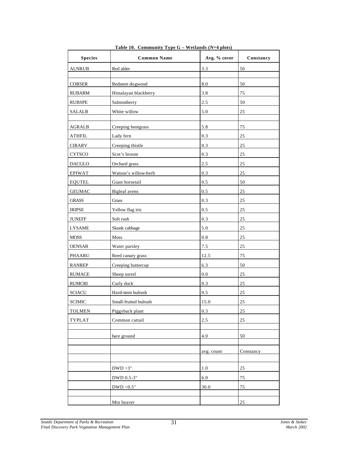| <b>Species</b> | <b>Common Name</b>    | Avg. % cover | Constancy |
|----------------|-----------------------|--------------|-----------|
| <b>ALNRUB</b>  | Red alder             | 3.3          | 50        |
|                |                       |              |           |
| <b>CORSER</b>  | Redstem dogwood       | 8.0          | 50        |
| <b>RUBARM</b>  | Himalayan blackberry  | 3.8          | 75        |
| <b>RUBSPE</b>  | Salmonberry           | 2.5          | 50        |
| <b>SALALB</b>  | White willow          | 5.0          | 25        |
|                |                       |              |           |
| <b>AGRALB</b>  | Creeping bentgrass    | 5.8          | 75        |
| <b>ATHFIL</b>  | Lady fern             | 0.3          | 25        |
| <b>CIRARV</b>  | Creeping thistle      | 0.3          | 25        |
| <b>CYTSCO</b>  | Scot's broom          | 0.3          | 25        |
| <b>DACGLO</b>  | Orchard grass         | 2.5          | 25        |
| EPIWAT         | Watson's willow-herb  | 0.3          | 25        |
| <b>EQUTEL</b>  | Giant horsetail       | 0.5          | 50        |
| <b>GEUMAC</b>  | <b>Bigleaf</b> avens  | 0.5          | 25        |
| <b>GRASS</b>   | Grass                 | 0.3          | 25        |
| <b>IRIPSE</b>  | Yellow flag iris      | 0.5          | 25        |
| <b>JUNEFF</b>  | Soft rush             | 0.3          | 25        |
| <b>LYSAME</b>  | Skunk cabbage         | 5.0          | 25        |
| <b>MOSS</b>    | Moss                  | 0.8          | 25        |
| <b>OENSAR</b>  | Water parsley         | 7.5          | 25        |
| PHAARU         | Reed canary grass     | 12.5         | 75        |
| <b>RANREP</b>  | Creeping buttercup    | 6.3          | 50        |
| <b>RUMACE</b>  | Sheep sorrel          | 0.0          | 25        |
| <b>RUMCRI</b>  | Curly dock            | 0.3          | 25        |
| <b>SCIACU</b>  | Hard-stem bulrush     | 0.5          | 25        |
| <b>SCIMIC</b>  | Small-fruited bulrush | 15.0         | 25        |
| <b>TOLMEN</b>  | Piggyback plant       | $0.3\,$      | 25        |
| TYPLAT         | Common cattail        | $2.5\,$      | 25        |
|                |                       |              |           |
|                | bare ground           | 4.0          | 50        |
|                |                       |              |           |
|                |                       | avg. count   | Constancy |
|                | DWD > 3"              | $1.0\,$      | 25        |
|                | DWD 0.5-3"            | $6.0\,$      | 75        |
|                | DWD < $0.5"$          | 30.0         | 75        |
|                |                       |              |           |
|                | Mtn beaver            |              | 25        |

| Table 10. Community Type $G$ – Wetlands (N=4 plots) |  |  |
|-----------------------------------------------------|--|--|
|                                                     |  |  |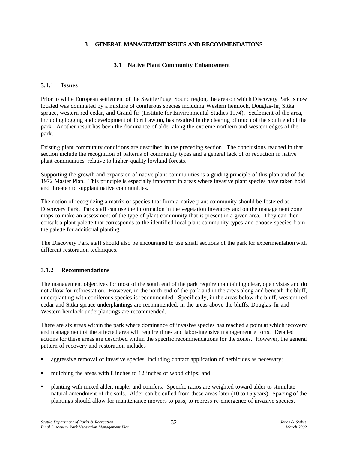#### **3 GENERAL MANAGEMENT ISSUES AND RECOMMENDATIONS**

#### **3.1 Native Plant Community Enhancement**

#### **3.1.1 Issues**

Prior to white European settlement of the Seattle/Puget Sound region, the area on which Discovery Park is now located was dominated by a mixture of coniferous species including Western hemlock, Douglas-fir, Sitka spruce, western red cedar, and Grand fir (Institute for Environmental Studies 1974). Settlement of the area, including logging and development of Fort Lawton, has resulted in the clearing of much of the south end of the park. Another result has been the dominance of alder along the extreme northern and western edges of the park.

Existing plant community conditions are described in the preceding section. The conclusions reached in that section include the recognition of patterns of community types and a general lack of or reduction in native plant communities, relative to higher-quality lowland forests.

Supporting the growth and expansion of native plant communities is a guiding principle of this plan and of the 1972 Master Plan. This principle is especially important in areas where invasive plant species have taken hold and threaten to supplant native communities.

The notion of recognizing a matrix of species that form a native plant community should be fostered at Discovery Park. Park staff can use the information in the vegetation inventory and on the management zone maps to make an assessment of the type of plant community that is present in a given area. They can then consult a plant palette that corresponds to the identified local plant community types and choose species from the palette for additional planting.

The Discovery Park staff should also be encouraged to use small sections of the park for experimentation with different restoration techniques.

# **3.1.2 Recommendations**

The management objectives for most of the south end of the park require maintaining clear, open vistas and do not allow for reforestation. However, in the north end of the park and in the areas along and beneath the bluff, underplanting with coniferous species is recommended. Specifically, in the areas below the bluff, western red cedar and Sitka spruce underplantings are recommended; in the areas above the bluffs, Douglas-fir and Western hemlock underplantings are recommended.

There are six areas within the park where dominance of invasive species has reached a point at which recovery and management of the affected area will require time- and labor-intensive management efforts. Detailed actions for these areas are described within the specific recommendations for the zones. However, the general pattern of recovery and restoration includes

- ß aggressive removal of invasive species, including contact application of herbicides as necessary;
- mulching the areas with 8 inches to 12 inches of wood chips; and
- ß planting with mixed alder, maple, and conifers. Specific ratios are weighted toward alder to stimulate natural amendment of the soils. Alder can be culled from these areas later (10 to 15 years). Spacing of the plantings should allow for maintenance mowers to pass, to repress re-emergence of invasive species.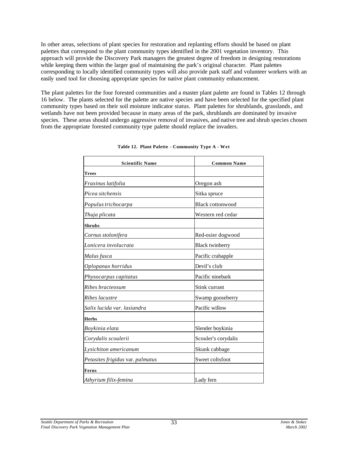In other areas, selections of plant species for restoration and replanting efforts should be based on plant palettes that correspond to the plant community types identified in the 2001 vegetation inventory. This approach will provide the Discovery Park managers the greatest degree of freedom in designing restorations while keeping them within the larger goal of maintaining the park's original character. Plant palettes corresponding to locally identified community types will also provide park staff and volunteer workers with an easily used tool for choosing appropriate species for native plant community enhancement.

The plant palettes for the four forested communities and a master plant palette are found in Tables 12 through 16 below. The plants selected for the palette are native species and have been selected for the specified plant community types based on their soil moisture indicator status. Plant palettes for shrublands, grasslands, and wetlands have not been provided because in many areas of the park, shrublands are dominated by invasive species. These areas should undergo aggressive removal of invasives, and native tree and shrub species chosen from the appropriate forested community type palette should replace the invaders.

| <b>Scientific Name</b>           | <b>Common Name</b>      |
|----------------------------------|-------------------------|
| Trees                            |                         |
| Fraxinus latifolia               | Oregon ash              |
| Picea sitchensis                 | Sitka spruce            |
| Populus trichocarpa              | <b>Black cottonwood</b> |
| Thuja plicata                    | Western red cedar       |
| <b>Shrubs</b>                    |                         |
| Cornus stolonifera               | Red-osier dogwood       |
| Lonicera involucrata             | <b>Black twinberry</b>  |
| Malus fusca                      | Pacific crabapple       |
| Oplopanax horridus               | Devil's club            |
| Physocarpus capitatus            | Pacific ninebark        |
| Ribes bracteosum                 | Stink currant           |
| Ribes lacustre                   | Swamp gooseberry        |
| Salix lucida var. lasiandra      | Pacific willow          |
| <b>Herbs</b>                     |                         |
| Boykinia elata                   | Slender boykinia        |
| Corydalis scoulerii              | Scouler's corydalis     |
| Lysichiton americanum            | Skunk cabbage           |
| Petasites frigidus var. palmatus | Sweet coltsfoot         |
| Ferns                            |                         |
| Athyrium filix-femina            | Lady fern               |

**Table 12. Plant Palette - Community Type A - Wet**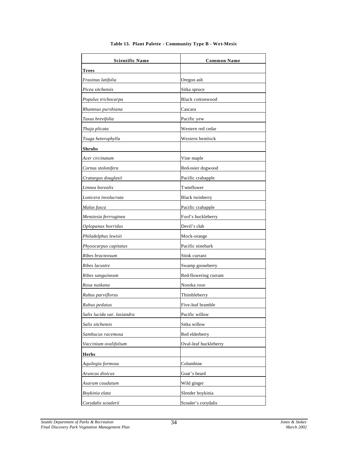| <b>Scientific Name</b>      | <b>Common Name</b>      |
|-----------------------------|-------------------------|
| <b>Trees</b>                |                         |
| Fraxinus latifolia          | Oregon ash              |
| Picea sitchensis            | Sitka spruce            |
| Populus trichocarpa         | <b>Black cottonwood</b> |
| Rhamnus purshiana           | Cascara                 |
| Taxus brevifolia            | Pacific yew             |
| Thuja plicata               | Western red cedar       |
| Tsuga heterophylla          | Western hemlock         |
| <b>Shrubs</b>               |                         |
| Acer circinatum             | Vine maple              |
| Cornus stolonifera          | Red-osier dogwood       |
| Crataegus douglasii         | Pacific crabapple       |
| Linnea borealis             | T winflower             |
| Lonicera involucrata        | <b>Black twinberry</b>  |
| Malus fusca                 | Pacific crabapple       |
| Menziesia ferrruginea       | Fool's huckleberry      |
| Oplopanax horridus          | Devil's club            |
| Philadelphus lewisii        | Mock-orange             |
| Physocarpus capitatus       | Pacific ninebark        |
| Ribes bracteosum            | Stink currant           |
| Ribes lacustre              | Swamp gooseberry        |
| Ribes sanguineum            | Red-flowering currant   |
| Rosa nutkana                | Nootka rose             |
| Rubus parviflorus           | Thimbleberry            |
| Rubus pedatus               | Five-leaf bramble       |
| Salix lucida var. lasiandra | Pacific willow          |
| Salix sitchensis            | Sitka willow            |
| Sambucus racemosa           | Red elderberry          |
| Vaccinium ovalifolium       | Oval-leaf huckleberry   |
| <b>Herbs</b>                |                         |
| Aquilegia formosa           | Columbine               |
| Aruncus dioicus             | Goat's beard            |
| Asarum caudatum             | Wild ginger             |
| Boykinia elata              | Slender boykinia        |
| Corydalis scoulerii         | Scouler's corydalis     |

#### **Table 13. Plant Palette - Community Type B - Wet-Mesic**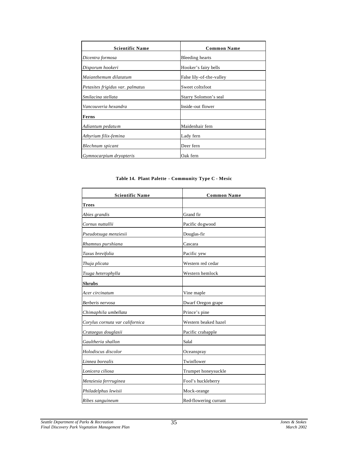| <b>Scientific Name</b>           | <b>Common Name</b>       |
|----------------------------------|--------------------------|
| Dicentra formosa                 | Bleeding hearts          |
| Disporum hookeri                 | Hooker's fairy bells     |
| Maianthemum dilatatum            | False lily-of-the-valley |
| Petasites frigidus var. palmatus | Sweet coltsfoot          |
| Smilacina stellata               | Starry Solomon's seal    |
| Vancouveria hexandra             | Inside-out flower        |
| Ferns                            |                          |
| Adiantum pedatum                 | Maidenhair fern          |
| Athyrium filix-femina            | Lady fern                |
| Blechnum spicant                 | Deer fern                |
| Gymnocarpium dryopteris          | Oak fern                 |

#### **Table 14. Plant Palette - Community Type C - Mesic**

| <b>Scientific Name</b>          | <b>Common Name</b>    |
|---------------------------------|-----------------------|
| <b>Trees</b>                    |                       |
| Abies grandis                   | Grand fir             |
| Cornus nuttallii                | Pacific do gwood      |
| Pseudotsuga menziesii           | Douglas-fir           |
| Rhamnus purshiana               | Cascara               |
| Taxus brevifolia                | Pacific yew           |
| Thuja plicata                   | Western red cedar     |
| Tsuga heterophylla              | Western hemlock       |
| <b>Shrubs</b>                   |                       |
| Acer circinatum                 | Vine maple            |
| Berberis nervosa                | Dwarf Oregon grape    |
| Chimaphila umbellata            | Prince's pine         |
| Corylus cornuta var californica | Western beaked hazel  |
| Crataegus douglasii             | Pacific crabapple     |
| Gaultheria shallon              | Salal                 |
| Holodiscus discolor             | Oceanspray            |
| Linnea borealis                 | Twinflower            |
| Lonicera ciliosa                | Trumpet honeysuckle   |
| Menziesia ferrruginea           | Fool's huckleberry    |
| Philadelphus lewisii            | Mock-orange           |
| Ribes sanguineum                | Red-flowering currant |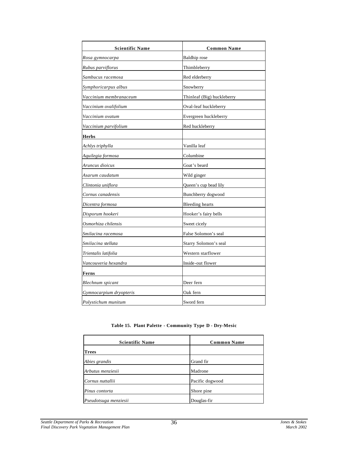| <b>Scientific Name</b>  | <b>Common Name</b>         |
|-------------------------|----------------------------|
| Rosa gymnocarpa         | <b>Baldhip</b> rose        |
| Rubus parviflorus       | Thimbleberry               |
| Sambucus racemosa       | Red elderberry             |
| Symphoricarpus albus    | Snowberry                  |
| Vaccinium membranaceum  | Thinleaf (Big) huckleberry |
| Vaccinium ovalifolium   | Oval-leaf huckleberry      |
| Vaccinium ovatum        | Evergreen huckleberry      |
| Vaccinium parvifolium   | Red huckleberry            |
| <b>Herbs</b>            |                            |
| Achlys triphylla        | Vanilla leaf               |
| Aquilegia formosa       | Columbine                  |
| Aruncus dioicus         | Goat's beard               |
| Asarum caudatum         | Wild ginger                |
| Clintonia uniflora      | Queen's cup bead lily      |
| Cornus canadensis       | Bunchberry dogwood         |
| Dicentra formosa        | <b>Bleeding</b> hearts     |
| Disporum hookeri        | Hooker's fairy bells       |
| Osmorhiza chilensis     | Sweet cicely               |
| Smilacina racemosa      | False Solomon's seal       |
| Smilacina stellata      | Starry Solomon's seal      |
| Trientalis latifolia    | Western starflower         |
| Vancouveria hexandra    | Inside-out flower          |
| Ferns                   |                            |
| <b>Blechnum</b> spicant | Deer fern                  |
| Gymnocarpium dryopteris | Oak fern                   |
| Polystichum munitum     | Sword fern                 |

**Table 15. Plant Palette - Community Type D - Dry-Mesic**

| <b>Scientific Name</b> | <b>Common Name</b> |
|------------------------|--------------------|
| Trees                  |                    |
| Abies grandis          | Grand fir          |
| Arbutus menziesii      | Madrone            |
| Cornus nuttallii       | Pacific dogwood    |
| Pinus contorta         | Shore pine         |
| Pseudotsuga menziesii  | Douglas-fir        |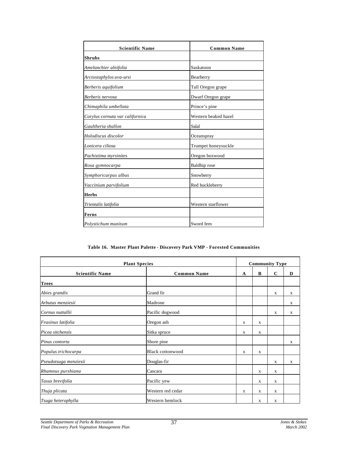| <b>Scientific Name</b>          | <b>Common Name</b>   |  |  |
|---------------------------------|----------------------|--|--|
| <b>Shrubs</b>                   |                      |  |  |
| Amelanchier alnifolia           | Saskatoon            |  |  |
| Arctostaphylos uva-ursi         | Bearberry            |  |  |
| Berberis aquifolium             | Tall Oregon grape    |  |  |
| Berberis nervosa                | Dwarf Oregon grape   |  |  |
| Chimaphila umbellata            | Prince's pine        |  |  |
| Corylus cornuta var californica | Western beaked hazel |  |  |
| Gaultheria shallon              | Salal                |  |  |
| Holodiscus discolor             | Oceanspray           |  |  |
| Lonicera ciliosa                | Trumpet honeysuckle  |  |  |
| Pachistima myrsinites           | Oregon boxwood       |  |  |
| Rosa gymnocarpa                 | Baldhip rose         |  |  |
| Symphoricarpus albus            | Snowberry            |  |  |
| Vaccinium parvifolium           | Red huckleberry      |  |  |
| <b>Herbs</b>                    |                      |  |  |
| Trientalis latifolia            | Western starflower   |  |  |
| Ferns                           |                      |  |  |
| Polystichum munitum             | Sword fern           |  |  |

#### **Table 16. Master Plant Palette - Discovery Park VMP - Forested Communities**

| <b>Plant Species</b>   |                         |   | <b>Community Type</b> |             |   |  |
|------------------------|-------------------------|---|-----------------------|-------------|---|--|
| <b>Scientific Name</b> | <b>Common Name</b>      | A | B                     | $\mathbf C$ | D |  |
| <b>Trees</b>           |                         |   |                       |             |   |  |
| Abies grandis          | Grand fir               |   |                       | X           | X |  |
| Arbutus menziesii      | Madrone                 |   |                       |             | X |  |
| Cornus nuttallii       | Pacific dogwood         |   |                       | X           | X |  |
| Fraxinus latifolia     | Oregon ash              | X | X                     |             |   |  |
| Picea sitchensis       | Sitka spruce            | X | X                     |             |   |  |
| Pinus contorta         | Shore pine              |   |                       |             | X |  |
| Populus trichocarpa    | <b>Black cottonwood</b> | X | X                     |             |   |  |
| Pseudotsuga menziesii  | Douglas-fir             |   |                       | X           | X |  |
| Rhamnus purshiana      | Cascara                 |   | X                     | X           |   |  |
| Taxus brevifolia       | Pacific yew             |   | X                     | X           |   |  |
| Thuja plicata          | Western red cedar       | X | X                     | X           |   |  |
| Tsuga heterophylla     | Western hemlock         |   | X                     | X           |   |  |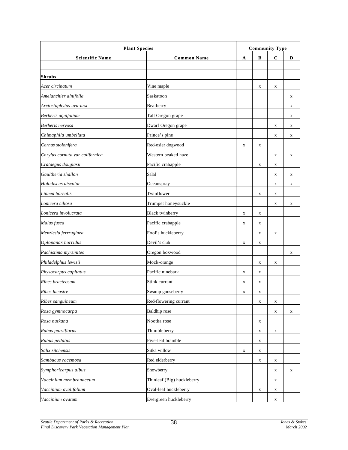| <b>Plant Species</b>            |                            |             | <b>Community Type</b> |             |             |  |
|---------------------------------|----------------------------|-------------|-----------------------|-------------|-------------|--|
| <b>Scientific Name</b>          | <b>Common Name</b>         | A           | В                     | C           | D           |  |
|                                 |                            |             |                       |             |             |  |
| <b>Shrubs</b>                   |                            |             |                       |             |             |  |
| Acer circinatum                 | Vine maple                 |             | X                     | X           |             |  |
| Amelanchier alnifolia           | Saskatoon                  |             |                       |             | X           |  |
| Arctostaphylos uva-ursi         | Bearberry                  |             |                       |             | X           |  |
| Berberis aquifolium             | Tall Oregon grape          |             |                       |             | X           |  |
| Berberis nervosa                | Dwarf Oregon grape         |             |                       | $\mathbf X$ | X           |  |
| Chimaphila umbellata            | Prince's pine              |             |                       | X           | X           |  |
| Cornus stolonifera              | Red-osier dogwood          | X           | X                     |             |             |  |
| Corylus cornuta var californica | Western beaked hazel       |             |                       | $\mathbf X$ | X           |  |
| Crataegus douglasii             | Pacific crabapple          |             | X                     | X           |             |  |
| Gaultheria shallon              | Salal                      |             |                       | X           | X           |  |
| Holodiscus discolor             | Oceanspray                 |             |                       | $\mathbf X$ | $\mathbf X$ |  |
| Linnea borealis                 | Twinflower                 |             | X                     | $\mathbf X$ |             |  |
| Lonicera ciliosa                | Trumpet honeysuckle        |             |                       | X           | X           |  |
| Lonicera involucrata            | <b>Black</b> twinberry     | X           | X                     |             |             |  |
| Malus fusca                     | Pacific crabapple          | X           | X                     |             |             |  |
| Menziesia ferrruginea           | Fool's huckleberry         |             | X                     | X           |             |  |
| Oplopanax horridus              | Devil's club               | X           | X                     |             |             |  |
| Pachistima myrsinites           | Oregon boxwood             |             |                       |             | X           |  |
| Philadelphus lewisii            | Mock-orange                |             | X                     | X           |             |  |
| Physocarpus capitatus           | Pacific ninebark           | $\mathbf X$ | x                     |             |             |  |
| Ribes bracteosum                | Stink currant              | X           | X                     |             |             |  |
| Ribes lacustre                  | Swamp gooseberry           | X           | X                     |             |             |  |
| Ribes sanguineum                | Red-flowering currant      |             | $\mathbf X$           | $\mathbf X$ |             |  |
| Rosa gymnocarpa                 | <b>Baldhip</b> rose        |             |                       | X           | $\mathbf X$ |  |
| Rosa nutkana                    | Nootka rose                |             | $\mathbf X$           |             |             |  |
| Rubus parviflorus               | Thimbleberry               |             | $\mathbf X$           | $\mathbf X$ |             |  |
| Rubus pedatus                   | Five-leaf bramble          |             | X                     |             |             |  |
| Salix sitchensis                | Sitka willow               | $\mathbf X$ | X                     |             |             |  |
| Sambucus racemosa               | Red elderberry             |             | X                     | X           |             |  |
| Symphoricarpus albus            | Snowberry                  |             |                       | X           | X           |  |
| Vaccinium membranaceum          | Thinleaf (Big) huckleberry |             |                       | X           |             |  |
| Vaccinium ovalifolium           | Oval-leaf huckleberry      |             | X                     | X           |             |  |
| Vaccinium ovatum                | Evergreen huckleberry      |             |                       | X           |             |  |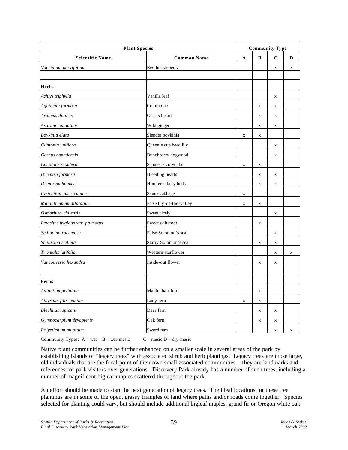| <b>Plant Species</b>             |                          |             | <b>Community Type</b> |             |             |  |
|----------------------------------|--------------------------|-------------|-----------------------|-------------|-------------|--|
| <b>Scientific Name</b>           | <b>Common Name</b>       | $\mathbf A$ | B                     | $\mathbf C$ | D           |  |
| Vaccinium parvifolium            | Red huckleberry          |             |                       | $\mathbf X$ | $\mathbf X$ |  |
|                                  |                          |             |                       |             |             |  |
| <b>Herbs</b>                     |                          |             |                       |             |             |  |
| Achlys triphylla                 | Vanilla leaf             |             |                       | $\mathbf X$ |             |  |
| Aquilegia formosa                | Columbine                |             | $\mathbf X$           | $\mathbf X$ |             |  |
| Aruncus dioicus                  | Goat's beard             |             | $\mathbf X$           | $\mathbf X$ |             |  |
| Asarum caudatum                  | Wild ginger              |             | $\mathbf X$           | $\mathbf X$ |             |  |
| Boykinia elata                   | Slender boykinia         | $\mathbf X$ | $\mathbf X$           |             |             |  |
| Clintonia uniflora               | Queen's cup bead lily    |             |                       | $\mathbf X$ |             |  |
| Cornus canadensis                | Bunchberry dogwood       |             |                       | $\mathbf X$ |             |  |
| Corydalis scoulerii              | Scouler's corydalis      | $\mathbf X$ | $\mathbf X$           |             |             |  |
| Dicentra formosa                 | <b>Bleeding</b> hearts   |             | $\mathbf X$           | $\mathbf X$ |             |  |
| Disporum hookeri                 | Hooker's fairy bells     |             | X                     | X           |             |  |
| Lysichiton americanum            | Skunk cabbage            | $\mathbf X$ |                       |             |             |  |
| Maianthemum dilatatum            | False lily-of-the-valley | X           | X                     |             |             |  |
| Osmorhiza chilensis              | Sweet cicely             |             |                       | $\mathbf X$ |             |  |
| Petasites frigidus var. palmatus | Sweet coltsfoot          |             | $\mathbf X$           |             |             |  |
| Smilacina racemosa               | False Solomon's seal     |             |                       | $\mathbf X$ |             |  |
| Smilacina stellata               | Starry Solomon's seal    |             | $\mathbf X$           | $\mathbf X$ |             |  |
| Trientalis latifolia             | Western starflower       |             |                       | $\mathbf X$ | X           |  |
| Vancouveria hexandra             | Inside-out flower        |             | $\mathbf X$           | $\mathbf X$ |             |  |
|                                  |                          |             |                       |             |             |  |
| Ferns                            |                          |             |                       |             |             |  |
| Adiantum pedatum                 | Maidenhair fern          |             | $\mathbf X$           |             |             |  |
| Athyrium filix-femina            | Lady fern                | $\mathbf X$ | $\mathbf X$           |             |             |  |
| <b>Blechnum</b> spicant          | Deer fern                |             | $\mathbf X$           | $\mathbf X$ |             |  |
| Gymnocarpium dryopteris          | Oak fern                 |             | $\mathbf X$           | $\mathbf x$ |             |  |
| Polystichum munitum              | Sword fern               |             |                       | $\mathbf x$ | $\mathbf X$ |  |

Community Types:  $A - wet$  B – wet-mesic  $C -$  mesic D – dry-mesic

Native plant communities can be further enhanced on a smaller scale in several areas of the park by establishing islands of "legacy trees" with associated shrub and herb plantings. Legacy trees are those large, old individuals that are the focal point of their own small associated communities. They are landmarks and references for park visitors over generations. Discovery Park already has a number of such trees, including a number of magnificent bigleaf maples scattered throughout the park.

An effort should be made to start the next generation of legacy trees. The ideal locations for these tree plantings are in some of the open, grassy triangles of land where paths and/or roads come together. Species selected for planting could vary, but should include additional bigleaf maples, grand fir or Oregon white oak.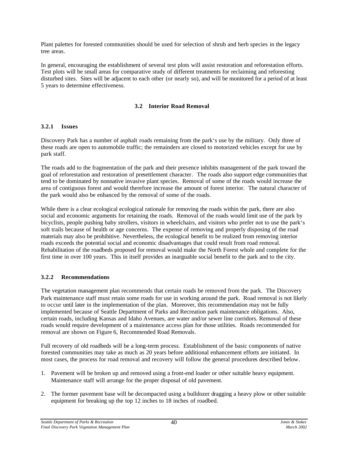Plant palettes for forested communities should be used for selection of shrub and herb species in the legacy tree areas.

In general, encouraging the establishment of several test plots will assist restoration and reforestation efforts. Test plots will be small areas for comparative study of different treatments for reclaiming and reforesting disturbed sites. Sites will be adjacent to each other (or nearly so), and will be monitored for a period of at least 5 years to determine effectiveness.

# **3.2 Interior Road Removal**

# **3.2.1 Issues**

Discovery Park has a number of asphalt roads remaining from the park's use by the military. Only three of these roads are open to automobile traffic; the remainders are closed to motorized vehicles except for use by park staff.

The roads add to the fragmentation of the park and their presence inhibits management of the park toward the goal of reforestation and restoration of presettlement character. The roads also support edge communities that tend to be dominated by nonnative invasive plant species. Removal of some of the roads would increase the area of contiguous forest and would therefore increase the amount of forest interior. The natural character of the park would also be enhanced by the removal of some of the roads.

While there is a clear ecological ecological rationale for removing the roads within the park, there are also social and economic arguments for retaining the roads. Removal of the roads would limit use of the park by bicyclists, people pushing baby strollers, visitors in wheelchairs, and visitors who prefer not to use the park's soft trails because of health or age concerns. The expense of removing and properly disposing of the road materials may also be prohibitive. Nevertheless, the ecological benefit to be realized from removing interior roads exceeds the potential social and economic disadvantages that could result from road removal. Rehabilitation of the roadbeds proposed for removal would make the North Forest whole and complete for the first time in over 100 years. This in itself provides an inarguable social benefit to the park and to the city.

# **3.2.2 Recommendations**

The vegetation management plan recommends that certain roads be removed from the park. The Discovery Park maintenance staff must retain some roads for use in working around the park. Road removal is not likely to occur until later in the implementation of the plan. Moreover, this recommendation may not be fully implemented because of Seattle Department of Parks and Recreation park maintenance obligations. Also, certain roads, including Kansas and Idaho Avenues, are water and/or sewer line corridors. Removal of these roads would require development of a maintenance access plan for those utilities. Roads recommended for removal are shown on Figure 6, Recommended Road Removals.

Full recovery of old roadbeds will be a long-term process. Establishment of the basic components of native forested communities may take as much as 20 years before additional enhancement efforts are initiated. In most cases, the process for road removal and recovery will follow the general procedures described below.

- 1. Pavement will be broken up and removed using a front-end loader or other suitable heavy equipment. Maintenance staff will arrange for the proper disposal of old pavement.
- 2. The former pavement base will be decompacted using a bulldozer dragging a heavy plow or other suitable equipment for breaking up the top 12 inches to 18 inches of roadbed.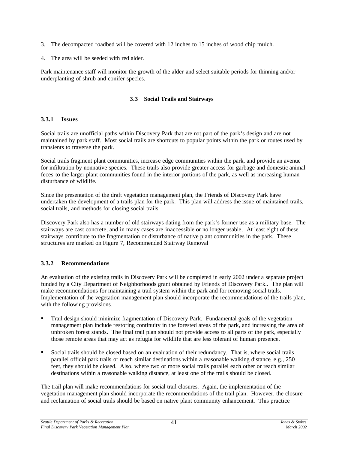- 3. The decompacted roadbed will be covered with 12 inches to 15 inches of wood chip mulch.
- 4. The area will be seeded with red alder.

Park maintenance staff will monitor the growth of the alder and select suitable periods for thinning and/or underplanting of shrub and conifer species.

# **3.3 Social Trails and Stairways**

#### **3.3.1 Issues**

Social trails are unofficial paths within Discovery Park that are not part of the park's design and are not maintained by park staff. Most social trails are shortcuts to popular points within the park or routes used by transients to traverse the park.

Social trails fragment plant communities, increase edge communities within the park, and provide an avenue for infiltration by nonnative species. These trails also provide greater access for garbage and domestic animal feces to the larger plant communities found in the interior portions of the park, as well as increasing human disturbance of wildlife.

Since the presentation of the draft vegetation management plan, the Friends of Discovery Park have undertaken the development of a trails plan for the park. This plan will address the issue of maintained trails, social trails, and methods for closing social trails.

Discovery Park also has a number of old stairways dating from the park's former use as a military base. The stairways are cast concrete, and in many cases are inaccessible or no longer usable. At least eight of these stairways contribute to the fragmentation or disturbance of native plant communities in the park. These structures are marked on Figure 7, Recommended Stairway Removal

# **3.3.2 Recommendations**

An evaluation of the existing trails in Discovery Park will be completed in early 2002 under a separate project funded by a City Department of Neighborhoods grant obtained by Friends of Discovery Park.. The plan will make recommendations for maintaining a trail system within the park and for removing social trails. Implementation of the vegetation management plan should incorporate the recommendations of the trails plan, with the following provisions.

- ß Trail design should minimize fragmentation of Discovery Park. Fundamental goals of the vegetation management plan include restoring continuity in the forested areas of the park, and increasing the area of unbroken forest stands. The final trail plan should not provide access to all parts of the park, especially those remote areas that may act as refugia for wildlife that are less tolerant of human presence.
- ß Social trails should be closed based on an evaluation of their redundancy. That is, where social trails parallel official park trails or reach similar destinations within a reasonable walking distance, e.g., 250 feet, they should be closed. Also, where two or more social trails parallel each other or reach similar destinations within a reasonable walking distance, at least one of the trails should be closed.

The trail plan will make recommendations for social trail closures. Again, the implementation of the vegetation management plan should incorporate the recommendations of the trail plan. However, the closure and reclamation of social trails should be based on native plant community enhancement. This practice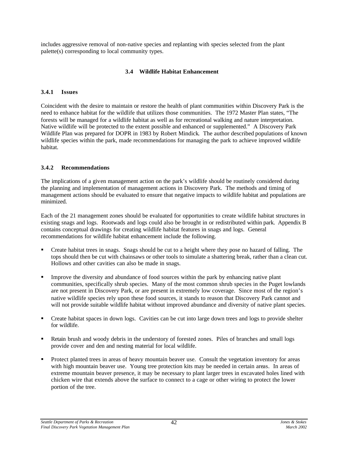includes aggressive removal of non-native species and replanting with species selected from the plant palette(s) corresponding to local community types.

#### **3.4 Wildlife Habitat Enhancement**

#### **3.4.1 Issues**

Coincident with the desire to maintain or restore the health of plant communities within Discovery Park is the need to enhance habitat for the wildlife that utilizes those communities. The 1972 Master Plan states, "The forests will be managed for a wildlife habitat as well as for recreational walking and nature interpretation. Native wildlife will be protected to the extent possible and enhanced or supplemented." A Discovery Park Wildlife Plan was prepared for DOPR in 1983 by Robert Mindick. The author described populations of known wildlife species within the park, made recommendations for managing the park to achieve improved wildlife habitat.

#### **3.4.2 Recommendations**

The implications of a given management action on the park's wildlife should be routinely considered during the planning and implementation of management actions in Discovery Park. The methods and timing of management actions should be evaluated to ensure that negative impacts to wildlife habitat and populations are minimized.

Each of the 21 management zones should be evaluated for opportunities to create wildlife habitat structures in existing snags and logs. Rootwads and logs could also be brought in or redistributed within park. Appendix B contains conceptual drawings for creating wildlife habitat features in snags and logs. General recommendations for wildlife habitat enhancement include the following.

- ß Create habitat trees in snags. Snags should be cut to a height where they pose no hazard of falling. The tops should then be cut with chainsaws or other tools to simulate a shattering break, rather than a clean cut. Hollows and other cavities can also be made in snags.
- ß Improve the diversity and abundance of food sources within the park by enhancing native plant communities, specifically shrub species. Many of the most common shrub species in the Puget lowlands are not present in Discovery Park, or are present in extremely low coverage. Since most of the region's native wildlife species rely upon these food sources, it stands to reason that Discovery Park cannot and will not provide suitable wildlife habitat without improved abundance and diversity of native plant species.
- ß Create habitat spaces in down logs. Cavities can be cut into large down trees and logs to provide shelter for wildlife.
- ß Retain brush and woody debris in the understory of forested zones. Piles of branches and small logs provide cover and den and nesting material for local wildlife.
- ß Protect planted trees in areas of heavy mountain beaver use. Consult the vegetation inventory for areas with high mountain beaver use. Young tree protection kits may be needed in certain areas. In areas of extreme mountain beaver presence, it may be necessary to plant larger trees in excavated holes lined with chicken wire that extends above the surface to connect to a cage or other wiring to protect the lower portion of the tree.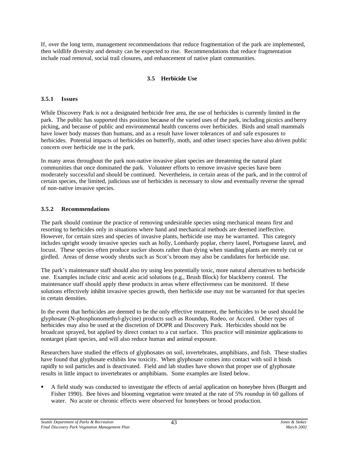If, over the long term, management recommendations that reduce fragmentation of the park are implemented, then wildlife diversity and density can be expected to rise. Recommendations that reduce fragmentation include road removal, social trail closures, and enhancement of native plant communities.

# **3.5 Herbicide Use**

#### **3.5.1 Issues**

While Discovery Park is not a designated herbicide free area, the use of herbicides is currently limited in the park. The public has supported this position because of the varied uses of the park, including picnics and berry picking, and because of public and environmental health concerns over herbicides. Birds and small mammals have lower body masses than humans, and as a result have lower tolerances of and safe exposures to herbicides. Potential impacts of herbicides on butterfly, moth, and other insect species have also driven public concern over herbicide use in the park.

In many areas throughout the park non-native invasive plant species are threatening the natural plant communities that once dominated the park. Volunteer efforts to remove invasive species have been moderately successful and should be continued. Nevertheless, in certain areas of the park, and in the control of certain species, the limited, judicious use of herbicides is necessary to slow and eventually reverse the spread of non-native invasive species.

#### **3.5.2 Recommendations**

The park should continue the practice of removing undesirable species using mechanical means first and resorting to herbicides only in situations where hand and mechanical methods are deemed ineffective. However, for certain sizes and species of invasive plants, herbicide use may be warranted. This category includes upright woody invasive species such as holly, Lombardy poplar, cherry laurel, Portuguese laurel, and locust. These species often produce sucker shoots rather than dying when standing plants are merely cut or girdled. Areas of dense woody shrubs such as Scot's broom may also be candidates for herbicide use.

The park's maintenance staff should also try using less potentially toxic, more natural alternatives to herbicide use. Examples include citric and acetic acid solutions (e.g., Brush Block) for blackberry control. The maintenance staff should apply these products in areas where effectiveness can be monitored. If these solutions effectively inhibit invasive species growth, then herbicide use may not be warranted for that species in certain densities.

In the event that herbicides are deemed to be the only effective treatment, the herbicides to be used should be glyphosate (N-phosphonomethyl-glycine) products such as Roundup, Rodeo, or Accord. Other types of herbicides may also be used at the discretion of DOPR and Discovery Park. Herbicides should not be broadcast sprayed, but applied by direct contact to a cut surface. This practice will minimize applications to nontarget plant species, and will also reduce human and animal exposure.

Researchers have studied the effects of glyphosates on soil, invertebrates, amphibians, and fish. These studies have found that glyphosate exhibits low toxicity. When glyphosate comes into contact with soil it binds rapidly to soil particles and is deactivated. Field and lab studies have shown that proper use of glyphosate results in little impact to invertebrates or amphibians. Some examples are listed below.

ß A field study was conducted to investigate the effects of aerial application on honeybee hives (Burgett and Fisher 1990). Bee hives and blooming vegetation were treated at the rate of 5% roundup in 60 gallons of water. No acute or chronic effects were observed for honeybees or brood production.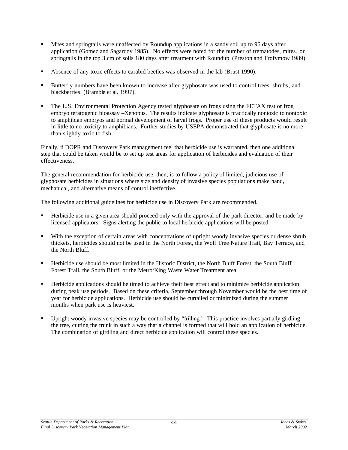- ß Mites and springtails were unaffected by Roundup applications in a sandy soil up to 96 days after application (Gomez and Sagardoy 1985). No effects were noted for the number of trematodes, mites, or springtails in the top 3 cm of soils 180 days after treatment with Roundup (Preston and Trofymow 1989).
- ß Absence of any toxic effects to carabid beetles was observed in the lab (Brust 1990).
- **Butterfly numbers have been known to increase after glyphosate was used to control trees, shrubs, and** blackberries (Bramble et al. 1997).
- ß The U.S. Environmental Protection Agency tested glyphosate on frogs using the FETAX test or frog embryo teratogenic bioassay –Xenopus. The results indicate glyphosate is practically nontoxic to nontoxic to amphibian embryos and normal development of larval frogs. Proper use of these products would result in little to no toxicity to amphibians. Further studies by USEPA demonstrated that glyphosate is no more than slightly toxic to fish.

Finally, if DOPR and Discovery Park management feel that herbicide use is warranted, then one additional step that could be taken would be to set up test areas for application of herbicides and evaluation of their effectiveness.

The general recommendation for herbicide use, then, is to follow a policy of limited, judicious use of glyphosate herbicides in situations where size and density of invasive species populations make hand, mechanical, and alternative means of control ineffective.

The following additional guidelines for herbicide use in Discovery Park are recommended.

- ß Herbicide use in a given area should proceed only with the approval of the park director, and be made by licensed applicators. Signs alerting the public to local herbicide applications will be posted.
- With the exception of certain areas with concentrations of upright woody invasive species or dense shrub thickets, herbicides should not be used in the North Forest, the Wolf Tree Nature Trail, Bay Terrace, and the North Bluff.
- ß Herbicide use should be most limited in the Historic District, the North Bluff Forest, the South Bluff Forest Trail, the South Bluff, or the Metro/King Waste Water Treatment area.
- ß Herbicide applications should be timed to achieve their best effect and to minimize herbicide application during peak use periods. Based on these criteria, September through November would be the best time of year for herbicide applications. Herbicide use should be curtailed or minimized during the summer months when park use is heaviest.
- ß Upright woody invasive species may be controlled by "frilling." This practice involves partially girdling the tree, cutting the trunk in such a way that a channel is formed that will hold an application of herbicide. The combination of girdling and direct herbicide application will control these species.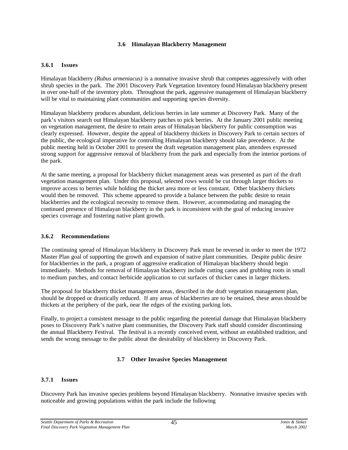#### **3.6 Himalayan Blackberry Management**

#### **3.6.1 Issues**

Himalayan blackberry *(Rubus armeniacus)* is a nonnative invasive shrub that competes aggressively with other shrub species in the park. The 2001 Discovery Park Vegetation Inventory found Himalayan blackberry present in over one-half of the inventory plots. Throughout the park, aggressive management of Himalayan blackberry will be vital to maintaining plant communities and supporting species diversity.

Himalayan blackberry produces abundant, delicious berries in late summer at Discovery Park. Many of the park's visitors search out Himalayan blackberry patches to pick berries. At the January 2001 public meeting on vegetation management, the desire to retain areas of Himalayan blackberry for public consumption was clearly expressed. However, despite the appeal of blackberry thickets in Discovery Park to certain sectors of the public, the ecological imperative for controlling Himalayan blackberry should take precedence. At the public meeting held in October 2001 to present the draft vegetation management plan, attendees expressed strong support for aggressive removal of blackberry from the park and especially from the interior portions of the park.

At the same meeting, a proposal for blackberry thicket management areas was presented as part of the draft vegetation management plan. Under this proposal, selected rows would be cut through larger thickets to improve access to berries while holding the thicket area more or less constant. Other blackberry thickets would then be removed. This scheme appeared to provide a balance between the public desire to retain blackberries and the ecological necessity to remove them. However, accommodating and managing the continued presence of Himalayan blackberry in the park is inconsistent with the goal of reducing invasive species coverage and fostering native plant growth.

# **3.6.2 Recommendations**

The continuing spread of Himalayan blackberry in Discovery Park must be reversed in order to meet the 1972 Master Plan goal of supporting the growth and expansion of native plant communities. Despite public desire for blackberries in the park, a program of aggressive eradication of Himalayan blackberry should begin immediately. Methods for removal of Himalayan blackberry include cutting canes and grubbing roots in small to medium patches, and contact herbicide application to cut surfaces of thicker canes in larger thickets.

The proposal for blackberry thicket management areas, described in the draft vegetation management plan, should be dropped or drastically reduced. If any areas of blackberries are to be retained, these areas should be thickets at the periphery of the park, near the edges of the existing parking lots.

Finally, to project a consistent message to the public regarding the potential damage that Himalayan blackberry poses to Discovery Park's native plant communities, the Discovery Park staff should consider discontinuing the annual Blackberry Festival. The festival is a recently conceived event, without an established tradition, and sends the wrong message to the public about the desirability of blackberry in Discovery Park.

# **3.7 Other Invasive Species Management**

# **3.7.1 Issues**

Discovery Park has invasive species problems beyond Himalayan blackberry. Nonnative invasive species with noticeable and growing populations within the park include the following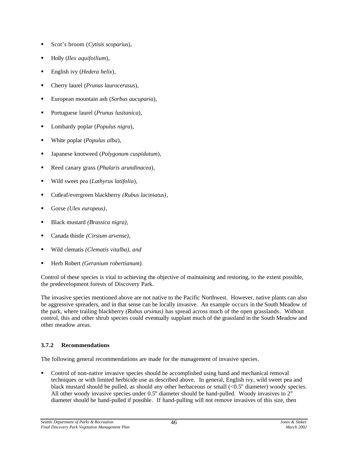- ß Scot's broom (*Cytisis scoparius*),
- ß Holly (*Ilex aquifoilium*),
- ß English ivy (*Hedera helix*),
- ß Cherry laurel (*Prunus laurocerasus*),
- ß European mountain ash (*Sorbus aucuparia*),
- ß Portuguese laurel (*Prunus lusitanica*),
- ß Lombardy poplar (*Populus nigra*),
- ß White poplar (*Populus alba*),
- ß Japanese knotweed (*Polygonum cuspidatum*),
- Reed canary grass (*Phalaris arundinacea*),
- ß Wild sweet pea (*Lathyrus latifolia*),
- Cutleaf/evergreen blackberry *(Rubus laciniatus)*,
- Gorse *(Ulex europeus)*,
- ß Black mustard *(Brassica nigra),*
- ß Canada thistle *(Cirsium arvense),*
- ß Wild clematis *(Clematis vitalba), and*
- ß Herb Robert *(Geranium robertianum).*

Control of these species is vital to achieving the objective of maintaining and restoring, to the extent possible, the predevelopment forests of Discovery Park.

The invasive species mentioned above are not native to the Pacific Northwest. However, native plants can also be aggressive spreaders, and in that sense can be locally invasive. An example occurs in the South Meadow of the park, where trailing blackberry *(Rubus ursinus)* has spread across much of the open grasslands. Without control, this and other shrub species could eventually supplant much of the grassland in the South Meadow and other meadow areas.

# **3.7.2 Recommendations**

The following general recommendations are made for the management of invasive species.

ß Control of non-native invasive species should be accomplished using hand and mechanical removal techniques or with limited herbicide use as described above. In general, English ivy, wild sweet pea and black mustard should be pulled, as should any other herbaceous or small  $\langle 0.5$ " diameter) woody species. All other woody invasive species under 0.5" diameter should be hand-pulled. Woody invasives to 2" diameter should be hand-pulled if possible. If hand-pulling will not remove invasives of this size, then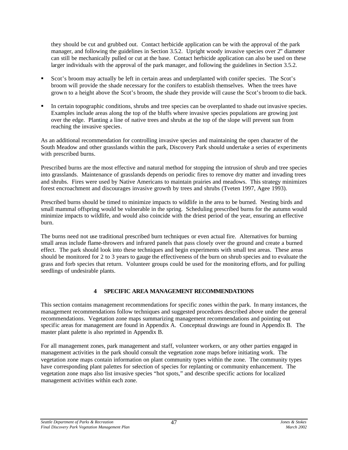they should be cut and grubbed out. Contact herbicide application can be with the approval of the park manager, and following the guidelines in Section 3.5.2. Upright woody invasive species over 2" diameter can still be mechanically pulled or cut at the base. Contact herbicide application can also be used on these larger individuals with the approval of the park manager, and following the guidelines in Section 3.5.2.

- ß Scot's broom may actually be left in certain areas and underplanted with conifer species. The Scot's broom will provide the shade necessary for the conifers to establish themselves. When the trees have grown to a height above the Scot's broom, the shade they provide will cause the Scot's broom to die back.
- ß In certain topographic conditions, shrubs and tree species can be overplanted to shade out invasive species. Examples include areas along the top of the bluffs where invasive species populations are growing just over the edge. Planting a line of native trees and shrubs at the top of the slope will prevent sun from reaching the invasive species.

As an additional recommendation for controlling invasive species and maintaining the open character of the South Meadow and other grasslands within the park, Discovery Park should undertake a series of experiments with prescribed burns.

Prescribed burns are the most effective and natural method for stopping the intrusion of shrub and tree species into grasslands. Maintenance of grasslands depends on periodic fires to remove dry matter and invading trees and shrubs. Fires were used by Native Americans to maintain prairies and meadows. This strategy minimizes forest encroachment and discourages invasive growth by trees and shrubs (Tveten 1997, Agee 1993).

Prescribed burns should be timed to minimize impacts to wildlife in the area to be burned. Nesting birds and small mammal offspring would be vulnerable in the spring. Scheduling prescribed burns for the autumn would minimize impacts to wildlife, and would also coincide with the driest period of the year, ensuring an effective burn.

The burns need not use traditional prescribed burn techniques or even actual fire. Alternatives for burning small areas include flame-throwers and infrared panels that pass closely over the ground and create a burned effect. The park should look into these techniques and begin experiments with small test areas. These areas should be monitored for 2 to 3 years to gauge the effectiveness of the burn on shrub species and to evaluate the grass and forb species that return. Volunteer groups could be used for the monitoring efforts, and for pulling seedlings of undesirable plants.

# **4 SPECIFIC AREA MANAGEMENT RECOMMENDATIONS**

This section contains management recommendations for specific zones within the park. In many instances, the management recommendations follow techniques and suggested procedures described above under the general recommendations. Vegetation zone maps summarizing management recommendations and pointing out specific areas for management are found in Appendix A. Conceptual drawings are found in Appendix B. The master plant palette is also reprinted in Appendix B.

For all management zones, park management and staff, volunteer workers, or any other parties engaged in management activities in the park should consult the vegetation zone maps before initiating work. The vegetation zone maps contain information on plant community types within the zone. The community types have corresponding plant palettes for selection of species for replanting or community enhancement. The vegetation zone maps also list invasive species "hot spots," and describe specific actions for localized management activities within each zone.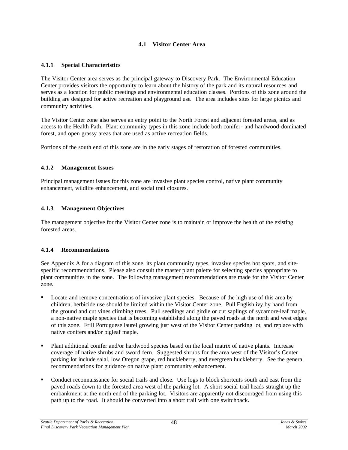# **4.1 Visitor Center Area**

#### **4.1.1 Special Characteristics**

The Visitor Center area serves as the principal gateway to Discovery Park. The Environmental Education Center provides visitors the opportunity to learn about the history of the park and its natural resources and serves as a location for public meetings and environmental education classes. Portions of this zone around the building are designed for active recreation and playground use. The area includes sites for large picnics and community activities.

The Visitor Center zone also serves an entry point to the North Forest and adjacent forested areas, and as access to the Health Path. Plant community types in this zone include both conifer- and hardwood-dominated forest, and open grassy areas that are used as active recreation fields.

Portions of the south end of this zone are in the early stages of restoration of forested communities.

# **4.1.2 Management Issues**

Principal management issues for this zone are invasive plant species control, native plant community enhancement, wildlife enhancement, and social trail closures.

#### **4.1.3 Management Objectives**

The management objective for the Visitor Center zone is to maintain or improve the health of the existing forested areas.

# **4.1.4 Recommendations**

See Appendix A for a diagram of this zone, its plant community types, invasive species hot spots, and sitespecific recommendations. Please also consult the master plant palette for selecting species appropriate to plant communities in the zone. The following management recommendations are made for the Visitor Center zone.

- ß Locate and remove concentrations of invasive plant species. Because of the high use of this area by children, herbicide use should be limited within the Visitor Center zone. Pull English ivy by hand from the ground and cut vines climbing trees. Pull seedlings and girdle or cut saplings of sycamore-leaf maple, a non-native maple species that is becoming established along the paved roads at the north and west edges of this zone. Frill Portuguese laurel growing just west of the Visitor Center parking lot, and replace with native conifers and/or bigleaf maple.
- ß Plant additional conifer and/or hardwood species based on the local matrix of native plants. Increase coverage of native shrubs and sword fern. Suggested shrubs for the area west of the Visitor's Center parking lot include salal, low Oregon grape, red huckleberry, and evergreen huckleberry. See the general recommendations for guidance on native plant community enhancement.
- ß Conduct reconnaissance for social trails and close. Use logs to block shortcuts south and east from the paved roads down to the forested area west of the parking lot. A short social trail heads straight up the embankment at the north end of the parking lot. Visitors are apparently not discouraged from using this path up to the road. It should be converted into a short trail with one switchback.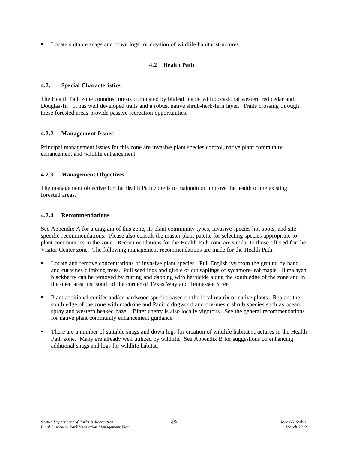Locate suitable snags and down logs for creation of wildlife habitat structures.

# **4.2 Health Path**

#### **4.2.1 Special Characteristics**

The Health Path zone contains forests dominated by bigleaf maple with occasional western red cedar and Douglas-fir. It has well developed trails and a robust native shrub-herb-fern layer. Trails crossing through these forested areas provide passive recreation opportunities.

# **4.2.2 Management Issues**

Principal management issues for this zone are invasive plant species control, native plant community enhancement and wildlife enhancement.

#### **4.2.3 Management Objectives**

The management objective for the Health Path zone is to maintain or improve the health of the existing forested areas.

#### **4.2.4 Recommendations**

See Appendix A for a diagram of this zone, its plant community types, invasive species hot spots, and sitespecific recommendations. Please also consult the master plant palette for selecting species appropriate to plant communities in the zone. Recommendations for the Health Path zone are similar to those offered for the Visitor Center zone. The following management recommendations are made for the Health Path.

- ß Locate and remove concentrations of invasive plant species. Pull English ivy from the ground by hand and cut vines climbing trees. Pull seedlings and girdle or cut saplings of sycamore-leaf maple. Himalayan blackberry can be removed by cutting and dabbing with herbicide along the south edge of the zone and in the open area just south of the corner of Texas Way and Tennessee Street.
- ß Plant additional conifer and/or hardwood species based on the local matrix of native plants. Replant the south edge of the zone with madrone and Pacific dogwood and dry-mesic shrub species such as ocean spray and western beaked hazel. Bitter cherry is also locally vigorous. See the general recommendations for native plant community enhancement guidance.
- ß There are a number of suitable snags and down logs for creation of wildlife habitat structures in the Health Path zone. Many are already well utilized by wildlife. See Appendix B for suggestions on enhancing additional snags and logs for wildlife habitat.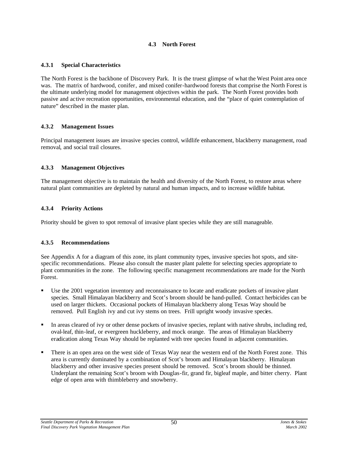#### **4.3 North Forest**

#### **4.3.1 Special Characteristics**

The North Forest is the backbone of Discovery Park. It is the truest glimpse of what the West Point area once was. The matrix of hardwood, conifer, and mixed conifer-hardwood forests that comprise the North Forest is the ultimate underlying model for management objectives within the park. The North Forest provides both passive and active recreation opportunities, environmental education, and the "place of quiet contemplation of nature" described in the master plan.

# **4.3.2 Management Issues**

Principal management issues are invasive species control, wildlife enhancement, blackberry management, road removal, and social trail closures.

# **4.3.3 Management Objectives**

The management objective is to maintain the health and diversity of the North Forest, to restore areas where natural plant communities are depleted by natural and human impacts, and to increase wildlife habitat.

# **4.3.4 Priority Actions**

Priority should be given to spot removal of invasive plant species while they are still manageable.

# **4.3.5 Recommendations**

See Appendix A for a diagram of this zone, its plant community types, invasive species hot spots, and sitespecific recommendations. Please also consult the master plant palette for selecting species appropriate to plant communities in the zone. The following specific management recommendations are made for the North Forest.

- Use the 2001 vegetation inventory and reconnaissance to locate and eradicate pockets of invasive plant species. Small Himalayan blackberry and Scot's broom should be hand-pulled. Contact herbicides can be used on larger thickets. Occasional pockets of Himalayan blackberry along Texas Way should be removed. Pull English ivy and cut ivy stems on trees. Frill upright woody invasive species.
- ß In areas cleared of ivy or other dense pockets of invasive species, replant with native shrubs, including red, oval-leaf, thin-leaf, or evergreen huckleberry, and mock orange. The areas of Himalayan blackberry eradication along Texas Way should be replanted with tree species found in adjacent communities.
- ß There is an open area on the west side of Texas Way near the western end of the North Forest zone. This area is currently dominated by a combination of Scot's broom and Himalayan blackberry. Himalayan blackberry and other invasive species present should be removed. Scot's broom should be thinned. Underplant the remaining Scot's broom with Douglas-fir, grand fir, bigleaf maple, and bitter cherry. Plant edge of open area with thimbleberry and snowberry.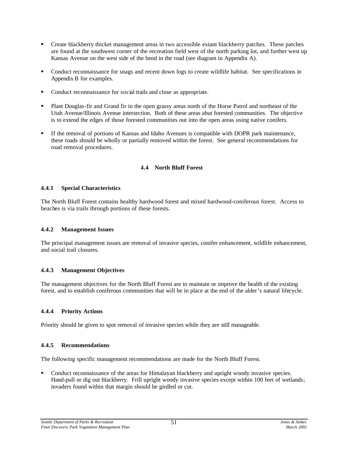- ß Create blackberry thicket management areas in two accessible extant blackberry patches. These patches are found at the southwest corner of the recreation field west of the north parking lot, and further west up Kansas Avenue on the west side of the bend in the road (see diagram in Appendix A).
- ß Conduct reconnaissance for snags and recent down logs to create wildlife habitat. See specifications in Appendix B for examples.
- Conduct reconnaissance for social trails and close as appropriate.
- ß Plant Douglas-fir and Grand fir in the open grassy areas north of the Horse Patrol and northeast of the Utah Avenue/Illinois Avenue intersection. Both of these areas abut forested communities. The objective is to extend the edges of those forested communities out into the open areas using native conifers.
- ß If the removal of portions of Kansas and Idaho Avenues is compatible with DOPR park maintenance, these roads should be wholly or partially removed within the forest. See general recommendations for road removal procedures.

# **4.4 North Bluff Forest**

#### **4.4.1 Special Characteristics**

The North Bluff Forest contains healthy hardwood forest and mixed hardwood-coniferous forest. Access to beaches is via trails through portions of these forests.

# **4.4.2 Management Issues**

The principal management issues are removal of invasive species, conifer enhancement, wildlife enhancement, and social trail closures.

# **4.4.3 Management Objectives**

The management objectives for the North Bluff Forest are to maintain or improve the health of the existing forest, and to establish coniferous communities that will be in place at the end of the alder's natural lifecycle.

# **4.4.4 Priority Actions**

Priority should be given to spot removal of invasive species while they are still manageable.

# **4.4.5 Recommendations**

The following specific management recommendations are made for the North Bluff Forest.

ß Conduct reconnaissance of the areas for Himalayan blackberry and upright woody invasive species. Hand-pull or dig out blackberry. Frill upright woody invasive species except within 100 feet of wetlands; invaders found within that margin should be girdled or cut.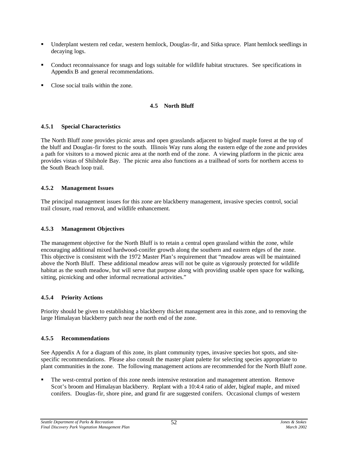- ß Underplant western red cedar, western hemlock, Douglas-fir, and Sitka spruce. Plant hemlock seedlings in decaying logs.
- ß Conduct reconnaissance for snags and logs suitable for wildlife habitat structures. See specifications in Appendix B and general recommendations.
- Close social trails within the zone.

# **4.5 North Bluff**

# **4.5.1 Special Characteristics**

The North Bluff zone provides picnic areas and open grasslands adjacent to bigleaf maple forest at the top of the bluff and Douglas-fir forest to the south. Illinois Way runs along the eastern edge of the zone and provides a path for visitors to a mowed picnic area at the north end of the zone. A viewing platform in the picnic area provides vistas of Shilshole Bay. The picnic area also functions as a trailhead of sorts for northern access to the South Beach loop trail.

# **4.5.2 Management Issues**

The principal management issues for this zone are blackberry management, invasive species control, social trail closure, road removal, and wildlife enhancement.

# **4.5.3 Management Objectives**

The management objective for the North Bluff is to retain a central open grassland within the zone, while encouraging additional mixed hardwood-conifer growth along the southern and eastern edges of the zone. This objective is consistent with the 1972 Master Plan's requirement that "meadow areas will be maintained above the North Bluff. These additional meadow areas will not be quite as vigorously protected for wildlife habitat as the south meadow, but will serve that purpose along with providing usable open space for walking, sitting, picnicking and other informal recreational activities."

# **4.5.4 Priority Actions**

Priority should be given to establishing a blackberry thicket management area in this zone, and to removing the large Himalayan blackberry patch near the north end of the zone.

# **4.5.5 Recommendations**

See Appendix A for a diagram of this zone, its plant community types, invasive species hot spots, and sitespecific recommendations. Please also consult the master plant palette for selecting species appropriate to plant communities in the zone. The following management actions are recommended for the North Bluff zone.

ß The west-central portion of this zone needs intensive restoration and management attention. Remove Scot's broom and Himalayan blackberry. Replant with a 10:4:4 ratio of alder, bigleaf maple, and mixed conifers. Douglas-fir, shore pine, and grand fir are suggested conifers. Occasional clumps of western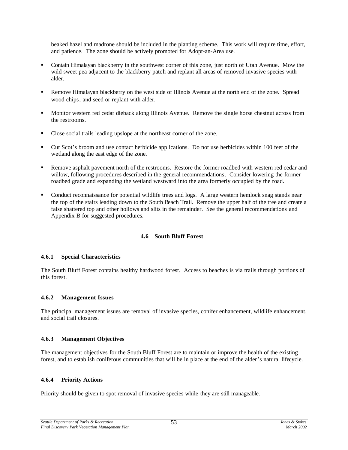beaked hazel and madrone should be included in the planting scheme. This work will require time, effort, and patience. The zone should be actively promoted for Adopt-an-Area use.

- ß Contain Himalayan blackberry in the southwest corner of this zone, just north of Utah Avenue. Mow the wild sweet pea adjacent to the blackberry patch and replant all areas of removed invasive species with alder.
- ß Remove Himalayan blackberry on the west side of Illinois Avenue at the north end of the zone. Spread wood chips, and seed or replant with alder.
- ß Monitor western red cedar dieback along Illinois Avenue. Remove the single horse chestnut across from the restrooms.
- Close social trails leading upslope at the northeast corner of the zone.
- ß Cut Scot's broom and use contact herbicide applications. Do not use herbicides within 100 feet of the wetland along the east edge of the zone.
- ß Remove asphalt pavement north of the restrooms. Restore the former roadbed with western red cedar and willow, following procedures described in the general recommendations. Consider lowering the former roadbed grade and expanding the wetland westward into the area formerly occupied by the road.
- ß Conduct reconnaissance for potential wildlife trees and logs. A large western hemlock snag stands near the top of the stairs leading down to the South Beach Trail. Remove the upper half of the tree and create a false shattered top and other hollows and slits in the remainder. See the general recommendations and Appendix B for suggested procedures.

# **4.6 South Bluff Forest**

#### **4.6.1 Special Characteristics**

The South Bluff Forest contains healthy hardwood forest. Access to beaches is via trails through portions of this forest.

#### **4.6.2 Management Issues**

The principal management issues are removal of invasive species, conifer enhancement, wildlife enhancement, and social trail closures.

#### **4.6.3 Management Objectives**

The management objectives for the South Bluff Forest are to maintain or improve the health of the existing forest, and to establish coniferous communities that will be in place at the end of the alder's natural lifecycle.

#### **4.6.4 Priority Actions**

Priority should be given to spot removal of invasive species while they are still manageable.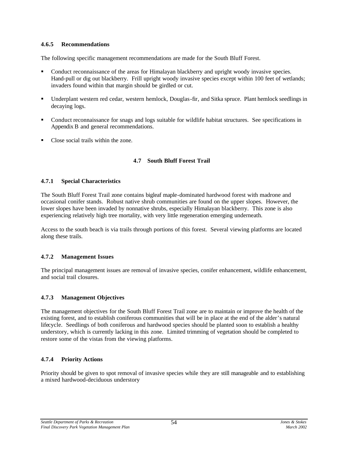# **4.6.5 Recommendations**

The following specific management recommendations are made for the South Bluff Forest.

- ß Conduct reconnaissance of the areas for Himalayan blackberry and upright woody invasive species. Hand-pull or dig out blackberry. Frill upright woody invasive species except within 100 feet of wetlands; invaders found within that margin should be girdled or cut.
- ß Underplant western red cedar, western hemlock, Douglas-fir, and Sitka spruce. Plant hemlock seedlings in decaying logs.
- Conduct reconnaissance for snags and logs suitable for wildlife habitat structures. See specifications in Appendix B and general recommendations.
- ß Close social trails within the zone.

# **4.7 South Bluff Forest Trail**

# **4.7.1 Special Characteristics**

The South Bluff Forest Trail zone contains bigleaf maple-dominated hardwood forest with madrone and occasional conifer stands. Robust native shrub communities are found on the upper slopes. However, the lower slopes have been invaded by nonnative shrubs, especially Himalayan blackberry. This zone is also experiencing relatively high tree mortality, with very little regeneration emerging underneath.

Access to the south beach is via trails through portions of this forest. Several viewing platforms are located along these trails.

# **4.7.2 Management Issues**

The principal management issues are removal of invasive species, conifer enhancement, wildlife enhancement, and social trail closures.

# **4.7.3 Management Objectives**

The management objectives for the South Bluff Forest Trail zone are to maintain or improve the health of the existing forest, and to establish coniferous communities that will be in place at the end of the alder's natural lifecycle. Seedlings of both coniferous and hardwood species should be planted soon to establish a healthy understory, which is currently lacking in this zone. Limited trimming of vegetation should be completed to restore some of the vistas from the viewing platforms.

# **4.7.4 Priority Actions**

Priority should be given to spot removal of invasive species while they are still manageable and to establishing a mixed hardwood-deciduous understory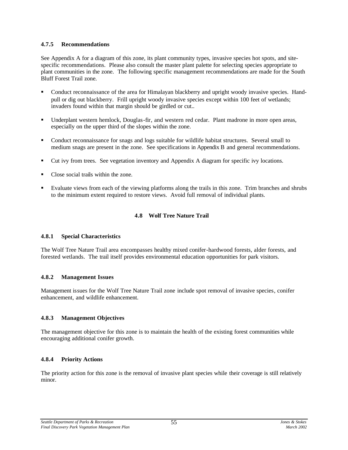# **4.7.5 Recommendations**

See Appendix A for a diagram of this zone, its plant community types, invasive species hot spots, and sitespecific recommendations. Please also consult the master plant palette for selecting species appropriate to plant communities in the zone. The following specific management recommendations are made for the South Bluff Forest Trail zone.

- ß Conduct reconnaissance of the area for Himalayan blackberry and upright woody invasive species. Handpull or dig out blackberry. Frill upright woody invasive species except within 100 feet of wetlands; invaders found within that margin should be girdled or cut..
- Underplant western hemlock, Douglas-fir, and western red cedar. Plant madrone in more open areas, especially on the upper third of the slopes within the zone.
- ß Conduct reconnaissance for snags and logs suitable for wildlife habitat structures. Several small to medium snags are present in the zone. See specifications in Appendix B and general recommendations.
- ß Cut ivy from trees. See vegetation inventory and Appendix A diagram for specific ivy locations.
- ß Close social trails within the zone.
- ß Evaluate views from each of the viewing platforms along the trails in this zone. Trim branches and shrubs to the minimum extent required to restore views. Avoid full removal of individual plants.

# **4.8 Wolf Tree Nature Trail**

#### **4.8.1 Special Characteristics**

The Wolf Tree Nature Trail area encompasses healthy mixed conifer-hardwood forests, alder forests, and forested wetlands. The trail itself provides environmental education opportunities for park visitors.

# **4.8.2 Management Issues**

Management issues for the Wolf Tree Nature Trail zone include spot removal of invasive species, conifer enhancement, and wildlife enhancement.

#### **4.8.3 Management Objectives**

The management objective for this zone is to maintain the health of the existing forest communities while encouraging additional conifer growth.

# **4.8.4 Priority Actions**

The priority action for this zone is the removal of invasive plant species while their coverage is still relatively minor.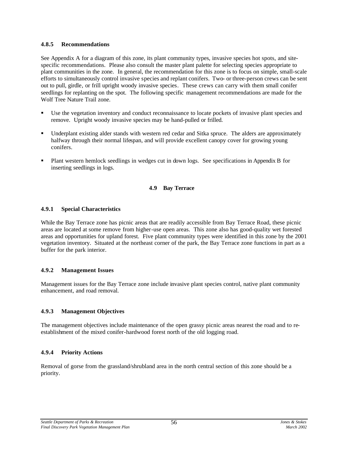#### **4.8.5 Recommendations**

See Appendix A for a diagram of this zone, its plant community types, invasive species hot spots, and sitespecific recommendations. Please also consult the master plant palette for selecting species appropriate to plant communities in the zone. In general, the recommendation for this zone is to focus on simple, small-scale efforts to simultaneously control invasive species and replant conifers. Two- or three-person crews can be sent out to pull, girdle, or frill upright woody invasive species. These crews can carry with them small conifer seedlings for replanting on the spot. The following specific management recommendations are made for the Wolf Tree Nature Trail zone.

- Use the vegetation inventory and conduct reconnaissance to locate pockets of invasive plant species and remove. Upright woody invasive species may be hand-pulled or frilled.
- ß Underplant existing alder stands with western red cedar and Sitka spruce. The alders are approximately halfway through their normal lifespan, and will provide excellent canopy cover for growing young conifers.
- ß Plant western hemlock seedlings in wedges cut in down logs. See specifications in Appendix B for inserting seedlings in logs.

# **4.9 Bay Terrace**

# **4.9.1 Special Characteristics**

While the Bay Terrace zone has picnic areas that are readily accessible from Bay Terrace Road, these picnic areas are located at some remove from higher-use open areas. This zone also has good-quality wet forested areas and opportunities for upland forest. Five plant community types were identified in this zone by the 2001 vegetation inventory. Situated at the northeast corner of the park, the Bay Terrace zone functions in part as a buffer for the park interior.

# **4.9.2 Management Issues**

Management issues for the Bay Terrace zone include invasive plant species control, native plant community enhancement, and road removal.

# **4.9.3 Management Objectives**

The management objectives include maintenance of the open grassy picnic areas nearest the road and to reestablishment of the mixed conifer-hardwood forest north of the old logging road.

# **4.9.4 Priority Actions**

Removal of gorse from the grassland/shrubland area in the north central section of this zone should be a priority.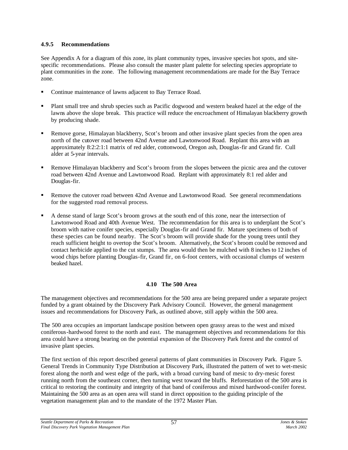# **4.9.5 Recommendations**

See Appendix A for a diagram of this zone, its plant community types, invasive species hot spots, and sitespecific recommendations. Please also consult the master plant palette for selecting species appropriate to plant communities in the zone. The following management recommendations are made for the Bay Terrace zone.

- ß Continue maintenance of lawns adjacent to Bay Terrace Road.
- ß Plant small tree and shrub species such as Pacific dogwood and western beaked hazel at the edge of the lawns above the slope break. This practice will reduce the encroachment of Himalayan blackberry growth by producing shade.
- ß Remove gorse, Himalayan blackberry, Scot's broom and other invasive plant species from the open area north of the cutover road between 42nd Avenue and Lawtonwood Road. Replant this area with an approximately 8:2:2:1:1 matrix of red alder, cottonwood, Oregon ash, Douglas-fir and Grand fir. Cull alder at 5-year intervals.
- ß Remove Himalayan blackberry and Scot's broom from the slopes between the picnic area and the cutover road between 42nd Avenue and Lawtonwood Road. Replant with approximately 8:1 red alder and Douglas-fir.
- ß Remove the cutover road between 42nd Avenue and Lawtonwood Road. See general recommendations for the suggested road removal process.
- ß A dense stand of large Scot's broom grows at the south end of this zone, near the intersection of Lawtonwood Road and 40th Avenue West. The recommendation for this area is to underplant the Scot's broom with native conifer species, especially Douglas-fir and Grand fir. Mature specimens of both of these species can be found nearby. The Scot's broom will provide shade for the young trees until they reach sufficient height to overtop the Scot's broom. Alternatively, the Scot's broom could be removed and contact herbicide applied to the cut stumps. The area would then be mulched with 8 inches to 12 inches of wood chips before planting Douglas-fir, Grand fir, on 6-foot centers, with occasional clumps of western beaked hazel.

# **4.10 The 500 Area**

The management objectives and recommendations for the 500 area are being prepared under a separate project funded by a grant obtained by the Discovery Park Advisory Council. However, the general management issues and recommendations for Discovery Park, as outlined above, still apply within the 500 area.

The 500 area occupies an important landscape position between open grassy areas to the west and mixed coniferous-hardwood forest to the north and east. The management objectives and recommendations for this area could have a strong bearing on the potential expansion of the Discovery Park forest and the control of invasive plant species.

The first section of this report described general patterns of plant communities in Discovery Park. Figure 5. General Trends in Community Type Distribution at Discovery Park, illustrated the pattern of wet to wet-mesic forest along the north and west edge of the park, with a broad curving band of mesic to dry-mesic forest running north from the southeast corner, then turning west toward the bluffs. Reforestation of the 500 area is critical to restoring the continuity and integrity of that band of coniferous and mixed hardwood-conifer forest. Maintaining the 500 area as an open area will stand in direct opposition to the guiding principle of the vegetation management plan and to the mandate of the 1972 Master Plan.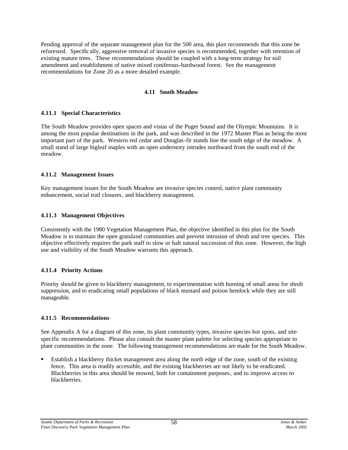Pending approval of the separate management plan for the 500 area, this plan recommends that this zone be reforested. Specific ally, aggressive removal of invasive species is recommended, together with retention of existing mature trees. These recommendations should be coupled with a long-term strategy for soil amendment and establishment of native mixed coniferous-hardwood forest. See the management recommendations for Zone 20 as a more detailed example.

# **4.11 South Meadow**

#### **4.11.1 Special Characteristics**

The South Meadow provides open spaces and vistas of the Puget Sound and the Olympic Mountains. It is among the most popular destinations in the park, and was described in the 1972 Master Plan as being the most important part of the park. Western red cedar and Douglas-fir stands line the south edge of the meadow. A small stand of large bigleaf maples with an open understory intrudes northward from the south end of the meadow.

#### **4.11.2 Management Issues**

Key management issues for the South Meadow are invasive species control, native plant community enhancement, social trail closures, and blackberry management.

#### **4.11.3 Management Objectives**

Consistently with the 1980 Vegetation Management Plan, the objective identified in this plan for the South Meadow is to maintain the open grassland communities and prevent intrusion of shrub and tree species. This objective effectively requires the park staff to slow or halt natural succession of this zone. However, the high use and visibility of the South Meadow warrants this approach.

# **4.11.4 Priority Actions**

Priority should be given to blackberry management, to experimentation with burning of small areas for shrub suppression, and to eradicating small populations of black mustard and poison hemlock while they are still manageable.

#### **4.11.5 Recommendations**

See Appendix A for a diagram of this zone, its plant community types, invasive species hot spots, and sitespecific recommendations. Please also consult the master plant palette for selecting species appropriate to plant communities in the zone. The following management recommendations are made for the South Meadow.

ß Establish a blackberry thicket management area along the north edge of the zone, south of the existing fence. This area is readily accessible, and the existing blackberries are not likely to be eradicated. Blackberries in this area should be mowed, both for containment purposes, and to improve access to blackberries.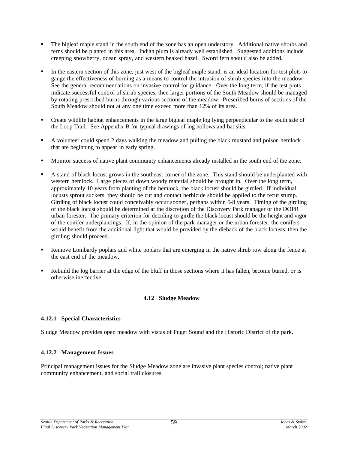- ß The bigleaf maple stand in the south end of the zone has an open understory. Additional native shrubs and ferns should be planted in this area. Indian plum is already well established. Suggested additions include creeping snowberry, ocean spray, and western beaked hazel. Sword fern should also be added.
- ß In the eastern section of this zone, just west of the bigleaf maple stand, is an ideal location for test plots to gauge the effectiveness of burning as a means to control the intrusion of shrub species into the meadow. See the general recommendations on invasive control for guidance. Over the long term, if the test plots indicate successful control of shrub species, then larger portions of the South Meadow should be managed by rotating prescribed burns through various sections of the meadow. Prescribed burns of sections of the South Meadow should not at any one time exceed more than 12% of its area.
- ß Create wildlife habitat enhancements in the large bigleaf maple log lying perpendicular to the south side of the Loop Trail. See Appendix B for typical drawings of log hollows and bat slits.
- ß A volunteer could spend 2 days walking the meadow and pulling the black mustard and poison hemlock that are beginning to appear in early spring.
- ß Monitor success of native plant community enhancements already installed in the south end of the zone.
- ß A stand of black locust grows in the southeast corner of the zone. This stand should be underplanted with western hemlock. Large pieces of down woody material should be brought in. Over the long term, approximately 10 years from planting of the hemlock, the black locust should be girdled. If individual locusts sprout suckers, they should be cut and contact herbicide should be applied to the recut stump. Girdling of black locust could conceivably occur sooner, perhaps within 5-8 years. Timing of the girdling of the black locust should be determined at the discretion of the Discovery Park manager or the DOPR urban forester. The primary criterion for deciding to girdle the black locust should be the height and vigor of the conifer underplantings. If, in the opinion of the park manager or the urban forester, the conifers would benefit from the additional light that would be provided by the dieback of the black locusts, then the girdling should proceed.
- ß Remove Lombardy poplars and white poplars that are emerging in the native shrub row along the fence at the east end of the meadow.
- ß Rebuild the log barrier at the edge of the bluff in those sections where it has fallen, become buried, or is otherwise ineffective.

# **4.12 Sludge Meadow**

# **4.12.1 Special Characteristics**

Sludge Meadow provides open meadow with vistas of Puget Sound and the Historic District of the park.

# **4.12.2 Management Issues**

Principal management issues for the Sludge Meadow zone are invasive plant species control; native plant community enhancement, and social trail closures.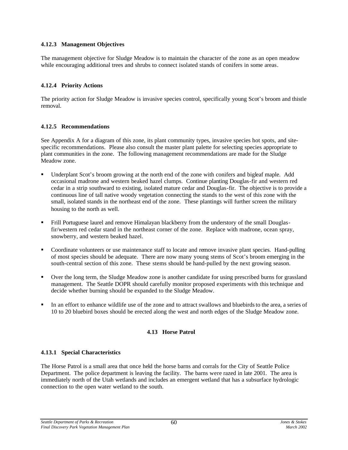# **4.12.3 Management Objectives**

The management objective for Sludge Meadow is to maintain the character of the zone as an open meadow while encouraging additional trees and shrubs to connect isolated stands of conifers in some areas.

#### **4.12.4 Priority Actions**

The priority action for Sludge Meadow is invasive species control, specifically young Scot's broom and thistle removal.

#### **4.12.5 Recommendations**

See Appendix A for a diagram of this zone, its plant community types, invasive species hot spots, and sitespecific recommendations. Please also consult the master plant palette for selecting species appropriate to plant communities in the zone. The following management recommendations are made for the Sludge Meadow zone.

- ß Underplant Scot's broom growing at the north end of the zone with conifers and bigleaf maple. Add occasional madrone and western beaked hazel clumps. Continue planting Douglas-fir and western red cedar in a strip southward to existing, isolated mature cedar and Douglas-fir. The objective is to provide a continuous line of tall native woody vegetation connecting the stands to the west of this zone with the small, isolated stands in the northeast end of the zone. These plantings will further screen the military housing to the north as well.
- ß Frill Portuguese laurel and remove Himalayan blackberry from the understory of the small Douglasfir/western red cedar stand in the northeast corner of the zone. Replace with madrone, ocean spray, snowberry, and western beaked hazel.
- Coordinate volunteers or use maintenance staff to locate and remove invasive plant species. Hand-pulling of most species should be adequate. There are now many young stems of Scot's broom emerging in the south-central section of this zone. These stems should be hand-pulled by the next growing season.
- Over the long term, the Sludge Meadow zone is another candidate for using prescribed burns for grassland management. The Seattle DOPR should carefully monitor proposed experiments with this technique and decide whether burning should be expanded to the Sludge Meadow.
- ß In an effort to enhance wildlife use of the zone and to attract swallows and bluebirds to the area, a series of 10 to 20 bluebird boxes should be erected along the west and north edges of the Sludge Meadow zone.

#### **4.13 Horse Patrol**

#### **4.13.1 Special Characteristics**

The Horse Patrol is a small area that once held the horse barns and corrals for the City of Seattle Police Department. The police department is leaving the facility. The barns were razed in late 2001. The area is immediately north of the Utah wetlands and includes an emergent wetland that has a subsurface hydrologic connection to the open water wetland to the south.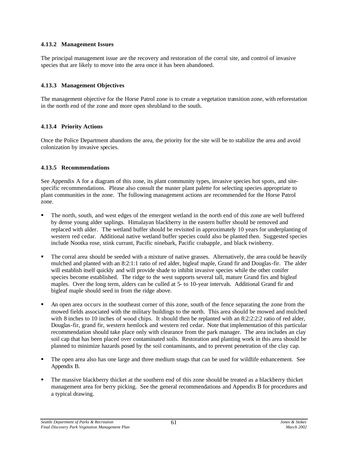#### **4.13.2 Management Issues**

The principal management issue are the recovery and restoration of the corral site, and control of invasive species that are likely to move into the area once it has been abandoned.

#### **4.13.3 Management Objectives**

The management objective for the Horse Patrol zone is to create a vegetation transition zone, with reforestation in the north end of the zone and more open shrubland to the south.

# **4.13.4 Priority Actions**

Once the Police Department abandons the area, the priority for the site will be to stabilize the area and avoid colonization by invasive species.

#### **4.13.5 Recommendations**

See Appendix A for a diagram of this zone, its plant community types, invasive species hot spots, and sitespecific recommendations. Please also consult the master plant palette for selecting species appropriate to plant communities in the zone. The following management actions are recommended for the Horse Patrol zone.

- ß The north, south, and west edges of the emergent wetland in the north end of this zone are well buffered by dense young alder saplings. Himalayan blackberry in the eastern buffer should be removed and replaced with alder. The wetland buffer should be revisited in approximately 10 years for underplanting of western red cedar. Additional native wetland buffer species could also be planted then. Suggested species include Nootka rose, stink currant, Pacific ninebark, Pacific crabapple, and black twinberry.
- ß The corral area should be seeded with a mixture of native grasses. Alternatively, the area could be heavily mulched and planted with an 8:2:1:1 ratio of red alder, bigleaf maple, Grand fir and Douglas-fir. The alder will establish itself quickly and will provide shade to inhibit invasive species while the other conifer species become established. The ridge to the west supports several tall, mature Grand firs and bigleaf maples. Over the long term, alders can be culled at 5- to 10-year intervals. Additional Grand fir and bigleaf maple should seed in from the ridge above.
- ß An open area occurs in the southeast corner of this zone, south of the fence separating the zone from the mowed fields associated with the military buildings to the north. This area should be mowed and mulched with 8 inches to 10 inches of wood chips. It should then be replanted with an 8:2:2:2:2 ratio of red alder, Douglas-fir, grand fir, western hemlock and western red cedar. Note that implementation of this particular recommendation should take place only with clearance from the park manager. The area includes an clay soil cap that has been placed over contaminated soils. Restoration and planting work in this area should be planned to minimize hazards posed by the soil contaminants, and to prevent penetration of the clay cap.
- ß The open area also has one large and three medium snags that can be used for wildlife enhancement. See Appendix B.
- ß The massive blackberry thicket at the southern end of this zone should be treated as a blackberry thicket management area for berry picking. See the general recommendations and Appendix B for procedures and a typical drawing.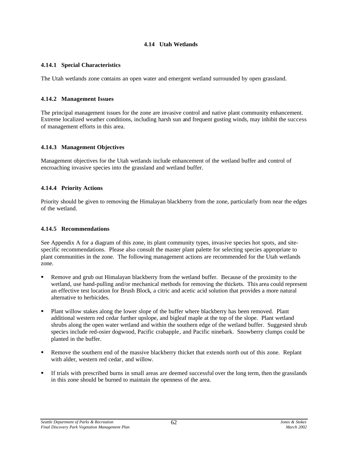## **4.14 Utah Wetlands**

## **4.14.1 Special Characteristics**

The Utah wetlands zone contains an open water and emergent wetland surrounded by open grassland.

## **4.14.2 Management Issues**

The principal management issues for the zone are invasive control and native plant community enhancement. Extreme localized weather conditions, including harsh sun and frequent gusting winds, may inhibit the success of management efforts in this area.

## **4.14.3 Management Objectives**

Management objectives for the Utah wetlands include enhancement of the wetland buffer and control of encroaching invasive species into the grassland and wetland buffer.

## **4.14.4 Priority Actions**

Priority should be given to removing the Himalayan blackberry from the zone, particularly from near the edges of the wetland.

## **4.14.5 Recommendations**

See Appendix A for a diagram of this zone, its plant community types, invasive species hot spots, and sitespecific recommendations. Please also consult the master plant palette for selecting species appropriate to plant communities in the zone. The following management actions are recommended for the Utah wetlands zone.

- ß Remove and grub out Himalayan blackberry from the wetland buffer. Because of the proximity to the wetland, use hand-pulling and/or mechanical methods for removing the thickets. This area could represent an effective test location for Brush Block, a citric and acetic acid solution that provides a more natural alternative to herbicides.
- ß Plant willow stakes along the lower slope of the buffer where blackberry has been removed. Plant additional western red cedar further upslope, and bigleaf maple at the top of the slope. Plant wetland shrubs along the open water wetland and within the southern edge of the wetland buffer. Suggested shrub species include red-osier dogwood, Pacific crabapple, and Pacific ninebark. Snowberry clumps could be planted in the buffer.
- ß Remove the southern end of the massive blackberry thicket that extends north out of this zone. Replant with alder, western red cedar, and willow.
- ß If trials with prescribed burns in small areas are deemed successful over the long term, then the grasslands in this zone should be burned to maintain the openness of the area.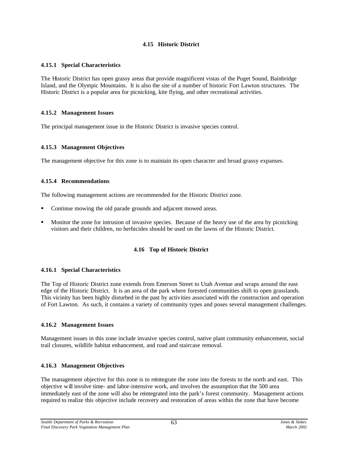## **4.15 Historic District**

## **4.15.1 Special Characteristics**

The Historic District has open grassy areas that provide magnificent vistas of the Puget Sound, Bainbridge Island, and the Olympic Mountains. It is also the site of a number of historic Fort Lawton structures. The Historic District is a popular area for picnicking, kite flying, and other recreational activities.

## **4.15.2 Management Issues**

The principal management issue in the Historic District is invasive species control.

## **4.15.3 Management Objectives**

The management objective for this zone is to maintain its open character and broad grassy expanses.

## **4.15.4 Recommendations**

The following management actions are recommended for the Historic District zone.

- Continue mowing the old parade grounds and adjacent mowed areas.
- ß Monitor the zone for intrusion of invasive species. Because of the heavy use of the area by picnicking visitors and their children, no herbicides should be used on the lawns of the Historic District.

#### **4.16 Top of Historic District**

#### **4.16.1 Special Characteristics**

The Top of Historic District zone extends from Emerson Street to Utah Avenue and wraps around the east edge of the Historic District. It is an area of the park where forested communities shift to open grasslands. This vicinity has been highly disturbed in the past by activities associated with the construction and operation of Fort Lawton. As such, it contains a variety of community types and poses several management challenges.

#### **4.16.2 Management Issues**

Management issues in this zone include invasive species control, native plant community enhancement, social trail closures, wildlife habitat enhancement, and road and staircase removal.

## **4.16.3 Management Objectives**

The management objective for this zone is to reintegrate the zone into the forests to the north and east. This objective will involve time- and labor-intensive work, and involves the assumption that the 500 area immediately east of the zone will also be reintegrated into the park's forest community. Management actions required to realize this objective include recovery and restoration of areas within the zone that have become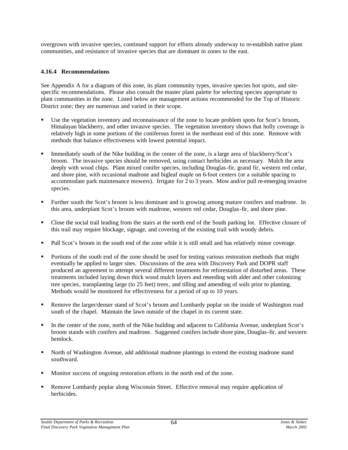overgrown with invasive species, continued support for efforts already underway to re-establish native plant communities, and resistance of invasive species that are dominant in zones to the east.

## **4.16.4 Recommendations**

See Appendix A for a diagram of this zone, its plant community types, invasive species hot spots, and sitespecific recommendations. Please also consult the master plant palette for selecting species appropriate to plant communities in the zone. Listed below are management actions recommended for the Top of Historic District zone; they are numerous and varied in their scope.

- Use the vegetation inventory and reconnaissance of the zone to locate problem spots for Scot's broom, Himalayan blackberry, and other invasive species. The vegetation inventory shows that holly coverage is relatively high in some portions of the coniferous forest in the northeast end of this zone. Remove with methods that balance effectiveness with lowest potential impact.
- ß Immediately south of the Nike building in the center of the zone, is a large area of blackberry/Scot's broom. The invasive species should be removed, using contact herbicides as necessary. Mulch the area deeply with wood chips. Plant mixed conifer species, including Douglas-fir, grand fir, western red cedar, and shore pine, with occasional madrone and bigleaf maple on 6-foot centers (or a suitable spacing to accommodate park maintenance mowers). Irrigate for 2 to 3 years. Mow and/or pull re-emerging invasive species.
- **Further south the Scot's broom is less dominant and is growing among mature conifers and madrone. In** this area, underplant Scot's broom with madrone, western red cedar, Douglas-fir, and shore pine.
- Close the social trail leading from the stairs at the north end of the South parking lot. Effective closure of this trail may require blockage, signage, and covering of the existing trail with woody debris.
- ß Pull Scot's broom in the south end of the zone while it is still small and has relatively minor coverage.
- ß Portions of the south end of the zone should be used for testing various restoration methods that might eventually be applied to larger sites. Discussions of the area with Discovery Park and DOPR staff produced an agreement to attempt several different treatments for reforestation of disturbed areas. These treatments included laying down thick wood mulch layers and reseeding with alder and other colonizing tree species, transplanting large (to 25 feet) trees, and tilling and amending of soils prior to planting. Methods would be monitored for effectiveness for a period of up to 10 years.
- ß Remove the larger/denser stand of Scot's broom and Lombardy poplar on the inside of Washington road south of the chapel. Maintain the lawn outside of the chapel in its current state.
- In the center of the zone, north of the Nike building and adjacent to California Avenue, underplant Scot's broom stands with conifers and madrone. Suggested conifers include shore pine, Douglas-fir, and western hemlock.
- ß North of Washington Avenue, add additional madrone plantings to extend the existing madrone stand southward.
- ß Monitor success of ongoing restoration efforts in the north end of the zone.
- ß Remove Lombardy poplar along Wisconsin Street. Effective removal may require application of herbicides.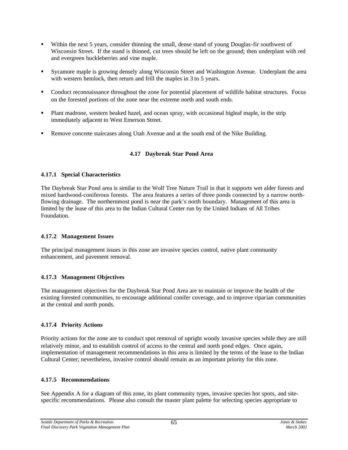- Within the next 5 years, consider thinning the small, dense stand of young Douglas-fir southwest of Wisconsin Street. If the stand is thinned, cut trees should be left on the ground; then underplant with red and evergreen huckleberries and vine maple.
- ß Sycamore maple is growing densely along Wisconsin Street and Washington Avenue. Underplant the area with western hemlock, then return and frill the maples in 3 to 5 years.
- Conduct reconnaissance throughout the zone for potential placement of wildlife habitat structures. Focus on the forested portions of the zone near the extreme north and south ends.
- ß Plant madrone, western beaked hazel, and ocean spray, with occasional bigleaf maple, in the strip immediately adjacent to West Emerson Street.
- Remove concrete staircases along Utah Avenue and at the south end of the Nike Building.

## **4.17 Daybreak Star Pond Area**

#### **4.17.1 Special Characteristics**

The Daybreak Star Pond area is similar to the Wolf Tree Nature Trail in that it supports wet alder forests and mixed hardwood-coniferous forests. The area features a series of three ponds connected by a narrow northflowing drainage. The northernmost pond is near the park's north boundary. Management of this area is limited by the lease of this area to the Indian Cultural Center run by the United Indians of All Tribes Foundation.

#### **4.17.2 Management Issues**

The principal management issues in this zone are invasive species control, native plant community enhancement, and pavement removal.

#### **4.17.3 Management Objectives**

The management objectives for the Daybreak Star Pond Area are to maintain or improve the health of the existing forested communities, to encourage additional conifer coverage, and to improve riparian communities at the central and north ponds.

## **4.17.4 Priority Actions**

Priority actions for the zone are to conduct spot removal of upright woody invasive species while they are still relatively minor, and to establish control of access to the central and north pond edges. Once again, implementation of management recommendations in this area is limited by the terms of the lease to the Indian Cultural Center; nevertheless, invasive control should remain as an important priority for this zone.

#### **4.17.5 Recommendations**

See Appendix A for a diagram of this zone, its plant community types, invasive species hot spots, and sitespecific recommendations. Please also consult the master plant palette for selecting species appropriate to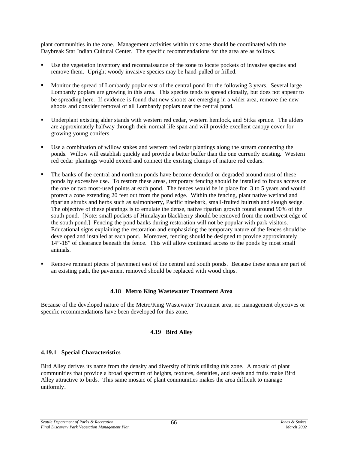plant communities in the zone. Management activities within this zone should be coordinated with the Daybreak Star Indian Cultural Center. The specific recommendations for the area are as follows.

- Use the vegetation inventory and reconnaissance of the zone to locate pockets of invasive species and remove them. Upright woody invasive species may be hand-pulled or frilled.
- ß Monitor the spread of Lombardy poplar east of the central pond for the following 3 years. Several large Lombardy poplars are growing in this area. This species tends to spread clonally, but does not appear to be spreading here. If evidence is found that new shoots are emerging in a wider area, remove the new shoots and consider removal of all Lombardy poplars near the central pond.
- ß Underplant existing alder stands with western red cedar, western hemlock, and Sitka spruce. The alders are approximately halfway through their normal life span and will provide excellent canopy cover for growing young conifers.
- Use a combination of willow stakes and western red cedar plantings along the stream connecting the ponds. Willow will establish quickly and provide a better buffer than the one currently existing. Western red cedar plantings would extend and connect the existing clumps of mature red cedars.
- ß The banks of the central and northern ponds have become denuded or degraded around most of these ponds by excessive use. To restore these areas, temporary fencing should be installed to focus access on the one or two most-used points at each pond. The fences would be in place for 3 to 5 years and would protect a zone extending 20 feet out from the pond edge. Within the fencing, plant native wetland and riparian shrubs and herbs such as salmonberry, Pacific ninebark, small-fruited bulrush and slough sedge. The objective of these plantings is to emulate the dense, native riparian growth found around 90% of the south pond. [Note: small pockets of Himalayan blackberry should be removed from the northwest edge of the south pond.] Fencing the pond banks during restoration will not be popular with park visitors. Educational signs explaining the restoration and emphasizing the temporary nature of the fences should be developed and installed at each pond. Moreover, fencing should be designed to provide approximately 14"-18" of clearance beneath the fence. This will allow continued access to the ponds by most small animals.
- ß Remove remnant pieces of pavement east of the central and south ponds. Because these areas are part of an existing path, the pavement removed should be replaced with wood chips.

## **4.18 Metro King Wastewater Treatment Area**

Because of the developed nature of the Metro/King Wastewater Treatment area, no management objectives or specific recommendations have been developed for this zone.

## **4.19 Bird Alley**

## **4.19.1 Special Characteristics**

Bird Alley derives its name from the density and diversity of birds utilizing this zone. A mosaic of plant communities that provide a broad spectrum of heights, textures, densities, and seeds and fruits make Bird Alley attractive to birds. This same mosaic of plant communities makes the area difficult to manage uniformly.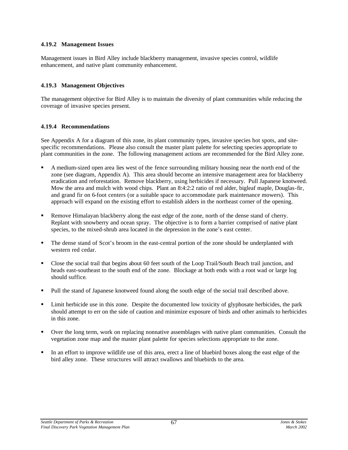## **4.19.2 Management Issues**

Management issues in Bird Alley include blackberry management, invasive species control, wildlife enhancement, and native plant community enhancement.

## **4.19.3 Management Objectives**

The management objective for Bird Alley is to maintain the diversity of plant communities while reducing the coverage of invasive species present.

## **4.19.4 Recommendations**

See Appendix A for a diagram of this zone, its plant community types, invasive species hot spots, and sitespecific recommendations. Please also consult the master plant palette for selecting species appropriate to plant communities in the zone. The following management actions are recommended for the Bird Alley zone.

- ß A medium-sized open area lies west of the fence surrounding military housing near the north end of the zone (see diagram, Appendix A). This area should become an intensive management area for blackberry eradication and reforestation. Remove blackberry, using herbicides if necessary. Pull Japanese knotweed. Mow the area and mulch with wood chips. Plant an 8:4:2:2 ratio of red alder, bigleaf maple, Douglas-fir, and grand fir on 6-foot centers (or a suitable space to accommodate park maintenance mowers). This approach will expand on the existing effort to establish alders in the northeast corner of the opening.
- ß Remove Himalayan blackberry along the east edge of the zone, north of the dense stand of cherry. Replant with snowberry and ocean spray. The objective is to form a barrier comprised of native plant species, to the mixed-shrub area located in the depression in the zone's east center.
- ß The dense stand of Scot's broom in the east-central portion of the zone should be underplanted with western red cedar.
- ß Close the social trail that begins about 60 feet south of the Loop Trail/South Beach trail junction, and heads east-southeast to the south end of the zone. Blockage at both ends with a root wad or large log should suffice.
- Pull the stand of Japanese knotweed found along the south edge of the social trail described above.
- ß Limit herbicide use in this zone. Despite the documented low toxicity of glyphosate herbicides, the park should attempt to err on the side of caution and minimize exposure of birds and other animals to herbicides in this zone.
- ß Over the long term, work on replacing nonnative assemblages with native plant communities. Consult the vegetation zone map and the master plant palette for species selections appropriate to the zone.
- ß In an effort to improve wildlife use of this area, erect a line of bluebird boxes along the east edge of the bird alley zone. These structures will attract swallows and bluebirds to the area.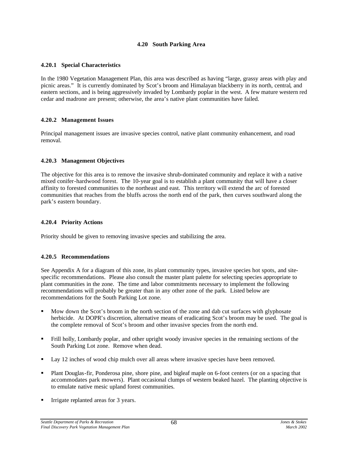## **4.20 South Parking Area**

#### **4.20.1 Special Characteristics**

In the 1980 Vegetation Management Plan, this area was described as having "large, grassy areas with play and picnic areas." It is currently dominated by Scot's broom and Himalayan blackberry in its north, central, and eastern sections, and is being aggressively invaded by Lombardy poplar in the west. A few mature western red cedar and madrone are present; otherwise, the area's native plant communities have failed.

#### **4.20.2 Management Issues**

Principal management issues are invasive species control, native plant community enhancement, and road removal.

## **4.20.3 Management Objectives**

The objective for this area is to remove the invasive shrub-dominated community and replace it with a native mixed conifer-hardwood forest. The 10-year goal is to establish a plant community that will have a closer affinity to forested communities to the northeast and east. This territory will extend the arc of forested communities that reaches from the bluffs across the north end of the park, then curves southward along the park's eastern boundary.

## **4.20.4 Priority Actions**

Priority should be given to removing invasive species and stabilizing the area.

#### **4.20.5 Recommendations**

See Appendix A for a diagram of this zone, its plant community types, invasive species hot spots, and sitespecific recommendations. Please also consult the master plant palette for selecting species appropriate to plant communities in the zone. The time and labor commitments necessary to implement the following recommendations will probably be greater than in any other zone of the park. Listed below are recommendations for the South Parking Lot zone.

- ß Mow down the Scot's broom in the north section of the zone and dab cut surfaces with glyphosate herbicide. At DOPR's discretion, alternative means of eradicating Scot's broom may be used. The goal is the complete removal of Scot's broom and other invasive species from the north end.
- ß Frill holly, Lombardy poplar, and other upright woody invasive species in the remaining sections of the South Parking Lot zone. Remove when dead.
- Lay 12 inches of wood chip mulch over all areas where invasive species have been removed.
- ß Plant Douglas-fir, Ponderosa pine, shore pine, and bigleaf maple on 6-foot centers (or on a spacing that accommodates park mowers). Plant occasional clumps of western beaked hazel. The planting objective is to emulate native mesic upland forest communities.
- **Irrigate replanted areas for 3 years.**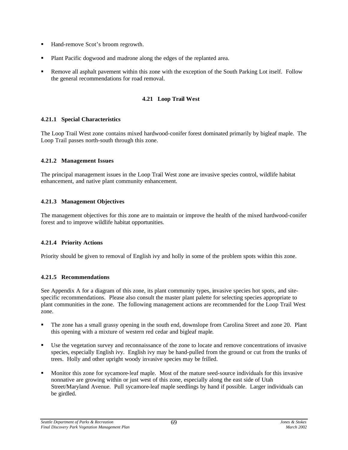- ß Hand-remove Scot's broom regrowth.
- ß Plant Pacific dogwood and madrone along the edges of the replanted area.
- ß Remove all asphalt pavement within this zone with the exception of the South Parking Lot itself. Follow the general recommendations for road removal.

# **4.21 Loop Trail West**

## **4.21.1 Special Characteristics**

The Loop Trail West zone contains mixed hardwood-conifer forest dominated primarily by bigleaf maple. The Loop Trail passes north-south through this zone.

## **4.21.2 Management Issues**

The principal management issues in the Loop Trail West zone are invasive species control, wildlife habitat enhancement, and native plant community enhancement.

# **4.21.3 Management Objectives**

The management objectives for this zone are to maintain or improve the health of the mixed hardwood-conifer forest and to improve wildlife habitat opportunities.

# **4.21.4 Priority Actions**

Priority should be given to removal of English ivy and holly in some of the problem spots within this zone.

# **4.21.5 Recommendations**

See Appendix A for a diagram of this zone, its plant community types, invasive species hot spots, and sitespecific recommendations. Please also consult the master plant palette for selecting species appropriate to plant communities in the zone. The following management actions are recommended for the Loop Trail West zone.

- ß The zone has a small grassy opening in the south end, downslope from Carolina Street and zone 20. Plant this opening with a mixture of western red cedar and bigleaf maple.
- Use the vegetation survey and reconnaissance of the zone to locate and remove concentrations of invasive species, especially English ivy. English ivy may be hand-pulled from the ground or cut from the trunks of trees. Holly and other upright woody invasive species may be frilled.
- ß Monitor this zone for sycamore-leaf maple. Most of the mature seed-source individuals for this invasive nonnative are growing within or just west of this zone, especially along the east side of Utah Street/Maryland Avenue. Pull sycamore-leaf maple seedlings by hand if possible. Larger individuals can be girdled.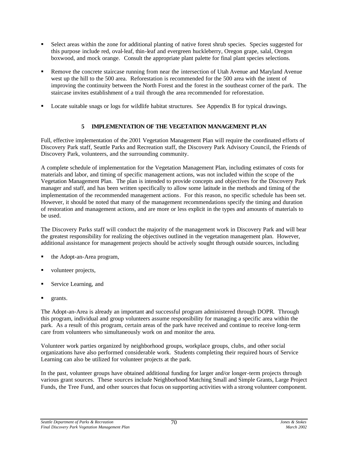- ß Select areas within the zone for additional planting of native forest shrub species. Species suggested for this purpose include red, oval-leaf, thin-leaf and evergreen huckleberry, Oregon grape, salal, Oregon boxwood, and mock orange. Consult the appropriate plant palette for final plant species selections.
- ß Remove the concrete staircase running from near the intersection of Utah Avenue and Maryland Avenue west up the hill to the 500 area. Reforestation is recommended for the 500 area with the intent of improving the continuity between the North Forest and the forest in the southeast corner of the park. The staircase invites establishment of a trail through the area recommended for reforestation.
- ß Locate suitable snags or logs for wildlife habitat structures. See Appendix B for typical drawings.

# **5 IMPLEMENTATION OF THE VEGETATION MANAGEMENT PLAN**

Full, effective implementation of the 2001 Vegetation Management Plan will require the coordinated efforts of Discovery Park staff, Seattle Parks and Recreation staff, the Discovery Park Advisory Council, the Friends of Discovery Park, volunteers, and the surrounding community.

A complete schedule of implementation for the Vegetation Management Plan, including estimates of costs for materials and labor, and timing of specific management actions, was not included within the scope of the Vegetation Management Plan. The plan is intended to provide concepts and objectives for the Discovery Park manager and staff, and has been written specifically to allow some latitude in the methods and timing of the implementation of the recommended management actions. For this reason, no specific schedule has been set. However, it should be noted that many of the management recommendations specify the timing and duration of restoration and management actions, and are more or less explicit in the types and amounts of materials to be used.

The Discovery Parks staff will conduct the majority of the management work in Discovery Park and will bear the greatest responsibility for realizing the objectives outlined in the vegetation management plan. However, additional assistance for management projects should be actively sought through outside sources, including

- ß the Adopt-an-Area program,
- volunteer projects,
- ß Service Learning, and
- grants.

The Adopt-an-Area is already an important and successful program administered through DOPR. Through this program, individual and group volunteers assume responsibility for managing a specific area within the park. As a result of this program, certain areas of the park have received and continue to receive long-term care from volunteers who simultaneously work on and monitor the area.

Volunteer work parties organized by neighborhood groups, workplace groups, clubs, and other social organizations have also performed considerable work. Students completing their required hours of Service Learning can also be utilized for volunteer projects at the park.

In the past, volunteer groups have obtained additional funding for larger and/or longer-term projects through various grant sources. These sources include Neighborhood Matching Small and Simple Grants, Large Project Funds, the Tree Fund, and other sources that focus on supporting activities with a strong volunteer component.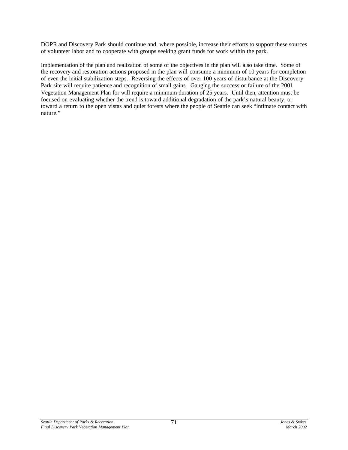DOPR and Discovery Park should continue and, where possible, increase their efforts to support these sources of volunteer labor and to cooperate with groups seeking grant funds for work within the park.

Implementation of the plan and realization of some of the objectives in the plan will also take time. Some of the recovery and restoration actions proposed in the plan will consume a minimum of 10 years for completion of even the initial stabilization steps. Reversing the effects of over 100 years of disturbance at the Discovery Park site will require patience and recognition of small gains. Gauging the success or failure of the 2001 Vegetation Management Plan for will require a minimum duration of 25 years. Until then, attention must be focused on evaluating whether the trend is toward additional degradation of the park's natural beauty, or toward a return to the open vistas and quiet forests where the people of Seattle can seek "intimate contact with nature."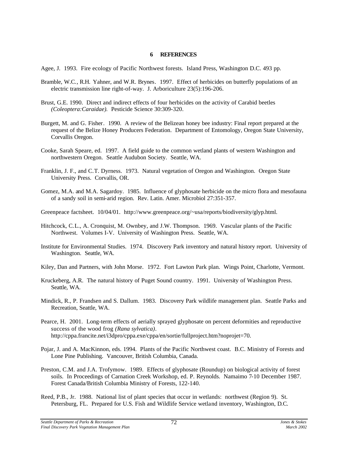#### **6 REFERENCES**

Agee, J. 1993. Fire ecology of Pacific Northwest forests. Island Press, Washington D.C. 493 pp.

- Bramble, W.C., R.H. Yahner, and W.R. Brynes. 1997. Effect of herbicides on butterfly populations of an electric transmission line right-of-way. J. Arboriculture 23(5):196-206.
- Brust, G.E. 1990. Direct and indirect effects of four herbicides on the activity of Carabid beetles *(Coleoptera:Caraidae).* Pesticide Science 30:309-320.
- Burgett, M. and G. Fisher. 1990. A review of the Belizean honey bee industry: Final report prepared at the request of the Belize Honey Producers Federation. Department of Entomology, Oregon State University, Corvallis Oregon.
- Cooke, Sarah Speare, ed. 1997. A field guide to the common wetland plants of western Washington and northwestern Oregon. Seattle Audubon Society. Seattle, WA.
- Franklin, J. F., and C.T. Dyrness. 1973. Natural vegetation of Oregon and Washington. Oregon State University Press. Corvallis, OR.
- Gomez, M.A. and M.A. Sagardoy. 1985. Influence of glyphosate herbicide on the micro flora and mesofauna of a sandy soil in semi-arid region. Rev. Latin. Amer. Microbiol 27:351-357.
- Greenpeace factsheet. 10/04/01. http://www.greenpeace.org/~usa/reports/biodiversity/glyp.html.
- Hitchcock, C.L., A. Cronquist, M. Ownbey, and J.W. Thompson. 1969. Vascular plants of the Pacific Northwest. Volumes I-V. University of Washington Press. Seattle, WA.
- Institute for Environmental Studies. 1974. Discovery Park inventory and natural history report. University of Washington. Seattle, WA.
- Kiley, Dan and Partners, with John Morse. 1972. Fort Lawton Park plan. Wings Point, Charlotte, Vermont.
- Kruckeberg, A.R. The natural history of Puget Sound country. 1991. University of Washington Press. Seattle, WA.
- Mindick, R., P. Frandsen and S. Dallum. 1983. Discovery Park wildlife management plan. Seattle Parks and Recreation, Seattle, WA.
- Pearce, H. 2001. Long-term effects of aerially sprayed glyphosate on percent deformities and reproductive success of the wood frog *(Rana sylvatica)*. http://cppa.francite.net/i3dpro/cppa.exe/cppa/en/sortie/fullproject.htm?noprojet=70.
- Pojar, J. and A. MacKinnon, eds. 1994. Plants of the Pacific Northwest coast. B.C. Ministry of Forests and Lone Pine Publishing. Vancouver, British Columbia, Canada.
- Preston, C.M. and J.A. Trofymow. 1989. Effects of glyphosate (Roundup) on biological activity of forest soils. In Proceedings of Carnation Creek Workshop, ed. P. Reynolds. Namaimo 7-10 December 1987. Forest Canada/British Columbia Ministry of Forests, 122-140.
- Reed, P.B., Jr. 1988. National list of plant species that occur in wetlands: northwest (Region 9). St. Petersburg, FL. Prepared for U.S. Fish and Wildlife Service wetland inventory, Washington, D.C.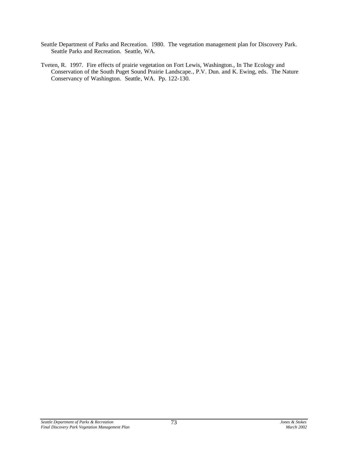- Seattle Department of Parks and Recreation. 1980. The vegetation management plan for Discovery Park. Seattle Parks and Recreation. Seattle, WA.
- Tveten, R. 1997. Fire effects of prairie vegetation on Fort Lewis, Washington., In The Ecology and Conservation of the South Puget Sound Prairie Landscape., P.V. Dun. and K. Ewing, eds. The Nature Conservancy of Washington. Seattle, WA. Pp. 122-130.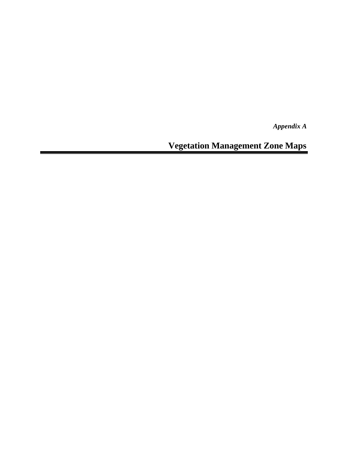*Appendix A*

**Vegetation Management Zone Maps**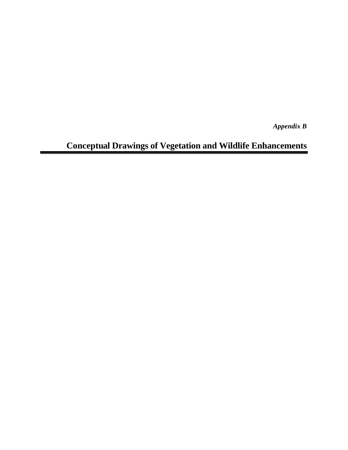*Appendix B*

# **Conceptual Drawings of Vegetation and Wildlife Enhancements**